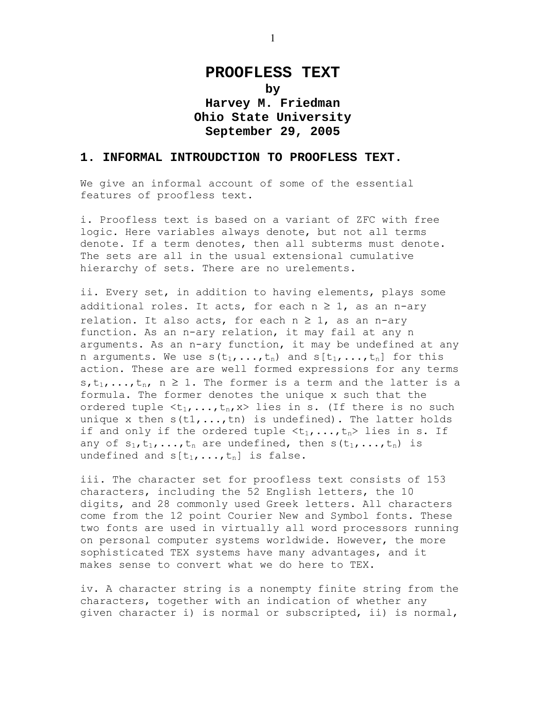# **PROOFLESS TEXT**

**by** 

# **Harvey M. Friedman Ohio State University September 29, 2005**

## **1. INFORMAL INTROUDCTION TO PROOFLESS TEXT.**

We give an informal account of some of the essential features of proofless text.

i. Proofless text is based on a variant of ZFC with free logic. Here variables always denote, but not all terms denote. If a term denotes, then all subterms must denote. The sets are all in the usual extensional cumulative hierarchy of sets. There are no urelements.

ii. Every set, in addition to having elements, plays some additional roles. It acts, for each  $n \geq 1$ , as an n-ary relation. It also acts, for each  $n \geq 1$ , as an n-ary function. As an n-ary relation, it may fail at any n arguments. As an n-ary function, it may be undefined at any n arguments. We use  $s(t_1,\ldots,t_n)$  and  $s[t_1,\ldots,t_n]$  for this action. These are are well formed expressions for any terms  $s, t_1, \ldots, t_n$ ,  $n \geq 1$ . The former is a term and the latter is a formula. The former denotes the unique x such that the ordered tuple  $,..., $t_n$ , x> lies in s. (If there is no such$ unique x then  $s(t1,\ldots,tn)$  is undefined). The latter holds if and only if the ordered tuple  $, ...,  $t_n$  lies in s. If$ any of  $s_1, t_1, \ldots, t_n$  are undefined, then  $s(t_1, \ldots, t_n)$  is undefined and  $s[t_1,\ldots,t_n]$  is false.

iii. The character set for proofless text consists of 153 characters, including the 52 English letters, the 10 digits, and 28 commonly used Greek letters. All characters come from the 12 point Courier New and Symbol fonts. These two fonts are used in virtually all word processors running on personal computer systems worldwide. However, the more sophisticated TEX systems have many advantages, and it makes sense to convert what we do here to TEX.

iv. A character string is a nonempty finite string from the characters, together with an indication of whether any given character i) is normal or subscripted, ii) is normal,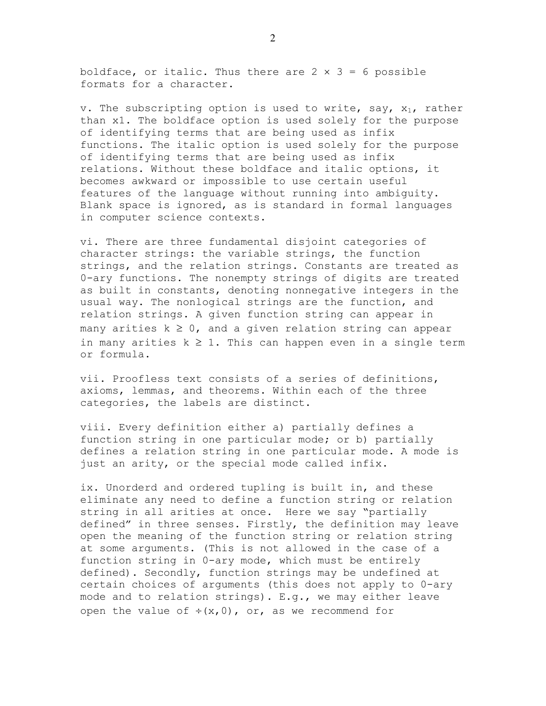boldface, or italic. Thus there are  $2 \times 3 = 6$  possible formats for a character.

v. The subscripting option is used to write, say,  $x_1$ , rather than x1. The boldface option is used solely for the purpose of identifying terms that are being used as infix functions. The italic option is used solely for the purpose of identifying terms that are being used as infix relations. Without these boldface and italic options, it becomes awkward or impossible to use certain useful features of the language without running into ambiguity. Blank space is ignored, as is standard in formal languages in computer science contexts.

vi. There are three fundamental disjoint categories of character strings: the variable strings, the function strings, and the relation strings. Constants are treated as 0-ary functions. The nonempty strings of digits are treated as built in constants, denoting nonnegative integers in the usual way. The nonlogical strings are the function, and relation strings. A given function string can appear in many arities  $k \geq 0$ , and a given relation string can appear in many arities  $k \geq 1$ . This can happen even in a single term or formula.

vii. Proofless text consists of a series of definitions, axioms, lemmas, and theorems. Within each of the three categories, the labels are distinct.

viii. Every definition either a) partially defines a function string in one particular mode; or b) partially defines a relation string in one particular mode. A mode is just an arity, or the special mode called infix.

ix. Unorderd and ordered tupling is built in, and these eliminate any need to define a function string or relation string in all arities at once. Here we say "partially defined" in three senses. Firstly, the definition may leave open the meaning of the function string or relation string at some arguments. (This is not allowed in the case of a function string in 0-ary mode, which must be entirely defined). Secondly, function strings may be undefined at certain choices of arguments (this does not apply to 0-ary mode and to relation strings). E.g., we may either leave open the value of  $\div(x,0)$ , or, as we recommend for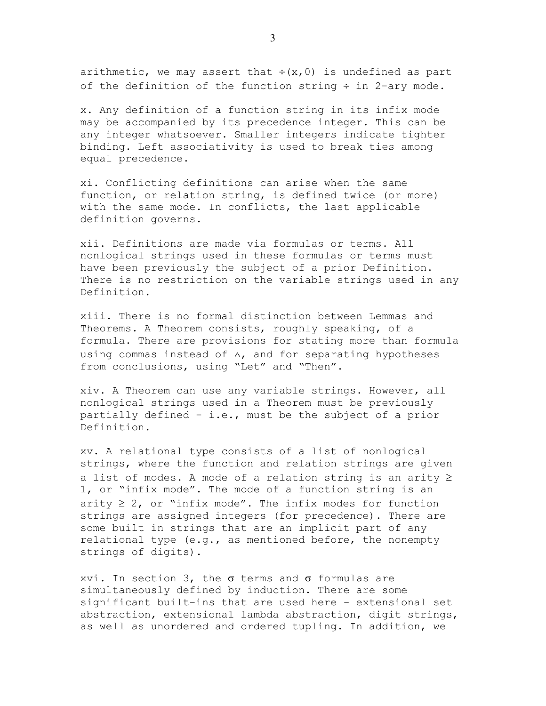arithmetic, we may assert that  $\div(x,0)$  is undefined as part of the definition of the function string ÷ in 2-ary mode.

x. Any definition of a function string in its infix mode may be accompanied by its precedence integer. This can be any integer whatsoever. Smaller integers indicate tighter binding. Left associativity is used to break ties among equal precedence.

xi. Conflicting definitions can arise when the same function, or relation string, is defined twice (or more) with the same mode. In conflicts, the last applicable definition governs.

xii. Definitions are made via formulas or terms. All nonlogical strings used in these formulas or terms must have been previously the subject of a prior Definition. There is no restriction on the variable strings used in any Definition.

xiii. There is no formal distinction between Lemmas and Theorems. A Theorem consists, roughly speaking, of a formula. There are provisions for stating more than formula using commas instead of ∧, and for separating hypotheses from conclusions, using "Let" and "Then".

xiv. A Theorem can use any variable strings. However, all nonlogical strings used in a Theorem must be previously partially defined - i.e., must be the subject of a prior Definition.

xv. A relational type consists of a list of nonlogical strings, where the function and relation strings are given a list of modes. A mode of a relation string is an arity ≥ 1, or "infix mode". The mode of a function string is an arity  $\geq 2$ , or "infix mode". The infix modes for function strings are assigned integers (for precedence). There are some built in strings that are an implicit part of any relational type (e.g., as mentioned before, the nonempty strings of digits).

xvi. In section 3, the  $σ$  terms and  $σ$  formulas are simultaneously defined by induction. There are some significant built-ins that are used here - extensional set abstraction, extensional lambda abstraction, digit strings, as well as unordered and ordered tupling. In addition, we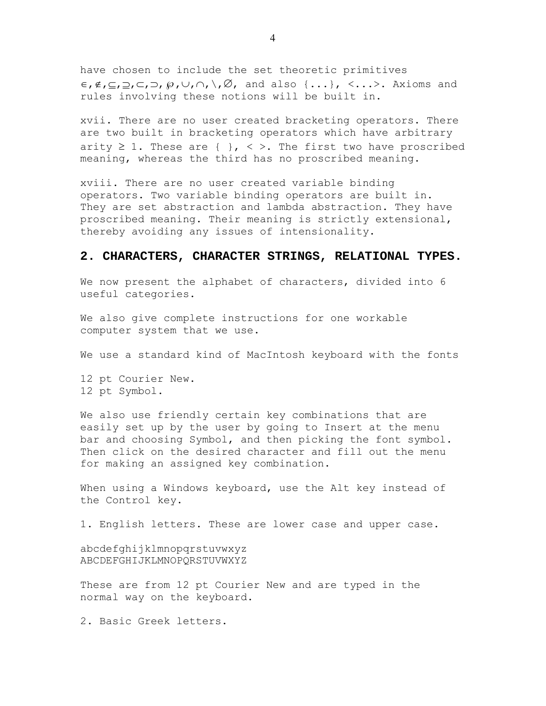have chosen to include the set theoretic primitives ∈,∉,⊆,⊇,⊂,⊃,℘,∪,∩,\,∅, and also {...}, <...>. Axioms and rules involving these notions will be built in.

xvii. There are no user created bracketing operators. There are two built in bracketing operators which have arbitrary arity  $\geq 1$ . These are { }, < >. The first two have proscribed meaning, whereas the third has no proscribed meaning.

xviii. There are no user created variable binding operators. Two variable binding operators are built in. They are set abstraction and lambda abstraction. They have proscribed meaning. Their meaning is strictly extensional, thereby avoiding any issues of intensionality.

#### **2. CHARACTERS, CHARACTER STRINGS, RELATIONAL TYPES.**

We now present the alphabet of characters, divided into 6 useful categories.

We also give complete instructions for one workable computer system that we use.

We use a standard kind of MacIntosh keyboard with the fonts

12 pt Courier New. 12 pt Symbol.

We also use friendly certain key combinations that are easily set up by the user by going to Insert at the menu bar and choosing Symbol, and then picking the font symbol. Then click on the desired character and fill out the menu for making an assigned key combination.

When using a Windows keyboard, use the Alt key instead of the Control key.

1. English letters. These are lower case and upper case.

abcdefghijklmnopqrstuvwxyz ABCDEFGHIJKLMNOPQRSTUVWXYZ

These are from 12 pt Courier New and are typed in the normal way on the keyboard.

2. Basic Greek letters.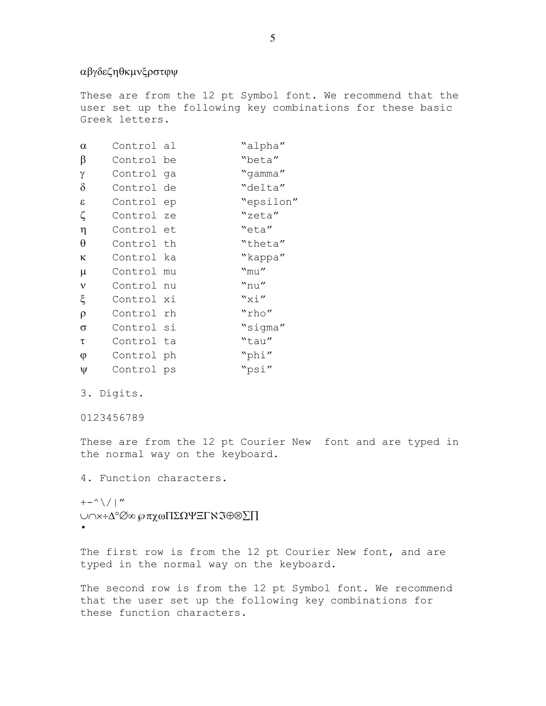# αβγδεζηθκμνξρστφψ

These are from the 12 pt Symbol font. We recommend that the user set up the following key combinations for these basic Greek letters.

| α      | Control al | "alpha"   |
|--------|------------|-----------|
| β      | Control be | "beta"    |
| γ      | Control ga | "gamma"   |
| δ      | Control de | "delta"   |
| ε      | Control ep | "epsilon" |
| ζ      | Control ze | "zeta"    |
| η      | Control et | "eta"     |
| θ      | Control th | "theta"   |
| κ      | Control ka | "kappa"   |
| μ      | Control mu | "mu"      |
| ν      | Control nu | "nu"      |
| ξ      | Control xi | "xi"      |
| $\rho$ | Control rh | "rho"     |
| σ      | Control si | "sigma"   |
| τ      | Control ta | "tau"     |
| φ      | Control ph | "phi"     |
| Ψ      | Control ps | "psi"     |

3. Digits.

0123456789

These are from the 12 pt Courier New font and are typed in the normal way on the keyboard.

4. Function characters.

 $+-\wedge$  / | "

∪∩×÷Δ°∅∞℘πχωΠΣΩΨΞΓℵℑ⊕⊗∑∏

•

The first row is from the 12 pt Courier New font, and are typed in the normal way on the keyboard.

The second row is from the 12 pt Symbol font. We recommend that the user set up the following key combinations for these function characters.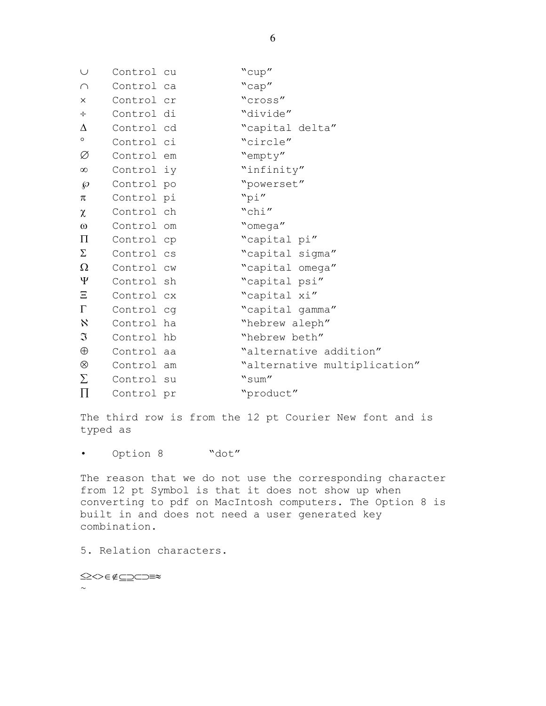| $\cup$         | Control cu | "cup"                        |
|----------------|------------|------------------------------|
| $\cap$         | Control ca | "cap"                        |
| $\times$       | Control cr | "cross"                      |
| ÷              | Control di | "divide"                     |
| Δ              | Control cd | "capital delta"              |
| $\circ$        | Control ci | "circle"                     |
| Ø              | Control em | "empty"                      |
| $\infty$       | Control iy | "infinity"                   |
| $\wp$          | Control po | "powerset"                   |
| $\pi$          | Control pi | "pi"                         |
| χ              | Control ch | "chi"                        |
| $\omega$       | Control om | "omega"                      |
| П              | Control cp | "capital pi"                 |
| Σ              | Control cs | "capital sigma"              |
| $\Omega$       | Control cw | "capital omega"              |
| Ψ              | Control sh | "capital psi"                |
| Ξ              | Control cx | "capital xi"                 |
| $\Gamma$       | Control cq | "capital gamma"              |
| $\aleph$       | Control ha | "hebrew aleph"               |
| $\mathfrak{I}$ | Control hb | "hebrew beth"                |
| $\oplus$       | Control aa | "alternative addition"       |
| $\otimes$      | Control am | "alternative multiplication" |
| Σ              | Control su | "sum"                        |
| $\prod$        | Control pr | "product"                    |

The third row is from the 12 pt Courier New font and is typed as

• Option 8 "dot"

The reason that we do not use the corresponding character from 12 pt Symbol is that it does not show up when converting to pdf on MacIntosh computers. The Option 8 is built in and does not need a user generated key combination.

5. Relation characters.

≤≥<>∈∉⊆⊇⊂⊃≡≈

 $\sim$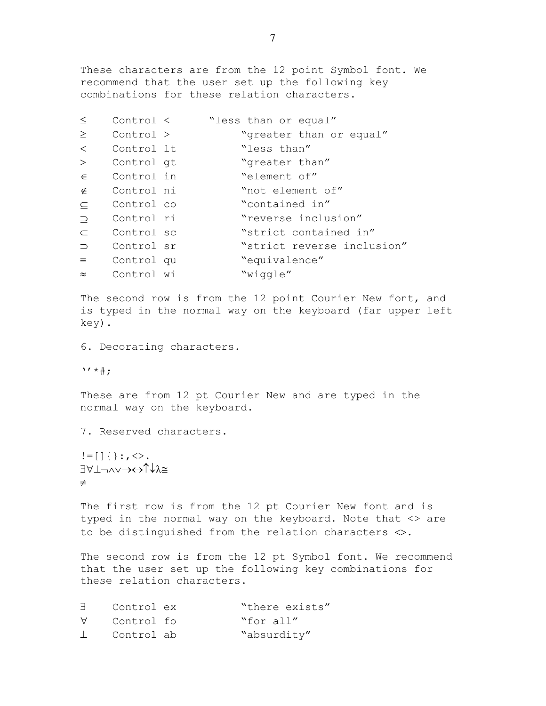These characters are from the 12 point Symbol font. We recommend that the user set up the following key combinations for these relation characters.

| $\leq$      | Control $\langle$ | "less than or equal"       |
|-------------|-------------------|----------------------------|
| $\geq$      | $Control$ >       | "greater than or equal"    |
| $\lt$       | Control lt        | "less than"                |
| >           | Control gt        | "greater than"             |
| $\in$       | Control in        | "element of"               |
| ∉           | Control ni        | "not element of"           |
| $\subseteq$ | Control co        | "contained in"             |
| $\supseteq$ | Control ri        | "reverse inclusion"        |
| $\subset$   | Control sc        | "strict contained in"      |
| $\supset$   | Control sr        | "strict reverse inclusion" |
| $\equiv$    | Control qu        | "equivalence"              |
| $\approx$   | Control wi        | "wiggle"                   |

The second row is from the 12 point Courier New font, and is typed in the normal way on the keyboard (far upper left key).

6. Decorating characters.

 $'$ \*#;

These are from 12 pt Courier New and are typed in the normal way on the keyboard.

7. Reserved characters.

```
!= [ ] \{ \} : \leq > .
∃∀⊥¬∧∨→↔↑↓λ≅
≠
```
The first row is from the 12 pt Courier New font and is typed in the normal way on the keyboard. Note that <> are to be distinguished from the relation characters  $\Leftrightarrow$ .

The second row is from the 12 pt Symbol font. We recommend that the user set up the following key combinations for these relation characters.

| 3. | Control ex | "there exists" |
|----|------------|----------------|
|    | Control fo | "for all"      |
|    | Control ab | "absurdity"    |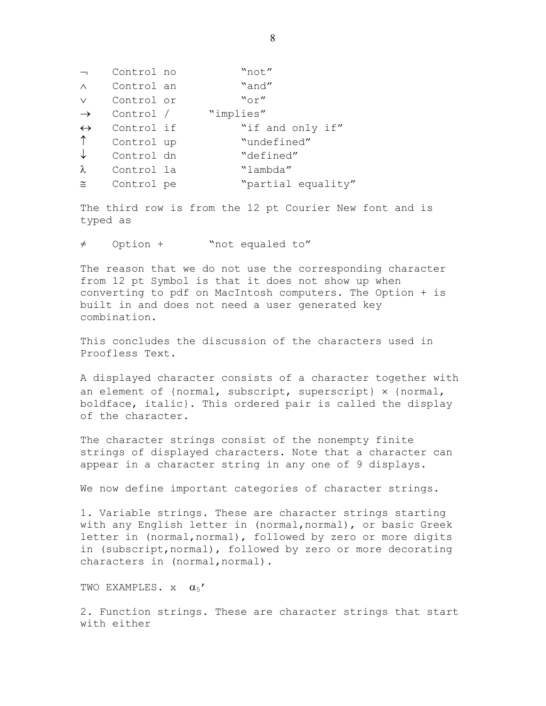| $\qquad \qquad$   | Control no | "not"              |
|-------------------|------------|--------------------|
| $\wedge$          | Control an | "and"              |
| $\vee$            | Control or | $"$ or"            |
| $\rightarrow$     | Control /  | "implies"          |
| $\leftrightarrow$ | Control if | "if and only if"   |
| ↑                 | Control up | "undefined"        |
| $\downarrow$      | Control dn | "defined"          |
| λ                 | Control la | "lambda"           |
| $\cong$           | Control pe | "partial equality" |

The third row is from the 12 pt Courier New font and is typed as

≠ Option + "not equaled to"

The reason that we do not use the corresponding character from 12 pt Symbol is that it does not show up when converting to pdf on MacIntosh computers. The Option + is built in and does not need a user generated key combination.

This concludes the discussion of the characters used in Proofless Text.

A displayed character consists of a character together with an element of {normal, subscript, superscript} × {normal, boldface, italic}. This ordered pair is called the display of the character.

The character strings consist of the nonempty finite strings of displayed characters. Note that a character can appear in a character string in any one of 9 displays.

We now define important categories of character strings.

1. Variable strings. These are character strings starting with any English letter in (normal,normal), or basic Greek letter in (normal, normal), followed by zero or more digits in (subscript,normal), followed by zero or more decorating characters in (normal, normal).

TWO EXAMPLES.  $x \alpha_5'$ 

2. Function strings. These are character strings that start with either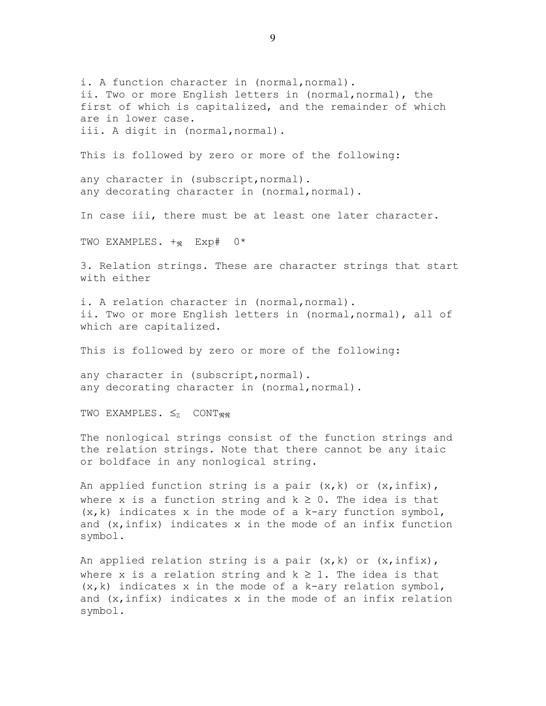i. A function character in (normal, normal). ii. Two or more English letters in (normal, normal), the first of which is capitalized, and the remainder of which are in lower case. iii. A digit in (normal,normal). This is followed by zero or more of the following: any character in (subscript, normal). any decorating character in (normal, normal). In case iii, there must be at least one later character. TWO EXAMPLES.  $+_{\Re}$  Exp# 0\* 3. Relation strings. These are character strings that start with either i. A relation character in (normal,normal). ii. Two or more English letters in (normal,normal), all of which are capitalized. This is followed by zero or more of the following: any character in (subscript, normal). any decorating character in (normal, normal). TWO EXAMPLES.  $\leq_{\mathbb{Z}}$  CONTRR The nonlogical strings consist of the function strings and the relation strings. Note that there cannot be any itaic or boldface in any nonlogical string. An applied function string is a pair  $(x, k)$  or  $(x, infix)$ , where x is a function string and  $k \geq 0$ . The idea is that  $(x, k)$  indicates x in the mode of a k-ary function symbol, and (x,infix) indicates x in the mode of an infix function symbol. An applied relation string is a pair  $(x, k)$  or  $(x, infix)$ , where x is a relation string and  $k \geq 1$ . The idea is that

 $(x, k)$  indicates x in the mode of a k-ary relation symbol, and (x,infix) indicates x in the mode of an infix relation symbol.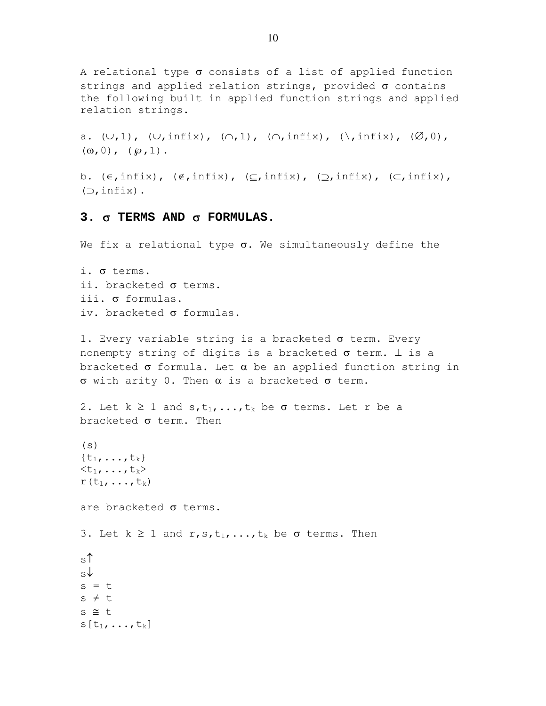A relational type  $\sigma$  consists of a list of applied function strings and applied relation strings, provided  $\sigma$  contains the following built in applied function strings and applied relation strings.

```
a. (\cup,1), (\cup, \text{infix}), (\cap,1), (\cap, \text{infix}), (\setminus, \text{infix}), (\varnothing,0),
(\omega, 0), (\wp, 1).
```
b. (∈,infix), (∉,infix), ( $\subseteq$ ,infix), ( $\supseteq$ ,infix), ( $\subset$ ,infix), (⊃,infix).

## **3.** σ **TERMS AND** σ **FORMULAS.**

We fix a relational type  $\sigma$ . We simultaneously define the i. σ terms. ii. bracketed σ terms. iii. σ formulas. iv. bracketed σ formulas. 1. Every variable string is a bracketed  $\sigma$  term. Every nonempty string of digits is a bracketed  $\sigma$  term.  $\bot$  is a bracketed  $\sigma$  formula. Let  $\alpha$  be an applied function string in σ with arity 0. Then α is a bracketed σ term. 2. Let  $k \ge 1$  and  $s, t_1, \ldots, t_k$  be  $\sigma$  terms. Let r be a bracketed  $\sigma$  term. Then  $(s)$  $\{t_1,\ldots,t_k\}$  $\langle t_1, \ldots, t_k \rangle$  $r(t_1,\ldots,t_k)$ are bracketed σ terms. 3. Let  $k \ge 1$  and  $r, s, t_1, \ldots, t_k$  be  $\sigma$  terms. Then s↑ s↓  $s = t$  $s \neq t$ s ≅ t  $s[t_1,\ldots,t_k]$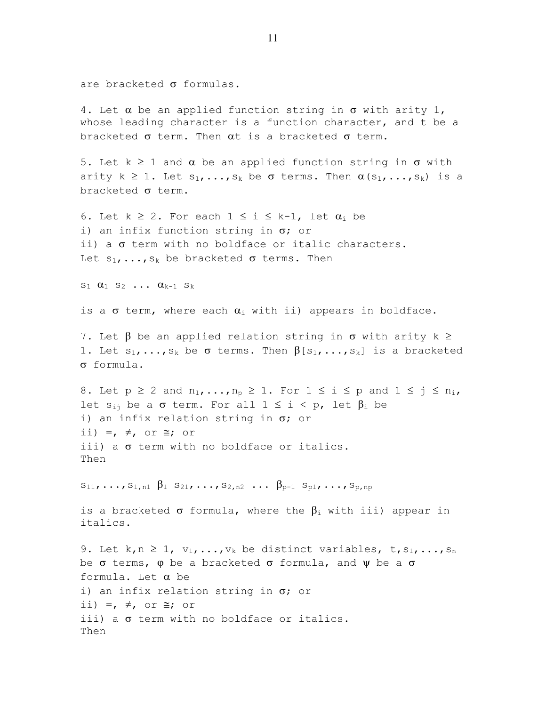are bracketed  $\sigma$  formulas.

4. Let  $\alpha$  be an applied function string in  $\sigma$  with arity 1, whose leading character is a function character, and t be a bracketed  $\sigma$  term. Then  $\alpha t$  is a bracketed  $\sigma$  term. 5. Let  $k \ge 1$  and α be an applied function string in  $σ$  with arity k  $\geq 1$ . Let  $s_1, \ldots, s_k$  be  $\sigma$  terms. Then  $\alpha(s_1, \ldots, s_k)$  is a bracketed σ term. 6. Let  $k \geq 2$ . For each  $1 \leq i \leq k-1$ , let  $\alpha_i$  be i) an infix function string in  $\sigma$ ; or ii) a σ term with no boldface or italic characters. Let  $s_1, \ldots, s_k$  be bracketed  $\sigma$  terms. Then  $s_1 \alpha_1 s_2 \ldots \alpha_{k-1} s_k$ is a  $\sigma$  term, where each  $\alpha_i$  with ii) appears in boldface. 7. Let  $\beta$  be an applied relation string in  $\sigma$  with arity k ≥ 1. Let  $s_1,\ldots,s_k$  be  $\sigma$  terms. Then  $\beta[s_1,\ldots,s_k]$  is a bracketed σ formula. 8. Let  $p \ge 2$  and  $n_1, \ldots, n_p \ge 1$ . For  $1 \le i \le p$  and  $1 \le j \le n_i$ , let s<sub>ij</sub> be a σ term. For all  $1 \le i \le p$ , let  $β_i$  be i) an infix relation string in σ; or ii) =,  $\neq$ , or  $\cong$ ; or iii) a σ term with no boldface or italics. Then  $s_{11},\ldots,s_{1,n1}$   $\beta_1$   $s_{21},\ldots,s_{2,n2}$  ...  $\beta_{p-1}$   $s_{p1},\ldots,s_{p,np}$ is a bracketed  $\sigma$  formula, where the  $\beta_i$  with iii) appear in italics. 9. Let  $k,n \geq 1$ ,  $v_1, \ldots, v_k$  be distinct variables,  $t, s_1, \ldots, s_n$ be  $\sigma$  terms,  $\varphi$  be a bracketed  $\sigma$  formula, and  $\psi$  be a  $\sigma$ formula. Let α be i) an infix relation string in σ; or ii) =,  $\neq$ , or  $\cong$ ; or iii) a σ term with no boldface or italics. Then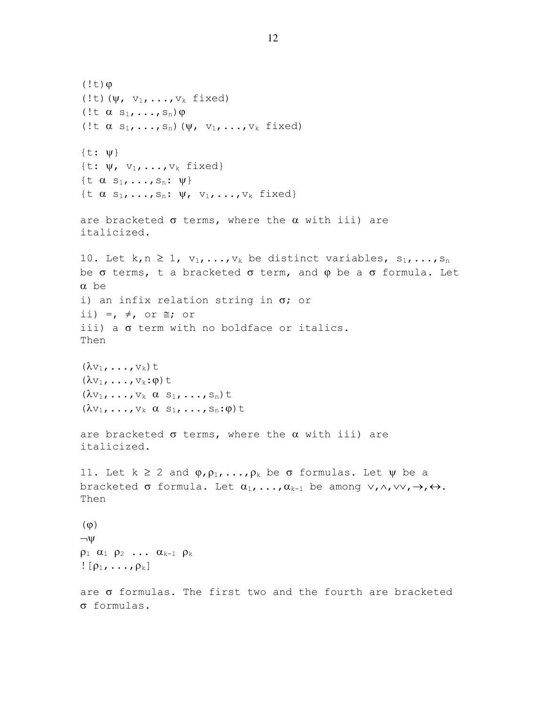```
(!t)\varphi(!t)(\Psi, V_1, ...,V_k fixed)
(!t \alpha s<sub>1</sub>, ..., s<sub>n</sub>) \varphi(!t \alpha s<sub>1</sub>, ..., s<sub>n</sub>) (\Psi, V_1, ..., V_k fixed)
\{t: \psi\}\{t: \Psi, \Psi_1, \ldots, \Psi_k \text{fixed}\}\\{t \alpha s_1, \ldots, s_n: \Psi\}\{t \alpha s_1, \ldots, s_n: \psi, v_1, \ldots, v_k \text{fixed}\}\are bracketed \sigma terms, where the \alpha with iii) are
italicized. 
10. Let k, n \geq 1, v_1, \ldots, v_k be distinct variables, s_1, \ldots, s_nbe \sigma terms, t a bracketed \sigma term, and \varphi be a \sigma formula. Let
α be 
i) an infix relation string in \sigma; or
ii) =, \neq, or \cong; or
iii) a \sigma term with no boldface or italics.
Then 
(\lambda v_1, \ldots, v_k) t
(\lambda v_1, \ldots, v_k; \varphi)t
(\lambda v_1, \ldots, v_k \alpha s_1, \ldots, s_n)t
(\lambda v_1, \ldots, v_k \alpha s_1, \ldots, s_n; \varphi)t
are bracketed \sigma terms, where the \alpha with iii) are
italicized. 
11. Let k \ge 2 and \varphi, \rho_1, \ldots, \rho_k be \sigma formulas. Let \psi be a
bracketed \sigma formula. Let \alpha_1, \ldots, \alpha_{k-1} be among \vee, \wedge, \vee\vee, \rightarrow, \leftrightarrow.
Then 
(\varphi)\neg \Psi\rho_1 \alpha_1 \rho_2 \ldots \alpha_{k-1} \rho_k! [\rho_1, \ldots, \rho_k]are σ formulas. The first two and the fourth are bracketed 
σ formulas.
```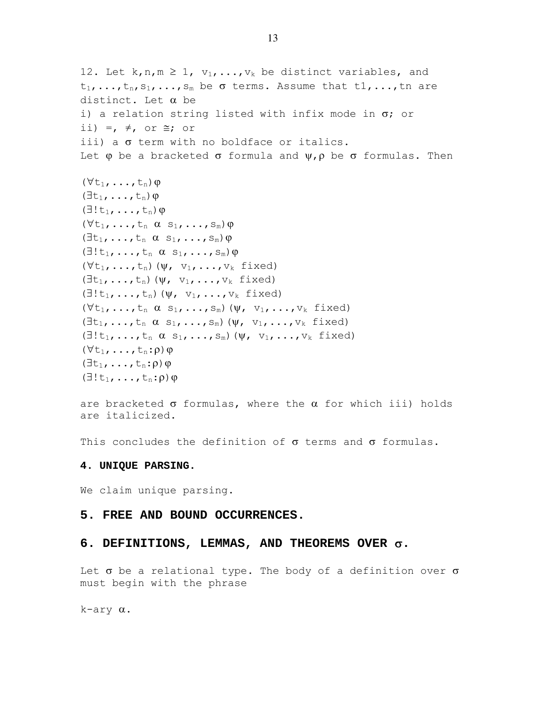```
12. Let k, n, m \geq 1, v_1, \ldots, v_k be distinct variables, and
t_1,\ldots,t_n,s_1,\ldots,s_m be \sigma terms. Assume that t_1,\ldots,t_n are
distinct. Let α be 
i) a relation string listed with infix mode in \sigma; or
ii) =, \neq, or \cong; or
iii) a σ term with no boldface or italics.
Let \varphi be a bracketed \sigma formula and \psi, \rho be \sigma formulas. Then
(\forall t_1, \ldots, t_n)\varphi(\exists t_1, \ldots, t_n)\varphi(\exists ! t_1, \ldots, t_n)\varphi(\forall t_1, \ldots, t_n \alpha s_1, \ldots, s_m)\varphi(\exists t_1,\ldots,t_n \alpha s_1,\ldots,s_m)\phi(\exists ! t_1, \ldots, t_n \alpha s_1, \ldots, s_m)\varphi(\forall t_1, \ldots, t_n) (\psi, \forall t_1, \ldots, \forall k fixed)
(\exists t_1, \ldots, t_n) (\psi, v_1, \ldots, v_k fixed)
(\exists ! t_1, \ldots, t_n) (\psi, v_1, \ldots, v_k fixed)
(\forall t_1,\ldots,t_n \alpha s_1,\ldots,s_m) (\psi, v_1,\ldots,v_k \text{fixed})(\exists t_1, \ldots, t_n \alpha s_1, \ldots, s_m) (\psi, v_1, \ldots, v_k fixed)
(\exists ! t_1, \ldots, t_n \alpha s_1, \ldots, s_m) (\psi, v_1, \ldots, v_k fixed)
(\forall t_1, \ldots, t_n : \rho) \varphi(\exists t_1,\ldots,t_n:\rho)\phi(\exists ! t_1, \ldots, t_n : \rho) \phi
```

```
are bracketed \sigma formulas, where the \alpha for which iii) holds
are italicized.
```
This concludes the definition of  $\sigma$  terms and  $\sigma$  formulas.

#### **4. UNIQUE PARSING.**

We claim unique parsing.

## **5. FREE AND BOUND OCCURRENCES.**

#### **6. DEFINITIONS, LEMMAS, AND THEOREMS OVER** σ**.**

Let  $\sigma$  be a relational type. The body of a definition over  $\sigma$ must begin with the phrase

k-ary α.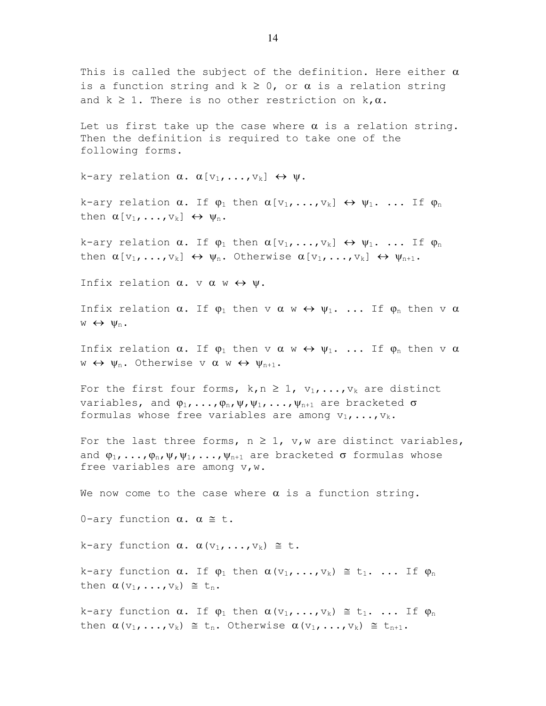This is called the subject of the definition. Here either  $\alpha$ is a function string and  $k \geq 0$ , or  $\alpha$  is a relation string and  $k \geq 1$ . There is no other restriction on  $k \cdot \alpha$ . Let us first take up the case where  $\alpha$  is a relation string. Then the definition is required to take one of the following forms. k-ary relation  $\alpha$ .  $\alpha$ [ $v_1$ ,..., $v_k$ ]  $\leftrightarrow$   $\psi$ . k-ary relation  $\alpha$ . If  $\varphi_1$  then  $\alpha[v_1,\ldots,v_k] \leftrightarrow \psi_1$ . ... If  $\varphi_n$ then  $\alpha[v_1, \ldots, v_k] \leftrightarrow \Psi_n$ . k-ary relation  $\alpha$ . If  $\varphi_1$  then  $\alpha$ [ $v_1, \ldots, v_k$ ]  $\leftrightarrow$   $\psi_1, \ldots$  If  $\varphi_n$ then  $\alpha[v_1,\ldots,v_k] \leftrightarrow \psi_n$ . Otherwise  $\alpha[v_1,\ldots,v_k] \leftrightarrow \psi_{n+1}$ . Infix relation  $\alpha$ . v  $\alpha$  w  $\leftrightarrow$   $\psi$ . Infix relation  $\alpha$ . If  $\varphi_1$  then v  $\alpha$  w  $\leftrightarrow$   $\psi_1$ . ... If  $\varphi_n$  then v  $\alpha$  $w \leftrightarrow \Psi_n$ . Infix relation α. If  $φ_1$  then v α w  $leftrightarrow$   $ψ_1$ . ... If  $φ_n$  then v α  $w \leftrightarrow \psi_n$ . Otherwise v  $\alpha$  w  $\leftrightarrow \psi_{n+1}$ . For the first four forms,  $k,n \geq 1$ ,  $v_1, \ldots, v_k$  are distinct variables, and  $\varphi_1, \ldots, \varphi_n, \psi, \psi_1, \ldots, \psi_{n+1}$  are bracketed  $\sigma$ formulas whose free variables are among  $v_1, \ldots, v_k$ . For the last three forms,  $n \geq 1$ , v,w are distinct variables, and  $\varphi_1,\ldots,\varphi_n,\psi,\psi_1,\ldots,\psi_{n+1}$  are bracketed  $\sigma$  formulas whose free variables are among v, w. We now come to the case where  $\alpha$  is a function string. 0-ary function  $\alpha$ .  $\alpha \cong t$ . k-ary function  $\alpha$ .  $\alpha$  ( $v_1$ ,..., $v_k$ )  $\approx$  t. k-ary function  $\alpha$ . If  $\varphi_1$  then  $\alpha(v_1, \ldots, v_k) \cong t_1$ . ... If  $\varphi_n$ then  $\alpha(v_1, \ldots, v_k) \cong t_n$ . k-ary function  $\alpha$ . If  $\varphi_1$  then  $\alpha(v_1, \ldots, v_k) \cong t_1$ . ... If  $\varphi_n$ then  $\alpha(v_1,\ldots,v_k) \cong t_n$ . Otherwise  $\alpha(v_1,\ldots,v_k) \cong t_{n+1}$ .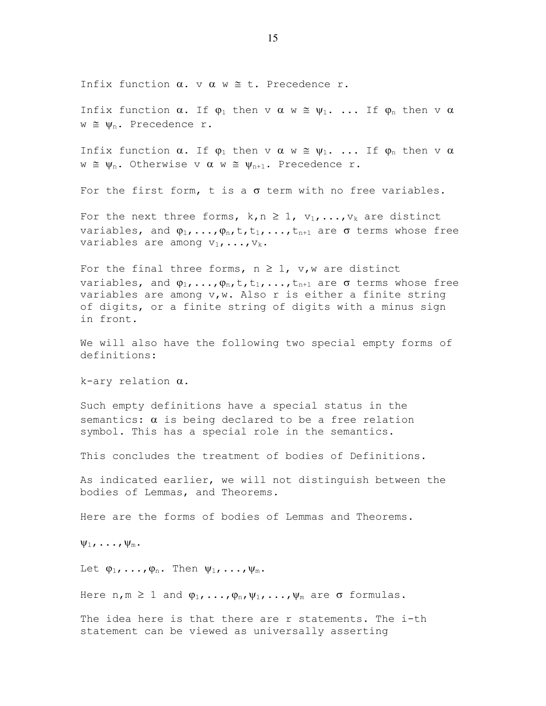Infix function  $\alpha$ . v  $\alpha$  w  $\approx$  t. Precedence r.

Infix function  $\alpha$ . If  $\varphi_1$  then v  $\alpha$  w  $\cong \psi_1$ . ... If  $\varphi_n$  then v  $\alpha$  $w \cong W_n$ . Precedence r.

Infix function  $\alpha$ . If  $\varphi_1$  then v  $\alpha$  w  $\cong \psi_1$ . ... If  $\varphi_n$  then v  $\alpha$  $w \cong \Psi_n$ . Otherwise v  $\alpha$  w  $\cong \Psi_{n+1}$ . Precedence r.

For the first form, t is a  $\sigma$  term with no free variables.

For the next three forms,  $k, n \ge 1$ ,  $v_1, \ldots, v_k$  are distinct variables, and  $\varphi_1, \ldots, \varphi_n, t, t_1, \ldots, t_{n+1}$  are  $\sigma$  terms whose free variables are among  $v_1, \ldots, v_k$ .

For the final three forms,  $n \geq 1$ ,  $v,w$  are distinct variables, and  $\varphi_1, \ldots, \varphi_n, t, t_1, \ldots, t_{n+1}$  are  $\sigma$  terms whose free variables are among v,w. Also r is either a finite string of digits, or a finite string of digits with a minus sign in front.

We will also have the following two special empty forms of definitions:

k-ary relation  $\alpha$ .

Such empty definitions have a special status in the semantics:  $\alpha$  is being declared to be a free relation symbol. This has a special role in the semantics.

This concludes the treatment of bodies of Definitions.

As indicated earlier, we will not distinguish between the bodies of Lemmas, and Theorems.

Here are the forms of bodies of Lemmas and Theorems.

 $\Psi_1,\ldots,\Psi_m$ .

Let  $\varphi_1, \ldots, \varphi_n$ . Then  $\psi_1, \ldots, \psi_m$ .

Here  $n,m \geq 1$  and  $\varphi_1, \ldots, \varphi_n, \psi_1, \ldots, \psi_m$  are  $\sigma$  formulas.

The idea here is that there are r statements. The i-th statement can be viewed as universally asserting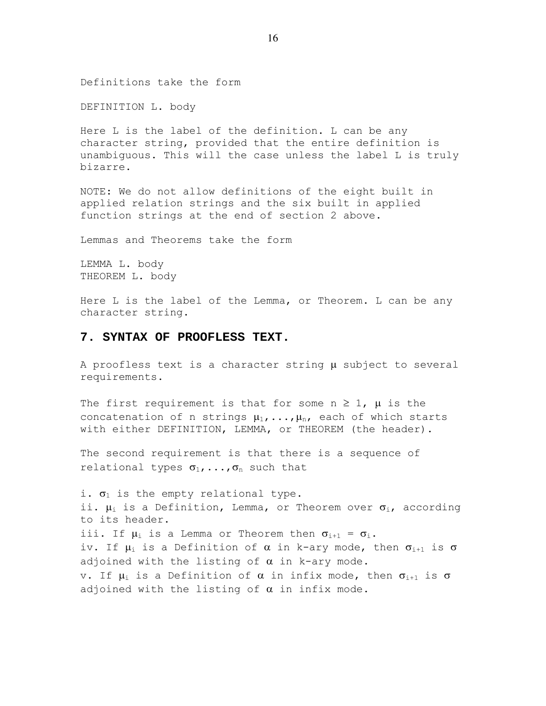Definitions take the form

DEFINITION L. body

Here L is the label of the definition. L can be any character string, provided that the entire definition is unambiguous. This will the case unless the label L is truly bizarre.

NOTE: We do not allow definitions of the eight built in applied relation strings and the six built in applied function strings at the end of section 2 above.

Lemmas and Theorems take the form

LEMMA L. body THEOREM L. body

Here L is the label of the Lemma, or Theorem. L can be any character string.

#### **7. SYNTAX OF PROOFLESS TEXT.**

A proofless text is a character string  $\mu$  subject to several requirements.

The first requirement is that for some  $n \geq 1$ ,  $\mu$  is the concatenation of n strings  $\mu_1, \ldots, \mu_n$ , each of which starts with either DEFINITION, LEMMA, or THEOREM (the header).

The second requirement is that there is a sequence of relational types  $\sigma_1, \ldots, \sigma_n$  such that

i.  $\sigma_1$  is the empty relational type. ii.  $\mu_i$  is a Definition, Lemma, or Theorem over  $\sigma_i$ , according to its header. iii. If  $\mu_i$  is a Lemma or Theorem then  $\sigma_{i+1} = \sigma_i$ . iv. If  $\mu_i$  is a Definition of  $\alpha$  in k-ary mode, then  $\sigma_{i+1}$  is  $\sigma$ adjoined with the listing of  $\alpha$  in k-ary mode. v. If  $\mu_i$  is a Definition of  $\alpha$  in infix mode, then  $\sigma_{i+1}$  is  $\sigma$ adjoined with the listing of  $\alpha$  in infix mode.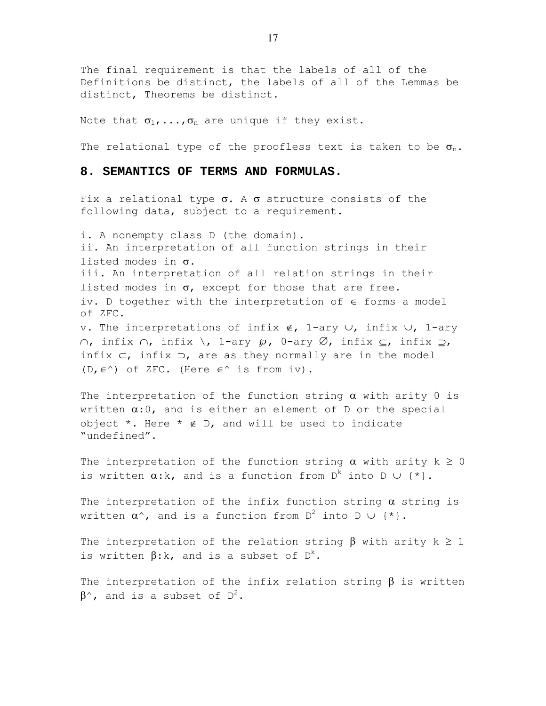The final requirement is that the labels of all of the Definitions be distinct, the labels of all of the Lemmas be distinct, Theorems be distinct.

Note that  $\sigma_1, \ldots, \sigma_n$  are unique if they exist.

The relational type of the proofless text is taken to be  $\sigma_n$ .

## **8. SEMANTICS OF TERMS AND FORMULAS.**

Fix a relational type  $\sigma$ . A  $\sigma$  structure consists of the following data, subject to a requirement.

i. A nonempty class D (the domain). ii. An interpretation of all function strings in their listed modes in  $\sigma$ . iii. An interpretation of all relation strings in their listed modes in  $\sigma$ , except for those that are free. iv. D together with the interpretation of ∈ forms a model of ZFC. v. The interpretations of infix ∉, 1-ary ∪, infix ∪, 1-ary  $\cap$ , infix  $\cap$ , infix  $\setminus$ , 1-ary  $\wp$ , 0-ary  $\varnothing$ , infix  $\subseteq$ , infix  $\supseteq$ , infix ⊂, infix ⊃, are as they normally are in the model (D,∈^) of ZFC. (Here ∈^ is from iv).

The interpretation of the function string  $\alpha$  with arity 0 is written  $\alpha:0$ , and is either an element of D or the special object  $*$ . Here  $* \notin D$ , and will be used to indicate "undefined".

The interpretation of the function string  $\alpha$  with arity  $k \ge 0$ is written  $\alpha: k$ , and is a function from  $D^k$  into  $D \cup \{ * \}$ .

The interpretation of the infix function string  $\alpha$  string is written  $\alpha^{\wedge}$ , and is a function from  $D^2$  into D  $\cup$  {\*}.

The interpretation of the relation string  $\beta$  with arity  $k \geq 1$ is written  $\beta: k$ , and is a subset of  $D^k$ .

The interpretation of the infix relation string  $\beta$  is written  $\beta^\wedge$ , and is a subset of  $\mathsf{D}^2.$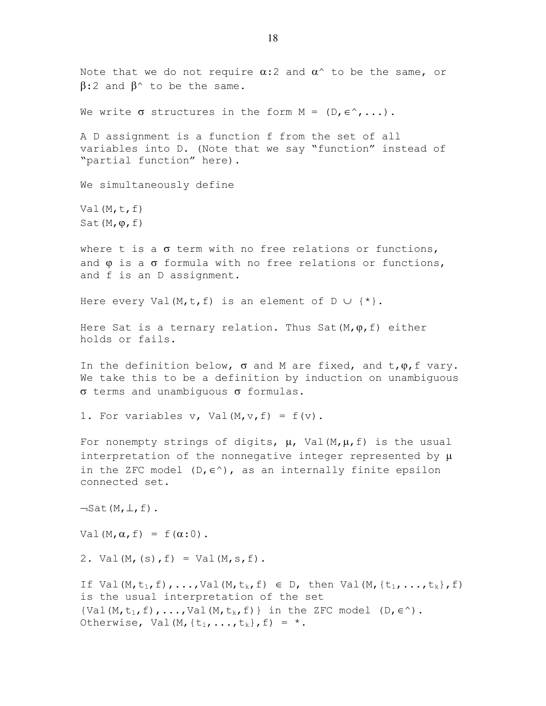Note that we do not require  $\alpha:2$  and  $\alpha^*$  to be the same, or  $β:2$  and  $β<sup>^</sup>$  to be the same. We write  $\sigma$  structures in the form  $M = (D, \epsilon^*, \dots)$ . A D assignment is a function f from the set of all variables into D. (Note that we say "function" instead of "partial function" here). We simultaneously define Val $(M, t, f)$ Sat $(M, \varphi, f)$ where t is a  $\sigma$  term with no free relations or functions, and  $\varphi$  is a  $\sigma$  formula with no free relations or functions, and f is an D assignment. Here every Val(M,t,f) is an element of  $D \cup \{ \star \}$ . Here Sat is a ternary relation. Thus Sat(M, $\varphi$ , f) either holds or fails. In the definition below,  $\sigma$  and M are fixed, and  $t, \varphi, f$  vary. We take this to be a definition by induction on unambiguous σ terms and unambiguous σ formulas. 1. For variables v, Val $(M, v, f) = f(v)$ . For nonempty strings of digits,  $\mu$ , Val(M, $\mu$ , f) is the usual interpretation of the nonnegative integer represented by  $\mu$ in the ZFC model  $(D, \epsilon^*)$ , as an internally finite epsilon connected set.  $\neg$ Sat $(M, \perp, f)$ . Val $(M,\alpha,f) = f(\alpha:0)$ . 2. Val $(M, (s), f) = Val(M, s, f)$ . If Val(M,t<sub>1</sub>,f),...,Val(M,t<sub>k</sub>,f)  $\in$  D, then Val(M,{t<sub>1</sub>,...,t<sub>k</sub>},f) is the usual interpretation of the set  $\{Val(M, t_1, f), \ldots, Val(M, t_k, f)\}\$  in the ZFC model  $(D, \in \hat{\ })$ . Otherwise, Val $(M, \{t_1, \ldots, t_k\}, f) = *$ .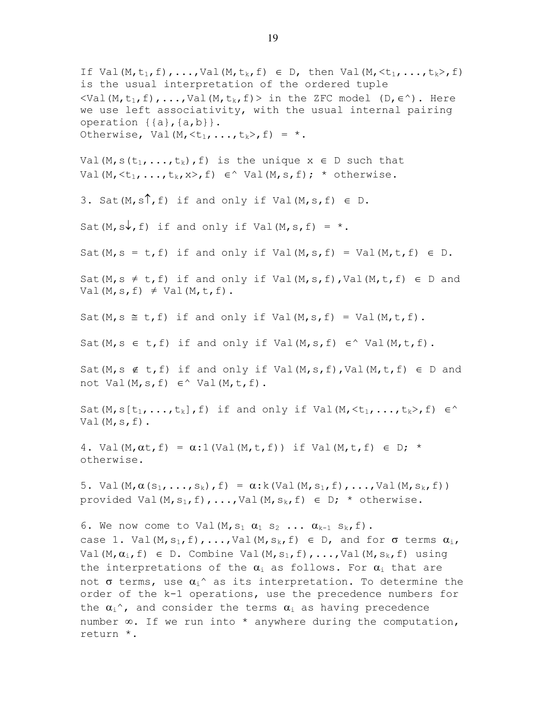```
If Val(M,t<sub>1</sub>,f),...,Val(M,t<sub>k</sub>,f) \in D, then Val(M,<t<sub>1</sub>,...,t<sub>k</sub>>,f)
is the usual interpretation of the ordered tuple 
\forallVal(M,t<sub>1</sub>,f),...,Val(M,t<sub>k</sub>,f)> in the ZFC model (D,\in^). Here
we use left associativity, with the usual internal pairing 
operation \{\{a\},\{a,b\}\}\.
Otherwise, Val(M, \langle t_1, \ldots, t_k \rangle, f) = *.
Val(M, s(t_1,...,t_k), f) is the unique x \in D such that
Val(M, \langle t_1, \ldots, t_k, x \rangle, f \in \hat{A} Val(M, s, f); * otherwise.
3. Sat(M,s<sup>\uparrow</sup>,f) if and only if Val(M,s,f) \in D.
Sat(M, s\downarrow, f) if and only if Val(M, s, f) = *.
Sat(M, s = t, f) if and only if Val(M, s, f) = Val(M, t, f) \in D.
Sat(M, s \neq t, f) if and only if Val(M, s, f), Val(M, t, f) \in D and
Val(M, s, f) \neq Val(M, t, f).Sat(M,s \cong t, f) if and only if Val(M,s, f) = Val(M,t, f).
Sat(M, s \in t, f) if and only if Val(M, s, f) \in ^ Val(M, t, f).
Sat(M, s \notin t, f) if and only if Val(M, s, f), Val(M, t, f) \in D and
not Val(M,s,f) \in \hat{N} Val(M,t,f).
Sat(M,s[t<sub>1</sub>,...,t<sub>k</sub>],f) if and only if Val(M, \langle t_1, \ldots, t_k \rangle,f) \in ^
Val(M,s,f).
4. Val(M, \alpha t, f) = \alpha : 1 (Val(M, t, f)) if Val(M, t, f) \in D; *
otherwise. 
5. Val(M, \alpha(s_1, \ldots, s_k), f) = \alpha: k(\text{Val}(M, s_1, f), \ldots, \text{Val}(M, s_k, f))provided Val(M, s_1, f), \ldots, \text{Val}(M, s_k, f) \in D; * otherwise.
6. We now come to Val(M, s_1, \alpha_1, s_2, \ldots, \alpha_{k-1}, s_k, f).
case 1. Val(M, s_1, f), \ldots,Val(M, s_k, f) \in D, and for \sigma terms \alpha_i,
Val(M, \alpha_i, f) \in D. Combine Val(M, s_1, f),..., Val(M, s_k, f) using
the interpretations of the \alpha_i as follows. For \alpha_i that are
not \sigma terms, use \alpha_i^{\wedge} as its interpretation. To determine the
order of the k-1 operations, use the precedence numbers for 
the \alpha_i^{\wedge}, and consider the terms \alpha_i as having precedence
number ∞. If we run into * anywhere during the computation, 
return *.
```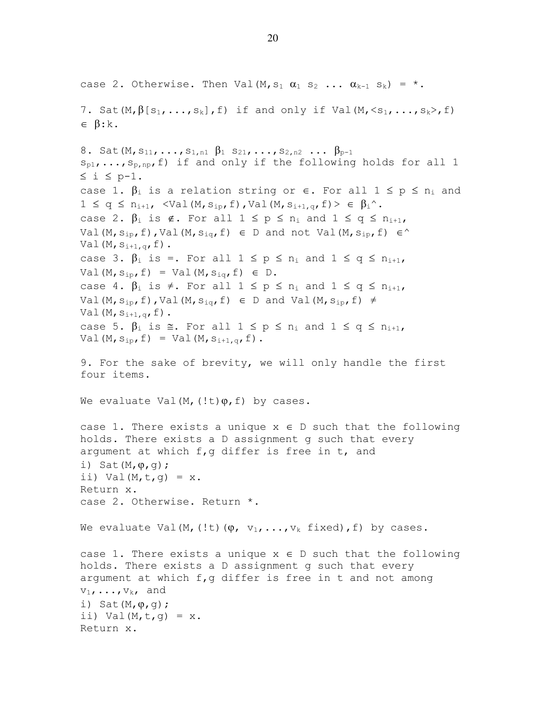```
case 2. Otherwise. Then Val(M, s_1 \alpha_1 s_2 ... \alpha_{k-1} s_k) = *.
7. Sat(M,\beta[s_1,\ldots,s_k],f) if and only if Val(M,\langle s_1,\ldots,s_k\rangle,f)
∈ β:k. 
8. Sat (M, s_{11}, \ldots, s_{1,n1} \beta_1 s_{21}, \ldots, s_{2,n2} \ldots \beta_{p-1}s_{p1}, \ldots, s_{p, np}, f) if and only if the following holds for all 1
≤ i ≤ p-1. 
case 1. \beta_i is a relation string or \in. For all 1 \leq p \leq n<sub>i</sub> and
1 \leq q \leq n_{i+1}, \langle \text{Val}(M, s_{ip}, f) \rangle, Val(M, s_{i+1,q}, f) \rangle \in \beta_i.
case 2. \beta_i is \notin. For all 1 \leq p \leq n_i and 1 \leq q \leq n_{i+1},
Val(M, S_{\text{ip}}(f), Val(M, S_{\text{iq}}(f) \in D and not Val(M, S_{\text{ip}}(f) \in \hat{C}Val(M, s_{i+1,q}, f).
case 3. \beta_i is =. For all 1 \le p \le n_i and 1 \le q \le n_{i+1},
Val(M, s_{ip}f) = Val(M, s_{iq}f) \in D.
case 4. \beta_i is \neq. For all 1 \leq p \leq n_i and 1 \leq q \leq n_{i+1},
Val(M, s_{ip}, f), Val(M, s_{iq}, f) \in D and Val(M, s_{ip}, f) \neqVal(M, s_{i+1,q}, f).
case 5. \beta_i is ≅. For all 1 \leq p \leq n_i and 1 \leq q \leq n_{i+1},
Val(M, s_{ip}f) = Val(M, s_{i+1,q}f).
9. For the sake of brevity, we will only handle the first 
four items. 
We evaluate Val(M, (!t)\varphi, f) by cases.
case 1. There exists a unique x \in D such that the following
holds. There exists a D assignment g such that every 
argument at which f,g differ is free in t, and 
i) Sat(M,\varphi,q);ii) Val(M, t, q) = x.
Return x. 
case 2. Otherwise. Return *. 
We evaluate Val(M,(!t)(\varphi, v_1, \ldots, v_k fixed), f) by cases.
case 1. There exists a unique x \in D such that the following
holds. There exists a D assignment g such that every 
argument at which f,g differ is free in t and not among 
v_1, \ldots, v_k, and
i) Sat(M, \phi, q);
ii) Val(M, t, q) = x.
Return x.
```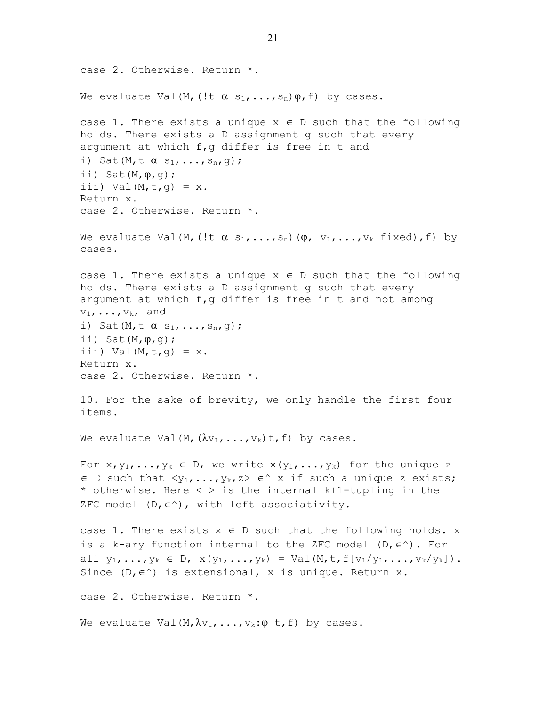```
case 2. Otherwise. Return *. 
We evaluate Val(M, (!t \alpha s<sub>1</sub>,..., s<sub>n</sub>)\varphi, f) by cases.
case 1. There exists a unique x \in D such that the following
holds. There exists a D assignment g such that every 
argument at which f,g differ is free in t and 
i) Sat(M, t \alpha s_1, \ldots, s_n, g);
ii) Sat(M, \phi, q);
iii) Val(M, t, q) = x.
Return x. 
case 2. Otherwise. Return *. 
We evaluate Val(M, (!t \alpha s<sub>1</sub>, ..., s<sub>n</sub>) (\varphi, v_1, ..., v_k fixed), f) by
cases. 
case 1. There exists a unique x \in D such that the following
holds. There exists a D assignment g such that every 
argument at which f,g differ is free in t and not among 
v_1, \ldots, v_k, and
i) Sat(M,t \alpha s<sub>1</sub>,...,s<sub>n</sub>,g);
ii) Sat(M, \phi, q);
iii) Val(M, t, g) = x.
Return x. 
case 2. Otherwise. Return *. 
10. For the sake of brevity, we only handle the first four 
items. 
We evaluate Val(M, (\lambda v_1, \ldots, v_k)t, f) by cases.
For x, y_1, \ldots, y_k \in D, we write x(y_1, \ldots, y_k) for the unique z
∈ D such that \langle y_1, ..., y_k, z \rangle ∈^ x if such a unique z exists;
* otherwise. Here \langle > is the internal k+1-tupling in the
ZFC model (D, \epsilon^*), with left associativity.
case 1. There exists x \in D such that the following holds. x
is a k-ary function internal to the ZFC model (D,\epsilon^{\wedge}). For
all y_1, ..., y_k \in D, x(y_1, ..., y_k) = Val(M, t, f[v_1/y_1, ..., v_k/y_k]).
Since (D, \epsilon^{\wedge}) is extensional, x is unique. Return x.
case 2. Otherwise. Return *. 
We evaluate Val(M,\lambda v_1, \ldots, v_k : \varphi t, f) by cases.
```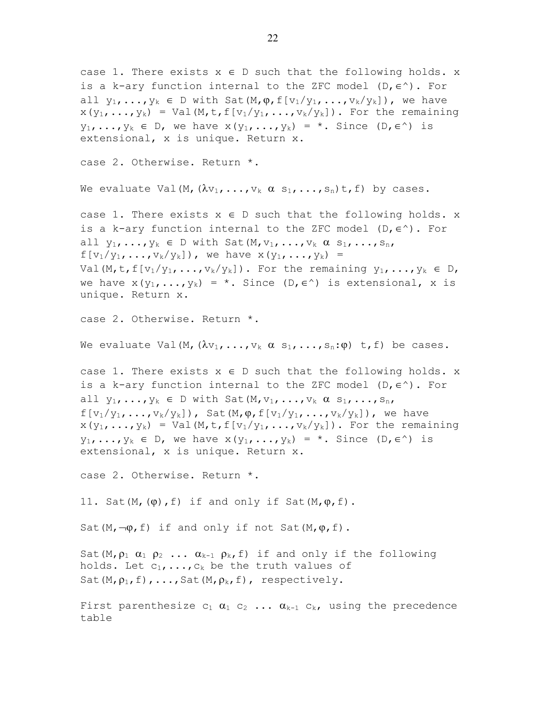case 1. There exists  $x \in D$  such that the following holds. x is a k-ary function internal to the ZFC model (D, $\in$ <sup>^</sup>). For all  $y_1, \ldots, y_k \in D$  with Sat $(M, \varphi, f[v_1/y_1, \ldots, v_k/y_k])$ , we have  $x(y_1, \ldots, y_k) = \text{Val}(M, t, f[v_1/y_1, \ldots, v_k/y_k])$ . For the remaining  $y_1, \ldots, y_k \in D$ , we have  $x(y_1, \ldots, y_k) = *$ . Since  $(D, \in \hat{C})$  is extensional, x is unique. Return x. case 2. Otherwise. Return \*. We evaluate Val(M,  $(\lambda v_1, \ldots, v_k \alpha s_1, \ldots, s_n)$ t, f) by cases. case 1. There exists  $x \in D$  such that the following holds. x is a k-ary function internal to the ZFC model (D, $\epsilon^{\wedge}$ ). For all  $y_1, \ldots, y_k \in D$  with Sat $(M, v_1, \ldots, v_k \alpha s_1, \ldots, s_n,$  $f[v_1/y_1, \ldots, v_k/y_k]$ ), we have  $x(y_1, \ldots, y_k)$  = Val(M,t,f[v<sub>1</sub>/y<sub>1</sub>,...,v<sub>k</sub>/y<sub>k</sub>]). For the remaining  $y_1, \ldots, y_k \in D$ , we have  $x(y_1,...,y_k) = *$ . Since (D,  $\epsilon^{\wedge}$ ) is extensional, x is unique. Return x. case 2. Otherwise. Return \*. We evaluate Val(M,  $(\lambda v_1, \ldots, v_k \alpha s_1, \ldots, s_n; \varphi)$  t, f) be cases. case 1. There exists  $x \in D$  such that the following holds. x is a k-ary function internal to the ZFC model (D, $\epsilon^{\wedge}$ ). For all  $y_1, \ldots, y_k \in D$  with Sat $(M, v_1, \ldots, v_k \alpha s_1, \ldots, s_n,$  $f[v_1/y_1,...,v_k/y_k]$ , Sat $(M, \varphi, f[v_1/y_1,...,v_k/y_k])$ , we have  $x(y_1,\ldots,y_k) = \text{Val}(M, t, f[v_1/y_1,\ldots,v_k/y_k])$ . For the remaining  $y_1, \ldots, y_k \in D$ , we have  $x(y_1, \ldots, y_k) = *$ . Since  $(D, \in \hat{C})$  is extensional, x is unique. Return x. case 2. Otherwise. Return \*. 11. Sat(M,( $\varphi$ ),f) if and only if Sat(M, $\varphi$ ,f). Sat(M, $\neg \varphi$ ,f) if and only if not Sat(M, $\varphi$ ,f). Sat(M,  $\rho_1$   $\alpha_1$   $\rho_2$  ...  $\alpha_{k-1}$   $\rho_k$ , f) if and only if the following holds. Let  $c_1, \ldots, c_k$  be the truth values of Sat(M,  $\rho_1$ , f),..., Sat(M,  $\rho_k$ , f), respectively. First parenthesize  $c_1 \alpha_1 \alpha_2 \ldots \alpha_{k-1} \alpha_k$ , using the precedence table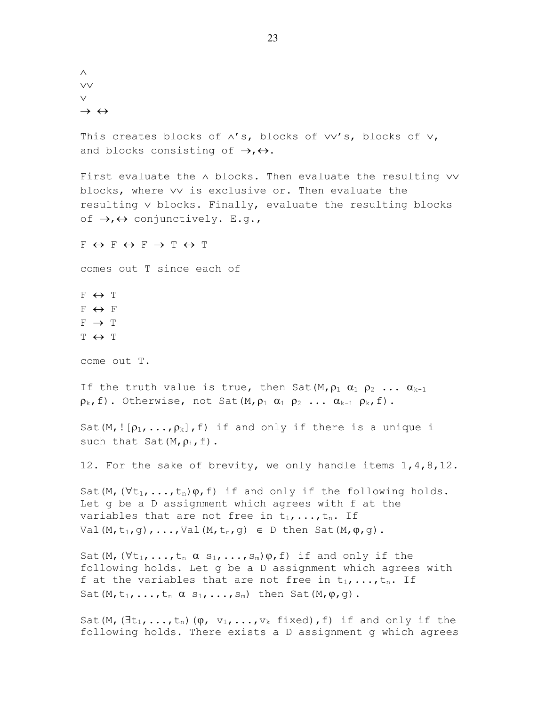∧ ∨∨ ∨  $\rightarrow \leftrightarrow$ 

This creates blocks of ∧'s, blocks of ∨∨'s, blocks of ∨, and blocks consisting of  $\rightarrow$ ,  $\leftrightarrow$ .

First evaluate the ∧ blocks. Then evaluate the resulting ∨∨ blocks, where ∨∨ is exclusive or. Then evaluate the resulting ∨ blocks. Finally, evaluate the resulting blocks of  $\rightarrow$ ,  $\leftrightarrow$  conjunctively. E.g.,

 $F \leftrightarrow F \leftrightarrow F \rightarrow T \leftrightarrow T$ comes out T since each of  $F \leftrightarrow T$  $F \leftrightarrow F$  $F \rightarrow T$  $T \leftrightarrow T$ come out T. If the truth value is true, then Sat  $(M, \rho_1 \alpha_1 \rho_2 \ldots \alpha_{k-1})$  $\rho_k$ ,f). Otherwise, not Sat(M, $\rho_1$   $\alpha_1$   $\rho_2$  ...  $\alpha_{k-1}$   $\rho_k$ ,f). Sat(M, ! $[p_1, \ldots, p_k]$ , f) if and only if there is a unique i such that  $Sat(M, \rho_i, f)$ . 12. For the sake of brevity, we only handle items 1,4,8,12. Sat(M,( $\forall$ t<sub>1</sub>,...,t<sub>n</sub>) $\varphi$ ,f) if and only if the following holds. Let g be a D assignment which agrees with f at the variables that are not free in  $t_1, \ldots, t_n$ . If Val(M,t<sub>1</sub>,g),...,Val(M,t<sub>n</sub>,g)  $\in$  D then Sat(M, $\varphi$ ,g). Sat(M,( $\forall$ t<sub>1</sub>,...,t<sub>n</sub>  $\alpha$  s<sub>1</sub>,...,s<sub>m</sub>) $\varphi$ ,f) if and only if the following holds. Let g be a D assignment which agrees with f at the variables that are not free in  $t_1, \ldots, t_n$ . If Sat(M,t<sub>1</sub>,...,t<sub>n</sub>  $\alpha$  s<sub>1</sub>,...,s<sub>m</sub>) then Sat(M, $\varphi$ ,q). Sat(M,( $\exists t_1, \ldots, t_n$ )( $\varphi$ ,  $v_1, \ldots, v_k$  fixed),f) if and only if the following holds. There exists a D assignment g which agrees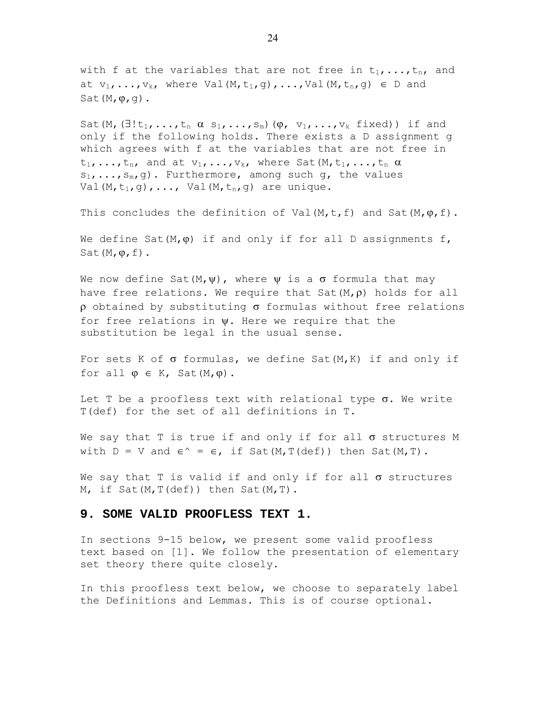with f at the variables that are not free in  $t_1, \ldots, t_n$ , and at  $v_1$ ,..., $v_k$ , where Val(M,t<sub>1</sub>,g),...,Val(M,t<sub>n</sub>,g)  $\in$  D and Sat $(M, \varphi, g)$ .

Sat(M,( $\exists$ !t<sub>1</sub>,...,t<sub>n</sub>  $\alpha$  s<sub>1</sub>,...,s<sub>m</sub>)( $\varphi$ , v<sub>1</sub>,...,v<sub>k</sub> fixed)) if and only if the following holds. There exists a D assignment g which agrees with f at the variables that are not free in  $t_1, \ldots, t_n$ , and at  $v_1, \ldots, v_k$ , where Sat  $(M, t_1, \ldots, t_n \alpha)$  $s_1, \ldots, s_m, g$ ). Furthermore, among such g, the values Val(M,t<sub>1</sub>, q),..., Val(M,t<sub>n</sub>, q) are unique.

This concludes the definition of Val(M,t,f) and Sat(M, $\varphi$ ,f).

We define Sat(M, $\varphi$ ) if and only if for all D assignments f, Sat $(M, \varphi, f)$ .

We now define Sat(M,  $\psi$ ), where  $\psi$  is a  $\sigma$  formula that may have free relations. We require that  $Sat(M, \rho)$  holds for all  $ρ$  obtained by substituting  $σ$  formulas without free relations for free relations in  $\psi$ . Here we require that the substitution be legal in the usual sense.

For sets K of  $\sigma$  formulas, we define Sat(M, K) if and only if for all  $\varphi \in K$ , Sat $(M, \varphi)$ .

Let T be a proofless text with relational type  $\sigma$ . We write T(def) for the set of all definitions in T.

We say that T is true if and only if for all  $\sigma$  structures M with  $D = V$  and  $\in^{\wedge} = \in$ , if Sat(M, T(def)) then Sat(M, T).

We say that T is valid if and only if for all  $\sigma$  structures  $M$ , if Sat(M, T(def)) then Sat(M, T).

## **9. SOME VALID PROOFLESS TEXT 1.**

In sections 9-15 below, we present some valid proofless text based on [1]. We follow the presentation of elementary set theory there quite closely.

In this proofless text below, we choose to separately label the Definitions and Lemmas. This is of course optional.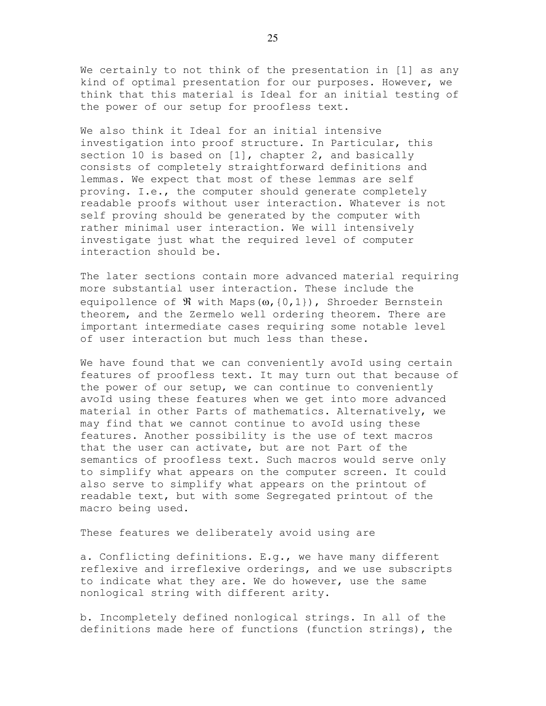We certainly to not think of the presentation in [1] as any kind of optimal presentation for our purposes. However, we think that this material is Ideal for an initial testing of the power of our setup for proofless text.

We also think it Ideal for an initial intensive investigation into proof structure. In Particular, this section 10 is based on [1], chapter 2, and basically consists of completely straightforward definitions and lemmas. We expect that most of these lemmas are self proving. I.e., the computer should generate completely readable proofs without user interaction. Whatever is not self proving should be generated by the computer with rather minimal user interaction. We will intensively investigate just what the required level of computer interaction should be.

The later sections contain more advanced material requiring more substantial user interaction. These include the equipollence of  $\Re$  with Maps( $\omega$ , {0,1}), Shroeder Bernstein theorem, and the Zermelo well ordering theorem. There are important intermediate cases requiring some notable level of user interaction but much less than these.

We have found that we can conveniently avoId using certain features of proofless text. It may turn out that because of the power of our setup, we can continue to conveniently avoId using these features when we get into more advanced material in other Parts of mathematics. Alternatively, we may find that we cannot continue to avoId using these features. Another possibility is the use of text macros that the user can activate, but are not Part of the semantics of proofless text. Such macros would serve only to simplify what appears on the computer screen. It could also serve to simplify what appears on the printout of readable text, but with some Segregated printout of the macro being used.

#### These features we deliberately avoid using are

a. Conflicting definitions. E.g., we have many different reflexive and irreflexive orderings, and we use subscripts to indicate what they are. We do however, use the same nonlogical string with different arity.

b. Incompletely defined nonlogical strings. In all of the definitions made here of functions (function strings), the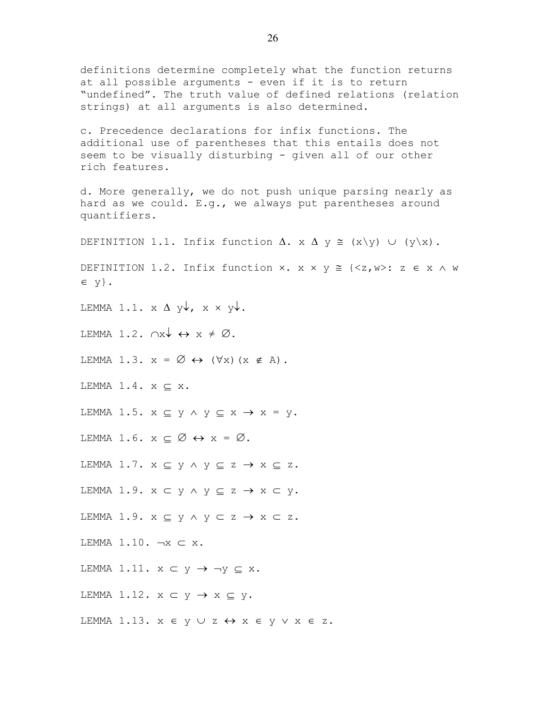definitions determine completely what the function returns at all possible arguments - even if it is to return "undefined". The truth value of defined relations (relation strings) at all arguments is also determined. c. Precedence declarations for infix functions. The additional use of parentheses that this entails does not seem to be visually disturbing - given all of our other rich features. d. More generally, we do not push unique parsing nearly as hard as we could. E.g., we always put parentheses around quantifiers. DEFINITION 1.1. Infix function  $\Delta$ . x  $\Delta$  y  $\cong$  (x\y)  $\cup$  (y\x). DEFINITION 1.2. Infix function  $\times$ .  $x \times y \cong \{ \langle z, w \rangle : z \in x \land w$ ∈ y}. LEMMA 1.1.  $x \Delta y \downarrow$ ,  $x \times y \downarrow$ . LEMMA 1.2.  $\cap x \downarrow \leftrightarrow x \neq \emptyset$ . LEMMA 1.3.  $x = \emptyset \leftrightarrow (\forall x) (x \notin A)$ . LEMMA 1.4.  $x \subseteq x$ . LEMMA 1.5.  $x \subseteq y \land y \subseteq x \rightarrow x = y$ . LEMMA 1.6.  $x \subseteq \emptyset \leftrightarrow x = \emptyset$ . LEMMA 1.7.  $x \subseteq y \land y \subseteq z \rightarrow x \subseteq z$ . LEMMA 1.9.  $x \subset y \land y \subseteq z \rightarrow x \subset y$ . LEMMA 1.9.  $x \subset y \land y \subset z \rightarrow x \subset z$ . LEMMA  $1.10.$   $\neg x \subset x$ . LEMMA 1.11.  $x \subset y \rightarrow \neg y \subseteq x$ . LEMMA 1.12.  $x \subset y \rightarrow x \subseteq y$ . LEMMA 1.13.  $x \in y \cup z \leftrightarrow x \in y \vee x \in z$ .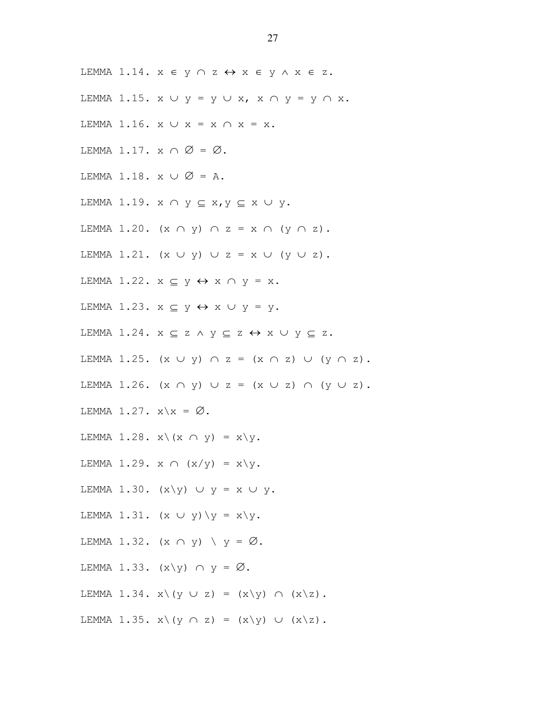LEMMA 1.14.  $x \in y \cap z \leftrightarrow x \in y \land x \in z$ . LEMMA 1.15.  $x \cup y = y \cup x$ ,  $x \cap y = y \cap x$ . LEMMA 1.16.  $x \cup x = x \cap x = x$ . LEMMA 1.17.  $x \cap \emptyset = \emptyset$ . LEMMA 1.18.  $x \cup \emptyset = A$ . LEMMA 1.19. x ∩ y ⊆ x,y ⊆ x ∪ y. LEMMA 1.20. (x ∩ y) ∩ z = x ∩ (y ∩ z). LEMMA 1.21. (x ∪ y) ∪ z = x ∪ (y ∪ z). LEMMA 1.22.  $x \subseteq y \leftrightarrow x \cap y = x$ . LEMMA 1.23.  $x \subseteq y \leftrightarrow x \cup y = y$ . LEMMA 1.24.  $x \subseteq z \land y \subseteq z \leftrightarrow x \cup y \subseteq z$ . LEMMA 1.25. (x ∪ y) ∩ z = (x ∩ z) ∪ (y ∩ z). LEMMA 1.26. (x ∩ y) ∪ z = (x ∪ z) ∩ (y ∪ z). LEMMA 1.27.  $x \ x = \emptyset$ . LEMMA 1.28.  $x \ (x \cap y) = x \ y$ . LEMMA 1.29.  $x \cap (x/y) = x\y.$ LEMMA 1.30.  $(x\y) \cup y = x \cup y$ . LEMMA 1.31.  $(x \cup y)\y = x\y$ . LEMMA 1.32.  $(x \cap y)$   $\vee$  y =  $\varnothing$ . LEMMA 1.33.  $(x \ y) \cap y = \emptyset$ . LEMMA 1.34.  $x \ (y \cup z) = (x \ y) \cap (x \ z)$ . LEMMA 1.35.  $x \ (y \cap z) = (x \ y) \cup (x \ z)$ .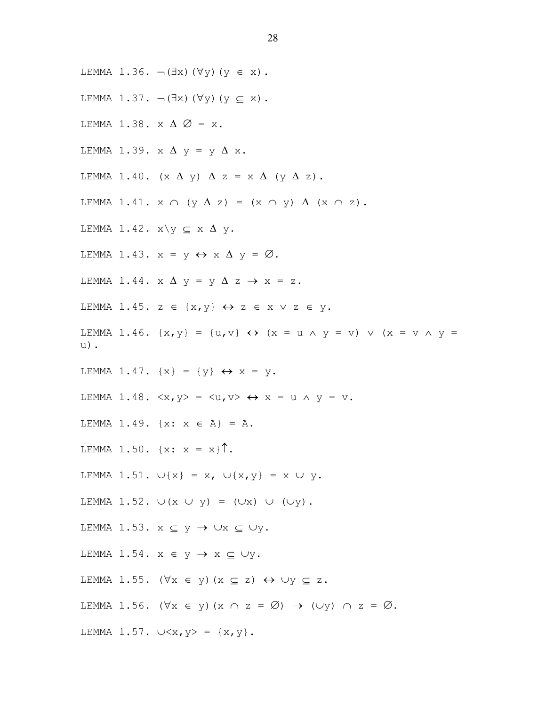LEMMA 1.36.  $\neg$ ( $\exists$ x)( $\forall$ y)( $y \in x$ ). LEMMA 1.37.  $\neg(\exists x)(\forall y)(y \subseteq x)$ . LEMMA 1.38.  $x \Delta \varnothing = x$ . LEMMA 1.39.  $x \Delta y = y \Delta x$ . LEMMA 1.40.  $(x \Delta y) \Delta z = x \Delta (y \Delta z)$ . LEMMA 1.41.  $x \cap (y \Delta z) = (x \cap y) \Delta (x \cap z)$ . LEMMA 1.42.  $x \ y \subseteq x \Delta y$ . LEMMA 1.43.  $x = y \leftrightarrow x \Delta y = \varnothing$ . LEMMA 1.44.  $x \Delta y = y \Delta z \rightarrow x = z$ . LEMMA 1.45.  $z \in \{x, y\} \leftrightarrow z \in x \lor z \in y$ . LEMMA 1.46.  $\{x,y\} = \{u,v\} \leftrightarrow (x = u \land y = v) \lor (x = v \land y = v)$ u). LEMMA 1.47.  $\{x\} = \{y\} \leftrightarrow x = y$ . LEMMA 1.48.  $\langle x, y \rangle = \langle u, v \rangle \leftrightarrow x = u \wedge y = v$ . LEMMA 1.49. { $x: x \in A$ } = A. LEMMA 1.50.  $\{x: x = x\}$ <sup>↑</sup>. LEMMA 1.51. ∪{x} = x, ∪{x, y} = x ∪ y. LEMMA 1.52. ∪(x ∪ y) = (∪x) ∪ (∪y). LEMMA 1.53. x ⊆ y → ∪x ⊆ ∪y. LEMMA 1.54.  $x \in y \rightarrow x \subseteq \cup y$ . LEMMA 1.55.  $(\forall x \in y) (x \subseteq z) \leftrightarrow \cup y \subseteq z$ . LEMMA 1.56. ( $\forall x \in y$ ) ( $x \cap z = \emptyset$ )  $\rightarrow$  ( $\cup y$ )  $\cap z = \emptyset$ . LEMMA 1.57.  $\cup \{x, y\}$  = {x, y}.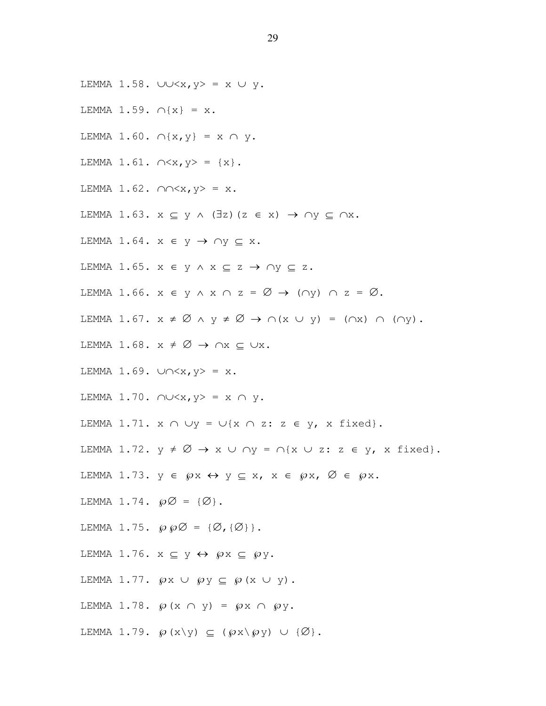# LEMMA 1.58. ∪∪ $\langle x, y \rangle = x \cup y$ .

- LEMMA 1.59.  $\cap \{x\} = x$ .
- LEMMA 1.60. ∩{x, y} = x ∩ y.
- LEMMA 1.61.  $\cap \{x,y\} = \{x\}.$
- LEMMA 1.62.  $\cap$   $\cap$   $\langle x, y \rangle = x$ .
- LEMMA 1.63.  $x \subseteq y \land (\exists z)(z \in x) \rightarrow \cap y \subseteq \cap x$ .
- LEMMA 1.64.  $x \in y \rightarrow \cap y \subseteq x$ .
- LEMMA 1.65.  $x \in y \land x \subseteq z \rightarrow \cap y \subseteq z$ .
- LEMMA 1.66.  $x \in y \land x \cap z = \emptyset \rightarrow (\bigcap y) \cap z = \emptyset$ .
- LEMMA 1.67.  $x \neq \emptyset \land y \neq \emptyset \rightarrow \cap (x \cup y) = (\cap x) \cap (\cap y)$ .
- LEMMA 1.68.  $x \neq \emptyset \rightarrow \bigcap x \subset \bigcup x$ .
- LEMMA 1.69. ∪ $\cap$  < x, y> = x.
- LEMMA 1.70.  $\cap \cup \{x, y\} = x \cap y$ .
- LEMMA 1.71.  $x \cap \bigcup y = \bigcup \{x \cap z : z \in y, x \text{ fixed}\}.$
- LEMMA 1.72.  $y \neq \emptyset \rightarrow x \cup \cap y = \cap \{x \cup z : z \in y, x \text{ fixed}\}.$
- LEMMA 1.73.  $y \in \varnothing x \leftrightarrow y \subseteq x$ ,  $x \in \varnothing x$ ,  $\varnothing \in \varnothing x$ .
- LEMMA 1.74.  $\wp \varnothing = {\varnothing}$ .
- LEMMA 1.75.  $\wp \, \wp \, \varnothing = {\varnothing, {\varnothing}}$ .
- LEMMA 1.76.  $x \subseteq y \leftrightarrow \varnothing x \subseteq \varnothing y$ .
- LEMMA 1.77.  $\wp x \cup \wp y \subseteq \wp (x \cup y)$ .
- LEMMA 1.78.  $\wp$  (x  $\cap$  y) =  $\wp$  x  $\cap$   $\wp$ y.
- LEMMA 1.79.  $\wp(x\y) \subseteq (\wp x\wp y) \cup {\emptyset}.$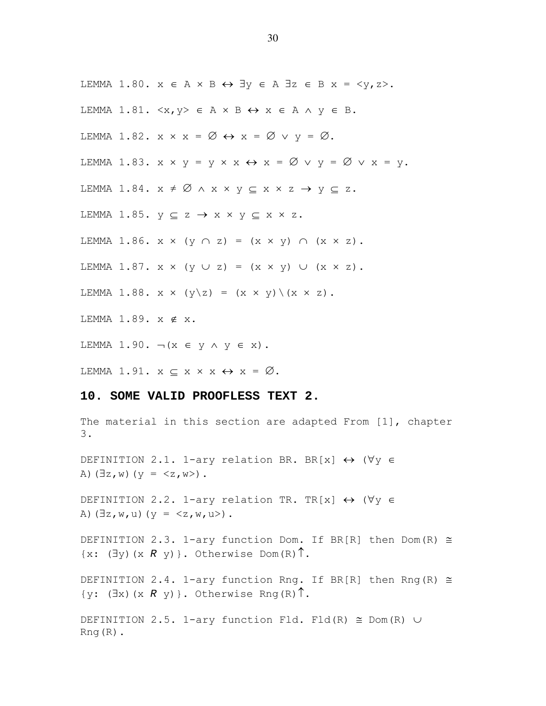LEMMA 1.80.  $x \in A \times B \leftrightarrow \exists y \in A \exists z \in B \times y = \langle y, z \rangle$ . LEMMA 1.81.  $\langle x, y \rangle \in A \times B \leftrightarrow x \in A \wedge y \in B$ . LEMMA 1.82.  $x \times x = \emptyset \leftrightarrow x = \emptyset \vee y = \emptyset$ . LEMMA 1.83.  $x \times y = y \times x \leftrightarrow x = \emptyset \vee y = \emptyset \vee x = y$ . LEMMA 1.84.  $x \neq \emptyset \land x \times y \subseteq x \times z \rightarrow y \subseteq z$ . LEMMA 1.85.  $y \subseteq z \rightarrow x \times y \subseteq x \times z$ . LEMMA 1.86.  $x \times (y \cap z) = (x \times y) \cap (x \times z)$ . LEMMA 1.87.  $x \times (y \cup z) = (x \times y) \cup (x \times z)$ . LEMMA 1.88.  $x \times (y \setminus z) = (x \times y) \setminus (x \times z)$ . LEMMA 1.89. x ∉ x. LEMMA 1.90.  $\neg(x \in y \land y \in x)$ . LEMMA 1.91.  $x \subseteq x \times x \leftrightarrow x = \emptyset$ .

## **10. SOME VALID PROOFLESS TEXT 2.**

The material in this section are adapted From [1], chapter 3. DEFINITION 2.1. 1-ary relation BR. BR[x]  $\leftrightarrow$  ( $\forall y \in$ A)  $(\exists z,w)$  (y =  $\langle z,w\rangle$ ). DEFINITION 2.2. 1-ary relation TR. TR[x]  $\leftrightarrow$  ( $\forall y \in$ A)  $(\exists z, w, u)$  (y =  $\langle z, w, u \rangle$ ). DEFINITION 2.3. 1-ary function Dom. If BR[R] then Dom(R) ≅  ${x: (\exists y) (x R y)}.$  Otherwise Dom(R)<sup>↑</sup>. DEFINITION 2.4. 1-ary function Rng. If BR[R] then Rng(R)  $\cong$  ${y:}$   $(\exists x)(x R y)$ . Otherwise Rng $(R)$ <sup>↑</sup>. DEFINITION 2.5. 1-ary function Fld. Fld(R) ≅ Dom(R) ∪ Rng(R).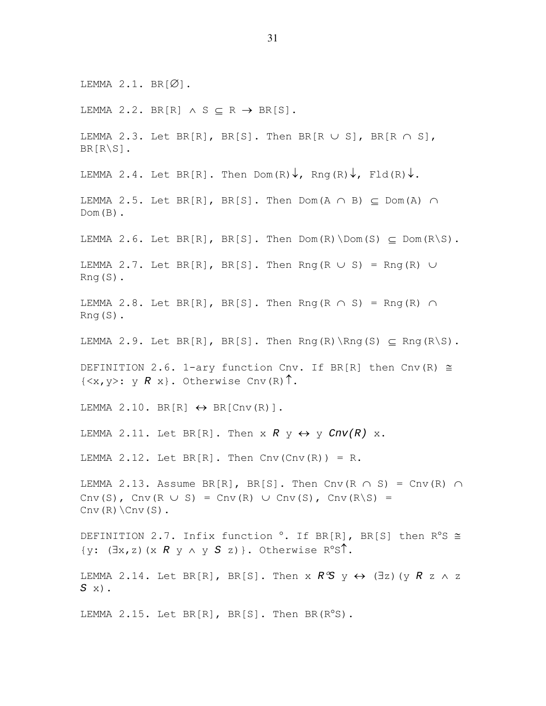LEMMA 2.1.  $BR[\emptyset]$ . LEMMA 2.2. BR[R]  $\land$  S  $\subseteq$  R  $\rightarrow$  BR[S]. LEMMA 2.3. Let BR[R], BR[S]. Then BR[R  $\cup$  S], BR[R  $\cap$  S],  $BR[R\ S]$ . LEMMA 2.4. Let BR[R]. Then Dom(R)  $\downarrow$ , Rnq(R)  $\downarrow$ , Fld(R)  $\downarrow$ . LEMMA 2.5. Let BR[R], BR[S]. Then Dom(A ∩ B)  $\subseteq$  Dom(A) ∩ Dom(B). LEMMA 2.6. Let  $BR[R]$ ,  $BR[S]$ . Then  $Dom(R) \mod(S) \subseteq Dom(R\backslash S)$ . LEMMA 2.7. Let BR[R], BR[S]. Then Rng(R  $\cup$  S) = Rng(R)  $\cup$ Rng(S). LEMMA 2.8. Let BR[R], BR[S]. Then Rng(R  $\cap$  S) = Rng(R)  $\cap$ Rng(S). LEMMA 2.9. Let BR[R], BR[S]. Then Rng(R) \Rng(S)  $\subseteq$  Rng(R\S). DEFINITION 2.6. 1-ary function Cnv. If BR[R] then Cnv(R)  $\cong$ {<x,y>: y *R* x}. Otherwise Cnv(R)↑. LEMMA 2.10. BR[R]  $\leftrightarrow$  BR[Cnv(R)]. LEMMA 2.11. Let BR[R]. Then x R y  $\leftrightarrow$  y  $\text{Cnv}(R)$  x. LEMMA 2.12. Let  $BR[R]$ . Then  $Cnv(R)$  = R. LEMMA 2.13. Assume BR[R], BR[S]. Then Cnv(R  $\cap$  S) = Cnv(R)  $\cap$ Cnv(S), Cnv(R ∪ S) = Cnv(R) ∪ Cnv(S), Cnv(R\S) =  $Cnv(R)\setminus Cnv(S)$ . DEFINITION 2.7. Infix function °. If BR[R], BR[S] then  $R^{\circ}S \cong$ {y: (∃x,z)(x *R* y ∧ y *S* z)}. Otherwise R°S↑. LEMMA 2.14. Let BR[R], BR[S]. Then x  $R^{\circ}S$  y  $\leftrightarrow$  ( $\exists z$ ) (y  $R$  z  $\land$  z *S* x). LEMMA 2.15. Let  $BR[R]$ ,  $BR[S]$ . Then  $BR(R^{\circ}S)$ .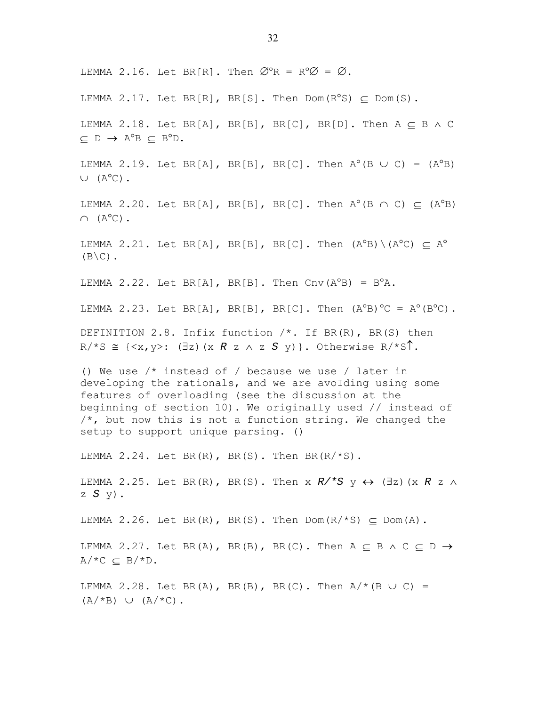LEMMA 2.16. Let BR[R]. Then  $\varnothing^{\circ}$ R = R $^{\circ}\varnothing$  =  $\varnothing$ . LEMMA 2.17. Let BR[R], BR[S]. Then  $Dom(R^{\circ}S) \subseteq Dom(S)$ . LEMMA 2.18. Let BR[A], BR[B], BR[C], BR[D]. Then  $A \subset B \wedge C$  $\subset D \rightarrow A^{\circ}B \subset B^{\circ}D$ . LEMMA 2.19. Let BR[A], BR[B], BR[C]. Then  $A^{\circ}(B \cup C) = (A^{\circ}B)$ ∪ (A°C). LEMMA 2.20. Let BR[A], BR[B], BR[C]. Then  $A^{\circ}(B \cap C) \subset (A^{\circ}B)$  $\cap$   $(A^{\circ}C)$ . LEMMA 2.21. Let BR[A], BR[B], BR[C]. Then  $(A^{\circ}B) \setminus (A^{\circ}C) \subseteq A^{\circ}$  $(B\setminus C)$ . LEMMA 2.22. Let BR[A], BR[B]. Then  $Cnv(A^{\circ}B) = B^{\circ}A$ . LEMMA 2.23. Let BR[A], BR[B], BR[C]. Then  $(A^{\circ}B)^{\circ}C = A^{\circ}(B^{\circ}C)$ . DEFINITION 2.8. Infix function  $/*$ . If BR(R), BR(S) then R/\*S ≅ {<x,y>: (∃z)(x *R* z ∧ z *S* y)}. Otherwise R/\*S↑. () We use  $/*$  instead of  $/$  because we use  $/$  later in developing the rationals, and we are avoIding using some features of overloading (see the discussion at the beginning of section 10). We originally used // instead of  $/*$ , but now this is not a function string. We changed the setup to support unique parsing. () LEMMA 2.24. Let BR(R), BR(S). Then BR(R/\*S). LEMMA 2.25. Let BR(R), BR(S). Then x  $R/*S$  y  $\leftrightarrow$  ( $\exists z$ ) (x R z  $\land$ z *S* y). LEMMA 2.26. Let BR(R), BR(S). Then  $Dom(R/*S) \subset Dom(A)$ . LEMMA 2.27. Let BR(A), BR(B), BR(C). Then A  $\subseteq$  B  $\land$  C  $\subseteq$  D  $\rightarrow$  $A$ /\*C  $\subseteq B$ /\*D. LEMMA 2.28. Let BR(A), BR(B), BR(C). Then  $A/* (B \cup C) =$  $(A/*B) \cup (A/*C)$ .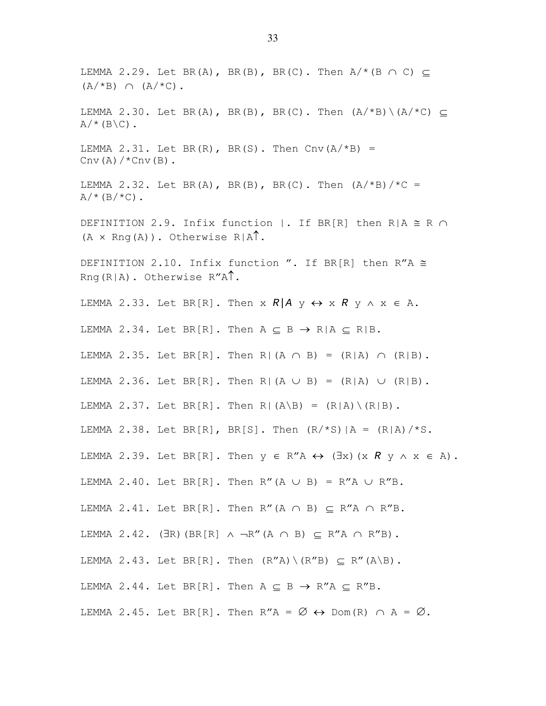LEMMA 2.29. Let BR(A), BR(B), BR(C). Then  $A$ /\*(B  $\cap$  C)  $\subset$  $(A/*B) \cap (A/*C)$ . LEMMA 2.30. Let BR(A), BR(B), BR(C). Then  $(A/*B) \setminus (A/*C) \subset$  $A/*$  ( $B\$ <sub>)</sub>. LEMMA 2.31. Let BR(R), BR(S). Then  $Cnv(A/*B)$  =  $Cnv(A)/*Cnv(B)$ . LEMMA 2.32. Let BR(A), BR(B), BR(C). Then  $(A/*B)/*C =$  $A/*(B/*C)$ . DEFINITION 2.9. Infix function |. If BR[R] then R|A ≅ R ∩  $(A \times \text{Rng}(A))$ . Otherwise  $R|A|$ . DEFINITION 2.10. Infix function ". If BR[R] then R"A  $\cong$ Rng(R|A). Otherwise  $R''A^T$ . LEMMA 2.33. Let BR[R]. Then x  $R/A$  y  $\leftrightarrow$  x R y  $\land$  x  $\in$  A. LEMMA 2.34. Let BR[R]. Then  $A \subseteq B \rightarrow R | A \subseteq R | B$ . LEMMA 2.35. Let BR[R]. Then R|(A ∩ B) = (R|A) ∩ (R|B). LEMMA 2.36. Let BR[R]. Then R|(A ∪ B) =  $(R|A)$  ∪  $(R|B)$ . LEMMA 2.37. Let BR[R]. Then R|(A\B) =  $(R|A) \ (R|B)$ . LEMMA 2.38. Let BR[R], BR[S]. Then  $(R/*S)$   $|A = (R/A)$  /\*S. LEMMA 2.39. Let BR[R]. Then  $y \in R''A \leftrightarrow (\exists x)(x R y \land x \in A)$ . LEMMA 2.40. Let BR[R]. Then R"(A  $\cup$  B) = R"A  $\cup$  R"B. LEMMA 2.41. Let BR[R]. Then R"(A ∩ B)  $\subseteq$  R"A ∩ R"B. LEMMA 2.42.  $(\exists R)(BR[R] \land \neg R''(A \cap B) \subseteq R''A \cap R''B)$ . LEMMA 2.43. Let BR[R]. Then  $(R''A) \setminus (R''B) \subseteq R''(A \setminus B)$ . LEMMA 2.44. Let BR[R]. Then  $A \subseteq B \rightarrow R''A \subseteq R''B$ . LEMMA 2.45. Let BR[R]. Then R"A =  $\varnothing \leftrightarrow$  Dom(R)  $\cap$  A =  $\varnothing$ .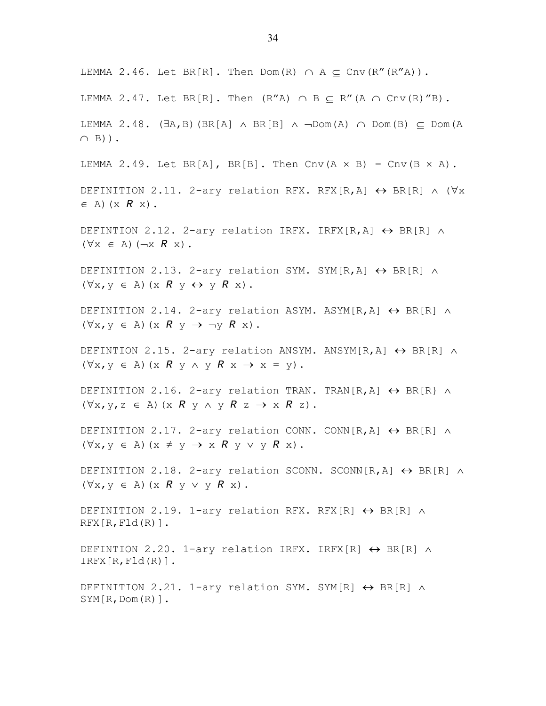LEMMA 2.46. Let BR[R]. Then Dom(R)  $\cap$  A  $\subset$  Cnv(R"(R"A)). LEMMA 2.47. Let BR[R]. Then  $(R''A)$   $\cap$  B  $\subseteq$  R"(A  $\cap$  Cnv(R)"B). LEMMA 2.48. ( $\exists$ A,B)(BR[A]  $\land$  BR[B]  $\land$   $\neg$ Dom(A)  $\cap$  Dom(B)  $\subset$  Dom(A  $\cap$  B)  $)$ . LEMMA 2.49. Let  $BR[A]$ ,  $BR[B]$ . Then  $Cnv(A \times B) = Cnv(B \times A)$ . DEFINITION 2.11. 2-ary relation RFX. RFX[R, A]  $\leftrightarrow$  BR[R]  $\land$  ( $\forall$ x ∈ A)(x *R* x). DEFINTION 2.12. 2-ary relation IRFX. IRFX[R,A] ↔ BR[R] ∧  $(\forall x \in A)$   $(\neg x \ R \ x)$ . DEFINITION 2.13. 2-ary relation SYM. SYM[R,A] ↔ BR[R] ∧  $(\forall x, y \in A)$  (x R y  $\leftrightarrow$  y R x). DEFINITION 2.14. 2-ary relation ASYM. ASYM[R,A] ↔ BR[R] ∧ (∀x,y ∈ A)(x *R* y → ¬y *R* x). DEFINTION 2.15. 2-ary relation ANSYM. ANSYM[R,A] ↔ BR[R] ∧ (∀x,y ∈ A)(x *R* y ∧ y *R* x → x = y). DEFINITION 2.16. 2-ary relation TRAN. TRAN[R, A]  $\leftrightarrow$  BR[R}  $\land$ (∀x,y,z ∈ A)(x *R* y ∧ y *R* z → x *R* z). DEFINITION 2.17. 2-ary relation CONN. CONN[R,A] ↔ BR[R] ∧ (∀x,y ∈ A)(x ≠ y → x *R* y ∨ y *R* x). DEFINITION 2.18. 2-ary relation SCONN. SCONN[R,A] ↔ BR[R] ∧ (∀x,y ∈ A)(x *R* y ∨ y *R* x). DEFINITION 2.19. 1-ary relation RFX. RFX[R] ↔ BR[R] ∧  $RFX[R, Fld(R)]$ . DEFINTION 2.20. 1-ary relation IRFX. IRFX[R] ↔ BR[R] ∧ IRFX[R,Fld(R)]. DEFINITION 2.21. 1-ary relation SYM. SYM[R] ↔ BR[R] ∧  $SYM(R, Dom(R)$ .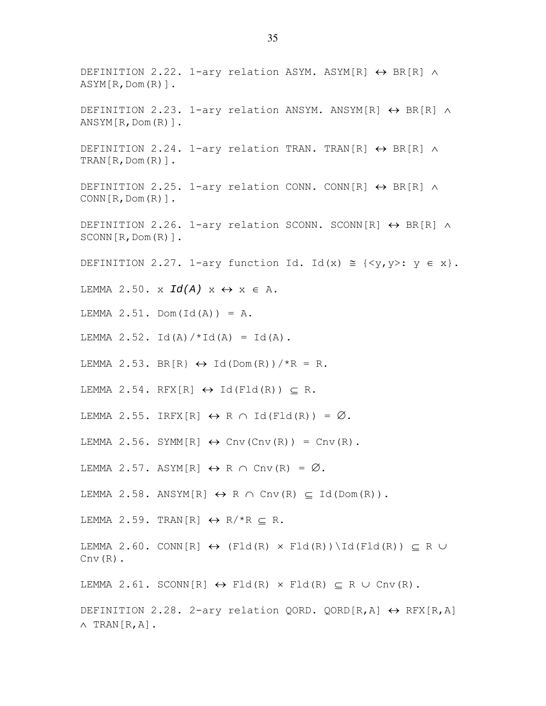DEFINITION 2.22. 1-ary relation ASYM. ASYM[R] ↔ BR[R] ∧ ASYM[R,Dom(R)]. DEFINITION 2.23. 1-ary relation ANSYM. ANSYM[R] ↔ BR[R] ∧ ANSYM[R,Dom(R)]. DEFINITION 2.24. 1-ary relation TRAN. TRAN[R] ↔ BR[R] ∧  $TRAN[R, Dom(R)]$ . DEFINITION 2.25. 1-ary relation CONN. CONN[R] ↔ BR[R] ∧  $CONN[R, Dom(R)]$ . DEFINITION 2.26. 1-ary relation SCONN. SCONN[R] ↔ BR[R] ∧  $SCONN[R, Dom(R)]$ . DEFINITION 2.27. 1-ary function Id. Id(x)  $\cong$  { $\langle y, y \rangle$ :  $y \in x$  }. LEMMA 2.50. x  $Id(A)$  x  $\leftrightarrow$  x  $\in$  A. LEMMA  $2.51.$  Dom $(\text{Id}(A)) = A$ . LEMMA 2.52. Id(A)  $/*Id(A) = Id(A)$ . LEMMA 2.53. BR[R}  $\leftrightarrow$  Id(Dom(R))/\*R = R. LEMMA 2.54. RFX[R]  $\leftrightarrow$  Id(Fld(R))  $\subseteq$  R. LEMMA 2.55. IRFX[R]  $\leftrightarrow$  R  $\cap$  Id(Fld(R)) =  $\varnothing$ . LEMMA 2.56. SYMM[R]  $\leftrightarrow$  Cnv(Cnv(R)) = Cnv(R). LEMMA 2.57. ASYM[R]  $\leftrightarrow$  R  $\cap$  Cnv(R) =  $\varnothing$ . LEMMA 2.58. ANSYM[R]  $\leftrightarrow$  R  $\cap$  Cnv(R)  $\subseteq$  Id(Dom(R)). LEMMA 2.59. TRAN[R]  $\leftrightarrow$  R/\*R  $\subset$  R. LEMMA 2.60. CONN[R]  $\leftrightarrow$  (Fld(R) × Fld(R))\Id(Fld(R))  $\subseteq$  R  $\cup$  $Cnv(R)$ . LEMMA 2.61. SCONN[R]  $\leftrightarrow$  Fld(R)  $\times$  Fld(R)  $\subset$  R  $\cup$  Cnv(R). DEFINITION 2.28. 2-ary relation QORD. QORD[R, A]  $\leftrightarrow$  RFX[R, A] ∧ TRAN[R,A].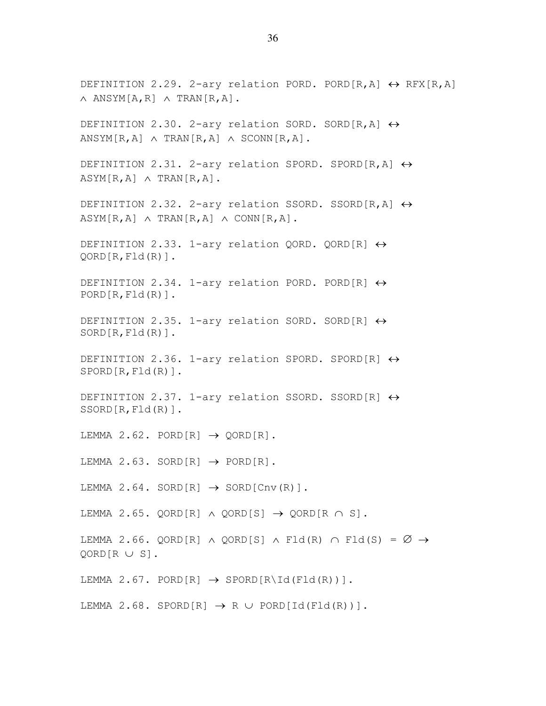DEFINITION 2.29. 2-ary relation PORD. PORD[R, A]  $\leftrightarrow$  RFX[R, A] ∧ ANSYM[A,R] ∧ TRAN[R,A]. DEFINITION 2.30. 2-ary relation SORD. SORD[R, A]  $\leftrightarrow$ ANSYM[R,A] ∧ TRAN[R,A] ∧ SCONN[R,A]. DEFINITION 2.31. 2-ary relation SPORD. SPORD[R, A]  $\leftrightarrow$ ASYM[R,A] ∧ TRAN[R,A]. DEFINITION 2.32. 2-ary relation SSORD. SSORD[R, A]  $\leftrightarrow$  $ASYM[R, A] \wedge TRAN[R, A] \wedge CONN[R, A].$ DEFINITION 2.33. 1-ary relation QORD. QORD[R]  $\leftrightarrow$ QORD[R,Fld(R)]. DEFINITION 2.34. 1-ary relation PORD. PORD[R]  $\leftrightarrow$  $PORD[R, Fld(R)]$ . DEFINITION 2.35. 1-ary relation SORD. SORD[R]  $\leftrightarrow$ SORD[R,Fld(R)]. DEFINITION 2.36. 1-ary relation SPORD. SPORD[R]  $\leftrightarrow$ SPORD[R,Fld(R)]. DEFINITION 2.37. 1-ary relation SSORD. SSORD[R]  $\leftrightarrow$  $SSORD[R, Fld(R)]$ . LEMMA 2.62. PORD $[R] \rightarrow QORD[R]$ . LEMMA 2.63. SORD $[R] \rightarrow$  PORD $[R]$ . LEMMA 2.64. SORD $[R] \rightarrow$  SORD $[Cnv(R)]$ . LEMMA 2.65. QORD[R]  $\land$  QORD[S]  $\rightarrow$  QORD[R  $\cap$  S]. LEMMA 2.66. QORD[R] ∧ QORD[S] ∧ Fld(R) ∩ Fld(S) =  $\varnothing \rightarrow$  $QORD[R \cup S]$ . LEMMA 2.67. PORD[R]  $\rightarrow$  SPORD[R\Id(Fld(R))]. LEMMA 2.68. SPORD[R]  $\rightarrow$  R  $\cup$  PORD[Id(Fld(R))].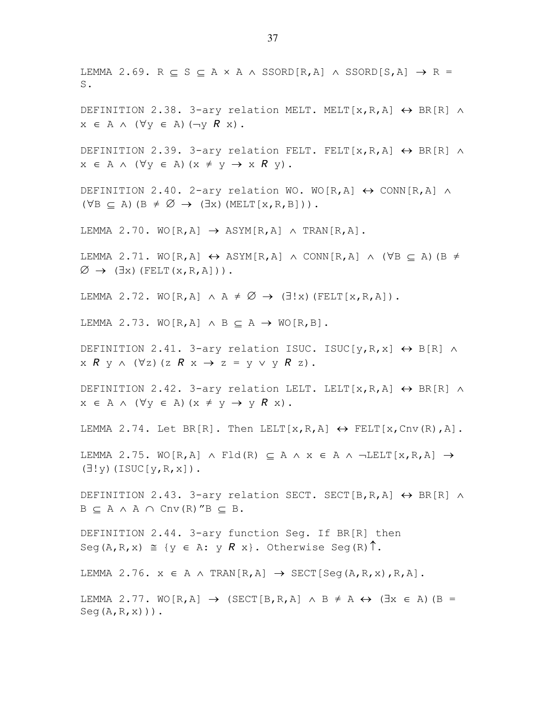LEMMA 2.69. R  $\subset$  S  $\subset$  A  $\times$  A  $\land$  SSORD[R, A]  $\land$  SSORD[S, A]  $\rightarrow$  R = S.

DEFINITION 2.38. 3-ary relation MELT. MELT[x,R,A]  $\leftrightarrow$  BR[R]  $\land$  $x \in A \land (\forall y \in A) (\neg y \ R \ x).$ 

DEFINITION 2.39. 3-ary relation FELT. FELT[x,R,A] ↔ BR[R] ∧  $x \in A \land (\forall y \in A) (x \neq y \rightarrow x R y)$ .

DEFINITION 2.40. 2-ary relation WO. WO[R,A]  $\leftrightarrow$  CONN[R,A] ∧  $(\forall B \subset A)$   $(B \neq \emptyset \rightarrow (\exists x)$  (MELT[x, R, B])).

LEMMA 2.70. WO[R,A]  $\rightarrow$  ASYM[R,A]  $\land$  TRAN[R,A].

LEMMA 2.71. WO[R,A]  $\leftrightarrow$  ASYM[R,A]  $\land$  CONN[R,A]  $\land$  ( $\forall B \subset A$ )(B  $\neq$  $\varnothing \rightarrow (\exists x)$  (FELT(x, R, A])).

LEMMA 2.72. WO[R,A]  $\land$  A  $\neq$   $\emptyset \rightarrow$  ( $\exists !x$ )(FELT[x,R,A]).

LEMMA 2.73. WO[R, A]  $\land$  B  $\subset$  A  $\rightarrow$  WO[R, B].

DEFINITION 2.41. 3-ary relation ISUC. ISUC[y, R, x]  $\leftrightarrow$  B[R]  $\land$ x *R* y ∧ (∀z)(z *R* x → z = y ∨ y *R* z).

DEFINITION 2.42. 3-ary relation LELT. LELT[x,R,A]  $\leftrightarrow$  BR[R]  $\land$ x ∈ A ∧ (∀y ∈ A)(x ≠ y → y *R* x).

LEMMA 2.74. Let BR[R]. Then LELT[x, R, A]  $\leftrightarrow$  FELT[x, Cnv(R), A].

LEMMA 2.75. WO[R,A]  $\land$  Fld(R)  $\subseteq$  A  $\land$   $\times$   $\in$  A  $\land$   $\neg$ LELT[x,R,A]  $\rightarrow$  $(\exists ! y)$ (ISUC[y,R,x]).

DEFINITION 2.43. 3-ary relation SECT. SECT[B,R,A] ↔ BR[R] ∧  $B \subseteq A \land A \cap Cnv(R)''B \subseteq B$ .

DEFINITION 2.44. 3-ary function Seg. If BR[R] then  $Seq(A, R, x) \cong \{y \in A: y R x\}.$  Otherwise Seq(R)<sup>T</sup>.

LEMMA 2.76.  $x \in A \land TRAN[R, A] \rightarrow SECT[Seq(A, R, x), R, A].$ 

LEMMA 2.77. WO[R,A]  $\rightarrow$  (SECT[B,R,A]  $\land$  B  $\neq$  A  $\leftrightarrow$  ( $\exists$ x  $\in$  A)(B =  $Seq(A, R, x))$ .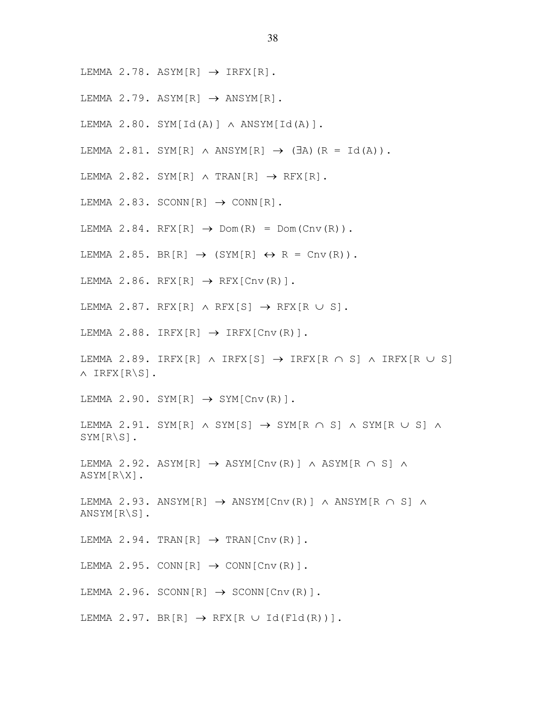- LEMMA 2.78. ASYM $[R] \rightarrow \text{IRFX}[R]$ .
- LEMMA 2.79. ASYM[R]  $\rightarrow$  ANSYM[R].
- LEMMA 2.80. SYM[Id(A)] ∧ ANSYM[Id(A)].
- LEMMA 2.81. SYM[R]  $\land$  ANSYM[R]  $\rightarrow$  ( $\exists$ A)(R = Id(A)).
- LEMMA 2.82. SYM[R]  $\land$  TRAN[R]  $\rightarrow$  RFX[R].
- LEMMA 2.83. SCONN[R]  $\rightarrow$  CONN[R].
- LEMMA 2.84. RFX $[R] \rightarrow Dom(R) = Dom(Cnv(R))$ .
- LEMMA 2.85. BR[R]  $\rightarrow$  (SYM[R]  $\leftrightarrow$  R = Cnv(R)).
- LEMMA 2.86. RFX $[R] \rightarrow RFX$ [Cnv $(R)$ ].
- LEMMA 2.87. RFX[R]  $\land$  RFX[S]  $\rightarrow$  RFX[R  $\cup$  S].
- LEMMA 2.88. IRFX $[R] \rightarrow \text{IRFX}[\text{Cnv}(R)]$ .
- LEMMA 2.89. IRFX[R]  $\land$  IRFX[S]  $\rightarrow$  IRFX[R  $\cap$  S]  $\land$  IRFX[R  $\cup$  S] ∧ IRFX[R\S].
- LEMMA 2.90. SYM $[R] \rightarrow SYM(Cnv(R)].$
- LEMMA 2.91. SYM[R] ∧ SYM[S]  $\rightarrow$  SYM[R  $\cap$  S] ∧ SYM[R  $\cup$  S] ∧  $SYM[R\S]$ .
- LEMMA 2.92. ASYM[R]  $\rightarrow$  ASYM[Cnv(R)] ∧ ASYM[R ∩ S] ∧ ASYM[R\X].
- LEMMA 2.93. ANSYM[R]  $\rightarrow$  ANSYM[Cnv(R)] ∧ ANSYM[R ∩ S] ∧ ANSYM[R\S].
- LEMMA 2.94. TRAN $[R] \rightarrow TRAN[Cnv(R)]$ .
- LEMMA 2.95. CONN[R]  $\rightarrow$  CONN[Cnv(R)].
- LEMMA 2.96. SCONN $[R] \rightarrow$  SCONN $[Cnv(R)]$ .
- LEMMA 2.97. BR[R]  $\rightarrow$  RFX[R  $\cup$  Id(Fld(R))].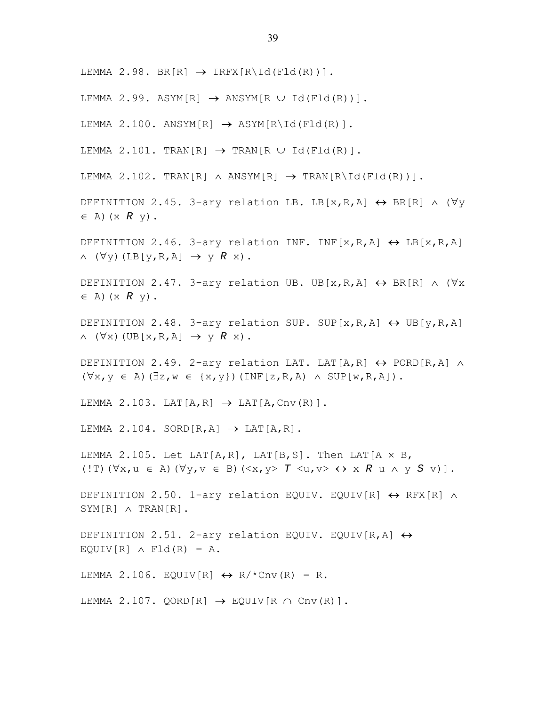LEMMA 2.98. BR[R]  $\rightarrow$  IRFX[R\Id(Fld(R))].

LEMMA 2.99. ASYM[R]  $\rightarrow$  ANSYM[R  $\cup$  Id(Fld(R))].

LEMMA 2.100. ANSYM[R]  $\rightarrow$  ASYM[R\Id(Fld(R)].

LEMMA 2.101. TRAN $[R] \rightarrow \text{TRAN}[R \cup \text{Id}(\text{Fld}(R))]$ .

LEMMA 2.102. TRAN[R]  $\land$  ANSYM[R]  $\rightarrow$  TRAN[R\Id(Fld(R))].

DEFINITION 2.45. 3-ary relation LB. LB[x,R,A]  $\leftrightarrow$  BR[R]  $\land$  ( $\forall$ y  $\in$  A) (x R y).

DEFINITION 2.46. 3-ary relation INF. INF[x, R, A]  $\leftrightarrow$  LB[x, R, A] ∧ (∀y)(LB[y,R,A] → y *R* x).

DEFINITION 2.47. 3-ary relation UB. UB[x,R,A] ↔ BR[R] ∧ (∀x  $\in$  A) (x R y).

DEFINITION 2.48. 3-ary relation SUP. SUP[x,R,A]  $\leftrightarrow$  UB[y,R,A]  $\wedge$  ( $\forall$ x)(UB[x,R,A]  $\rightarrow$  y *R* x).

DEFINITION 2.49. 2-ary relation LAT. LAT[A,R] ↔ PORD[R,A] ∧  $(\forall x, y \in A)$  $(\exists z, w \in \{x, y\})$  $(\text{INF}[z, R, A) \land \text{SUP}[w, R, A])$ .

LEMMA 2.103. LAT $[A, R] \rightarrow LAT[A, Cnv(R)]$ .

LEMMA 2.104. SORD $[R, A] \rightarrow LAT[A, R]$ .

LEMMA 2.105. Let LAT[A, R], LAT[B, S]. Then LAT[A  $\times$  B, (!T)(∀x,u ∈ A)(∀y,v ∈ B)(<x,y> *T* <u,v> ↔ x *R* u ∧ y *S* v)].

DEFINITION 2.50. 1-ary relation EQUIV. EQUIV[R] ↔ RFX[R] ∧  $SYM[R] \wedge TRAN[R]$ .

DEFINITION 2.51. 2-ary relation EQUIV. EQUIV[R, A]  $\leftrightarrow$  $EQUIV[R] \wedge Fld(R) = A.$ 

LEMMA 2.106. EQUIV[R]  $\leftrightarrow$  R/\*Cnv(R) = R.

LEMMA 2.107. QORD[R]  $\rightarrow$  EQUIV[R  $\cap$  Cnv(R)].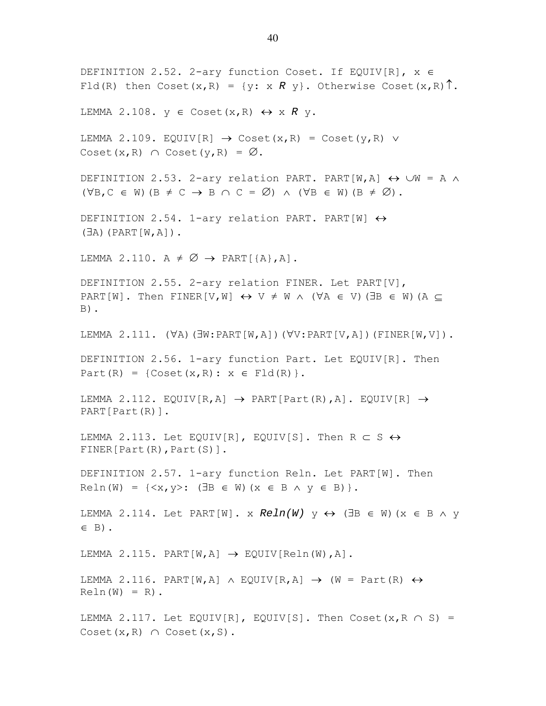DEFINITION 2.52. 2-ary function Coset. If EQUIV[R], x ∈ Fld(R) then  $\text{Coset}(x,R) = \{y: x R y\}$ . Otherwise  $\text{Coset}(x,R)$ <sup> $\uparrow$ </sup>. LEMMA 2.108.  $y \in \text{Coset}(x, R) \leftrightarrow x R y$ . LEMMA 2.109. EQUIV[R]  $\rightarrow$  Coset(x,R) = Coset(y,R)  $\vee$ Coset(x,R)  $\cap$  Coset(y,R) =  $\varnothing$ . DEFINITION 2.53. 2-ary relation PART. PART[W,A] ↔ ∪W = A ∧  $(\forall B, C \in W)$  ( $B \neq C \rightarrow B \cap C = \emptyset$ )  $\land$  ( $\forall B \in W$ ) ( $B \neq \emptyset$ ). DEFINITION 2.54. 1-ary relation PART. PART[W]  $\leftrightarrow$  $(\exists A)$  (PART $[W, A]$ ). LEMMA 2.110.  $A \neq \emptyset \rightarrow \text{PART}[\{A\}, A]$ . DEFINITION 2.55. 2-ary relation FINER. Let PART[V], PART[W]. Then FINER[V, W]  $\leftrightarrow$  V  $\neq$  W  $\land$  ( $\forall$ A  $\in$  V)( $\exists$ B  $\in$  W)(A  $\subseteq$  $B)$ . LEMMA 2.111. (∀A)(∃W:PART[W,A])(∀V:PART[V,A])(FINER[W,V]). DEFINITION 2.56. 1-ary function Part. Let EQUIV[R]. Then Part(R) =  ${Coset}(x,R): x \in \text{Fld}(R)$ . LEMMA 2.112. EQUIV $[R, A] \rightarrow$  PART $[Part(R), A]$ . EQUIV $[R] \rightarrow$ PART[Part(R)]. LEMMA 2.113. Let EQUIV[R], EQUIV[S]. Then R  $\subset$  S  $\leftrightarrow$ FINER[Part(R),Part(S)]. DEFINITION 2.57. 1-ary function Reln. Let PART[W]. Then Reln(W) =  $\{ \langle x, y \rangle :$  ( $\exists B \in W$ )  $(x \in B \land y \in B) \}$ . LEMMA 2.114. Let PART[W]. x  $\text{Re}\ln(W)$  y  $\leftrightarrow$  ( $\exists B \in W$ ) (x  $\in$  B  $\land$  y  $\in$  B). LEMMA 2.115. PART $[W, A] \rightarrow EQUIV[Reln(W), A]$ . LEMMA 2.116. PART[W, A]  $\land$  EQUIV[R, A]  $\rightarrow$  (W = Part(R)  $\leftrightarrow$  $Reln(W) = R$ . LEMMA 2.117. Let EQUIV[R], EQUIV[S]. Then Coset(x, R  $\cap$  S) =  $Coset(x,R) \cap Coset(x,S)$ .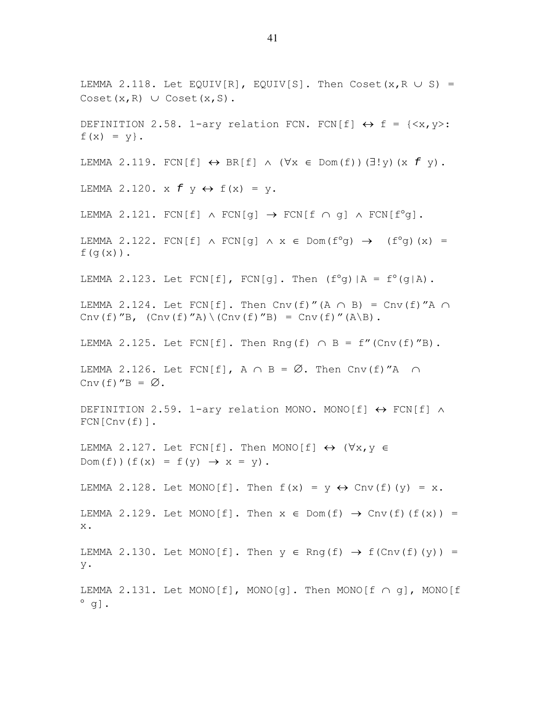LEMMA 2.118. Let EQUIV[R], EQUIV[S]. Then Coset(x, R  $\cup$  S) =  $Coset(x,R) \cup Coset(x,S)$ . DEFINITION 2.58. 1-ary relation FCN. FCN[f]  $\leftrightarrow$  f = { $\langle x, y \rangle$ :  $f(x) = y$ . LEMMA 2.119. FCN[f]  $\leftrightarrow$  BR[f] ∧ ( $\forall$ x ∈ Dom(f))( $\exists$ !y)(x f y). LEMMA 2.120. x  $f(y \leftrightarrow f(x)) = y$ . LEMMA 2.121. FCN[f]  $\land$  FCN[g]  $\rightarrow$  FCN[f  $\cap$  g]  $\land$  FCN[f<sup>o</sup>g]. LEMMA 2.122. FCN[f]  $\land$  FCN[q]  $\land$  x  $\in$  Dom(f<sup>o</sup>q)  $\rightarrow$  (f<sup>o</sup>q)(x) =  $f(g(x))$ . LEMMA 2.123. Let FCN[f], FCN[q]. Then  $(f^{\circ}q) | A = f^{\circ}(q|A)$ . LEMMA 2.124. Let FCN[f]. Then Cnv(f)"(A ∩ B) = Cnv(f)"A ∩ Cnv(f)"B,  $(Cnv(f)''A) \ (Cnv(f)''B) = Cnv(f)''(A\)$ . LEMMA 2.125. Let FCN[f]. Then Rng(f)  $\cap$  B = f"(Cnv(f)"B). LEMMA 2.126. Let FCN[f], A  $\cap$  B =  $\emptyset$ . Then Cnv(f)"A  $\cap$  $Cnv(f)''B = \emptyset$ . DEFINITION 2.59. 1-ary relation MONO. MONO[f] ↔ FCN[f] ∧  $FCN[Cnv(f)].$ LEMMA 2.127. Let FCN[f]. Then MONO[f]  $\leftrightarrow$  ( $\forall$ x,  $y \in$  $Dom(f)$ )(f(x) = f(y)  $\rightarrow$  x = y). LEMMA 2.128. Let MONO[f]. Then  $f(x) = y \leftrightarrow Cnv(f)(y) = x$ . LEMMA 2.129. Let MONO[f]. Then  $x \in Dom(f) \rightarrow Cnv(f)(f(x)) =$ x. LEMMA 2.130. Let MONO[f]. Then  $y \in R \cap g(f) \rightarrow f(C \cap g'(f)(y)) =$ y. LEMMA 2.131. Let MONO[f], MONO[g]. Then MONO[f ∩ g], MONO[f  $^{\circ}$  g].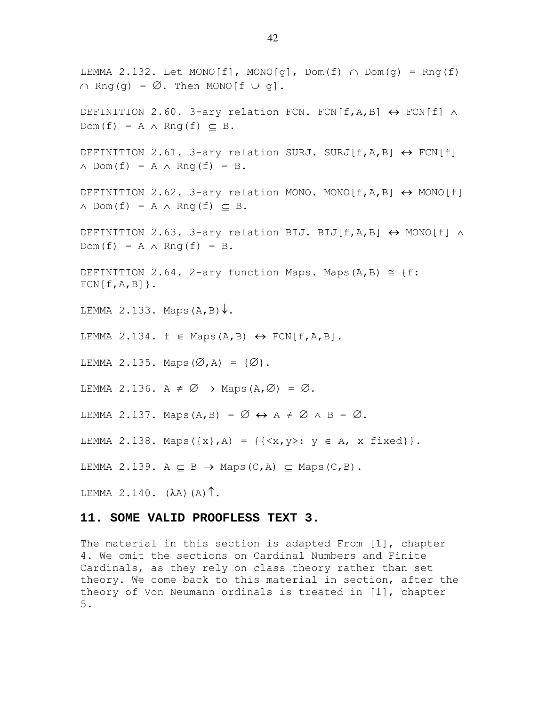LEMMA 2.132. Let MONO[f], MONO[q], Dom(f)  $\cap$  Dom(q) = Rnq(f)  $\cap$  Rng(g) =  $\varnothing$ . Then MONO[f  $\cup$  g]. DEFINITION 2.60. 3-ary relation FCN. FCN[f,A,B] ↔ FCN[f] ∧  $Dom(f) = A \wedge Rnq(f) \subset B$ . DEFINITION 2.61. 3-ary relation SURJ. SURJ[f, A, B]  $\leftrightarrow$  FCN[f]  $\land$  Dom(f) = A  $\land$  Rng(f) = B. DEFINITION 2.62. 3-ary relation MONO. MONO[f,A,B]  $\leftrightarrow$  MONO[f]  $\land$  Dom(f) = A  $\land$  Rng(f)  $\subseteq$  B. DEFINITION 2.63. 3-ary relation BIJ. BIJ[f,A,B] ↔ MONO[f] ∧  $Dom(f) = A \wedge Rnq(f) = B$ . DEFINITION 2.64. 2-ary function Maps. Maps $(A, B) \cong \{f:$  $FCN[f,A,B]\}$ . LEMMA 2.133. Maps $(A, B)$  $\downarrow$ . LEMMA 2.134.  $f \in Maps(A, B) \leftrightarrow FCN[f, A, B]$ . LEMMA 2.135. Maps $(\emptyset, A) = {\emptyset}$ . LEMMA 2.136.  $A \neq \emptyset \rightarrow$  Maps( $A, \emptyset$ ) =  $\emptyset$ . LEMMA 2.137. Maps(A,B) =  $\varnothing \leftrightarrow A \neq \varnothing \land B = \varnothing$ . LEMMA 2.138. Maps({x},A) = {{ $\langle x, y \rangle$ :  $y \in A$ , x fixed}}. LEMMA 2.139.  $A \subseteq B \rightarrow \text{Maps}(C, A) \subseteq \text{Maps}(C, B)$ . LEMMA 2.140.  $(\lambda A)(A)^T$ . **11. SOME VALID PROOFLESS TEXT 3.** 

The material in this section is adapted From [1], chapter 4. We omit the sections on Cardinal Numbers and Finite Cardinals, as they rely on class theory rather than set theory. We come back to this material in section, after the theory of Von Neumann ordinals is treated in [1], chapter 5.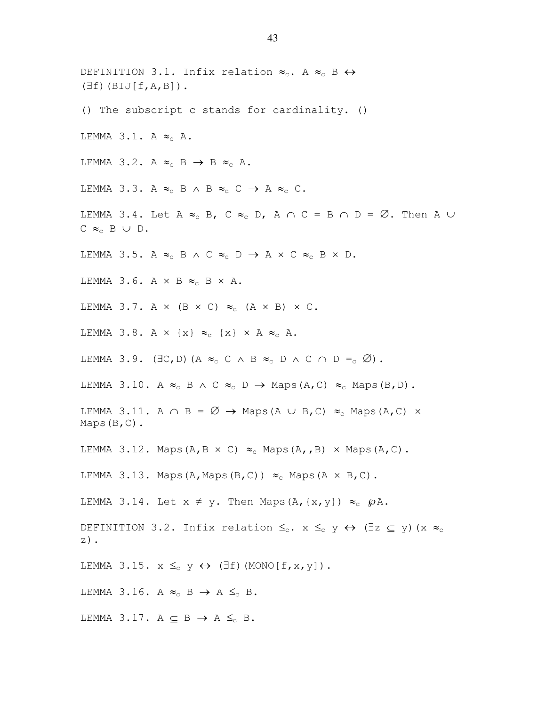DEFINITION 3.1. Infix relation  $\approx_c$ . A  $\approx_c$  B  $\leftrightarrow$  $(\exists f)$  $(BIJ[f,A,B])$ . () The subscript c stands for cardinality. () LEMMA 3.1. A  $\approx_c$  A. LEMMA 3.2. A  $\approx_c$  B  $\rightarrow$  B  $\approx_c$  A. LEMMA 3.3. A  $\approx_c$  B  $\land$  B  $\approx_c$  C  $\rightarrow$  A  $\approx_c$  C. LEMMA 3.4. Let A  $\approx_c$  B, C  $\approx_c$  D, A  $\cap$  C = B  $\cap$  D =  $\emptyset$ . Then A  $\cup$  $C \approx_{c} B \cup D$ . LEMMA 3.5. A  $\approx_c$  B  $\land$  C  $\approx_c$  D  $\rightarrow$  A  $\times$  C  $\approx_c$  B  $\times$  D. LEMMA 3.6. A  $\times$  B  $\approx_c$  B  $\times$  A. LEMMA 3.7. A  $\times$  (B  $\times$  C)  $\approx_c$  (A  $\times$  B)  $\times$  C. LEMMA 3.8. A  $\times$  {x}  $\approx_c$  {x}  $\times$  A  $\approx_c$  A. LEMMA 3.9. ( $\exists C, D$ )(A ≈<sub>c</sub> C  $\land$  B ≈<sub>c</sub> D  $\land$  C  $\cap$  D =<sub>c</sub>  $\emptyset$ ). LEMMA 3.10. A  $\approx_c$  B  $\land$  C  $\approx_c$  D  $\rightarrow$  Maps(A,C)  $\approx_c$  Maps(B,D). LEMMA 3.11. A ∩ B =  $\varnothing \rightarrow$  Maps(A ∪ B,C) ≈<sub>c</sub> Maps(A,C) × Maps(B,C). LEMMA 3.12. Maps(A,B  $\times$  C)  $\approx_c$  Maps(A,B)  $\times$  Maps(A,C). LEMMA 3.13. Maps(A,Maps(B,C))  $\approx_c$  Maps(A  $\times$  B,C). LEMMA 3.14. Let  $x \neq y$ . Then Maps(A,{x,y})  $\approx_c \varnothing A$ . DEFINITION 3.2. Infix relation  $\leq_c$ .  $x \leq_c y \leftrightarrow (\exists z \subseteq y)$  ( $x \approx_c$ z). LEMMA 3.15.  $x \leq_c y \leftrightarrow (\exists f)$  (MONO[f, x, y]). LEMMA 3.16. A  $\approx_c$  B  $\rightarrow$  A  $\leq_c$  B. LEMMA 3.17. A  $\subseteq$  B  $\rightarrow$  A  $\leq_c$  B.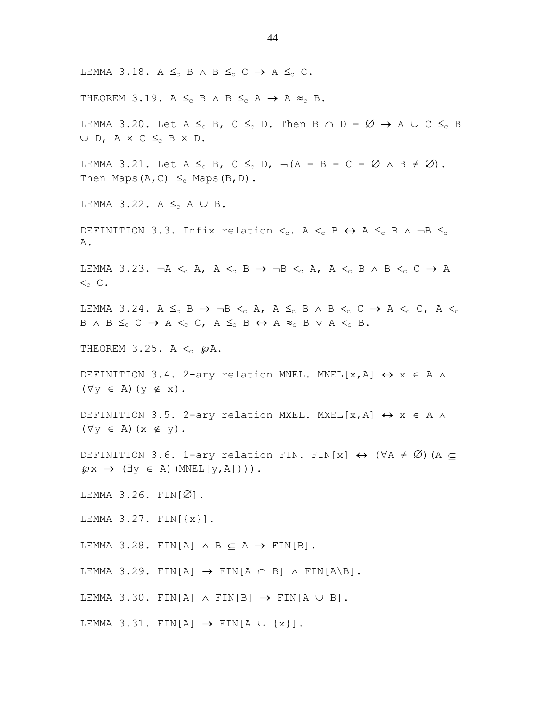LEMMA 3.18. A  $\leq_c$  B  $\land$  B  $\leq_c$  C  $\rightarrow$  A  $\leq_c$  C. THEOREM 3.19. A  $\leq_c$  B  $\land$  B  $\leq_c$  A  $\rightarrow$  A  $\approx_c$  B. LEMMA 3.20. Let A  $\leq_c$  B, C  $\leq_c$  D. Then B  $\cap$  D =  $\emptyset \rightarrow$  A  $\cup$  C  $\leq_c$  B  $\cup$  D, A  $\times$  C  $\leq_{c}$  B  $\times$  D. LEMMA 3.21. Let  $A \leq_c B$ ,  $C \leq_c D$ ,  $\neg (A = B = C = \emptyset \land B \neq \emptyset)$ . Then Maps $(A, C) \leq_c Maps(B, D)$ . LEMMA 3.22. A  $\leq_c$  A  $\cup$  B. DEFINITION 3.3. Infix relation  $\lt_c$ . A  $\lt_c$  B  $\leftrightarrow$  A  $\leq_c$  B  $\land$   $\neg B \leq_c$ A. LEMMA 3.23.  $\neg A \leq_c A$ ,  $A \leq_c B \rightarrow \neg B \leq_c A$ ,  $A \leq_c B \land B \leq_c C \rightarrow A$  $\lt_c$  C. LEMMA 3.24. A  $\leq_c$  B  $\rightarrow$   $\neg B$   $\lt_c$  A, A  $\leq_c$  B  $\land$  B  $\lt_c$  C  $\rightarrow$  A  $\lt_c$  C, A  $\lt_c$ B  $\land$  B  $\leq_c$  C  $\rightarrow$  A  $\leq_c$  C, A  $\leq_c$  B  $\leftrightarrow$  A  $\approx_c$  B  $\lor$  A  $\lt_c$  B. THEOREM 3.25. A  $\leq_c$   $\varnothing$ A. DEFINITION 3.4. 2-ary relation MNEL. MNEL[x,A]  $\leftrightarrow$  x  $\in$  A  $\land$  $(\forall y \in A)$   $(y \notin x)$ . DEFINITION 3.5. 2-ary relation MXEL. MXEL[x,A]  $\leftrightarrow$  x  $\in$  A  $\land$  $(\forall y \in A)$   $(x \notin y)$ . DEFINITION 3.6. 1-ary relation FIN. FIN[x]  $\leftrightarrow$  ( $\forall$ A  $\neq$   $\varnothing$ ) (A  $\subseteq$  $\wp \colon \rightarrow (\exists y \in A) (\text{MNEL}[y, A]))$ . LEMMA  $3.26.$  FIN $[Ø]$ . LEMMA 3.27. FIN[{x}]. LEMMA 3.28. FIN[A]  $\land$  B  $\subset$  A  $\rightarrow$  FIN[B]. LEMMA 3.29. FIN[A]  $\rightarrow$  FIN[A  $\cap$  B]  $\land$  FIN[A $\setminus$ B]. LEMMA 3.30. FIN[A]  $\land$  FIN[B]  $\rightarrow$  FIN[A  $\cup$  B]. LEMMA 3.31. FIN[A]  $\rightarrow$  FIN[A ∪ {x}].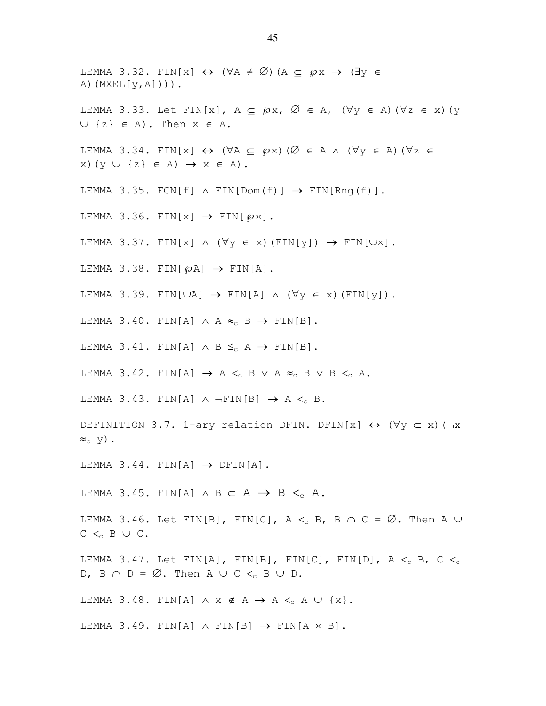LEMMA 3.32. FIN[x]  $\leftrightarrow$  ( $\forall$ A  $\neq$   $\varnothing$ ) (A  $\subset$   $\varnothing$ x  $\rightarrow$  ( $\exists$ y  $\in$ A)  $(MXEL[y, A]))$ . LEMMA 3.33. Let FIN[x],  $A \subseteq \emptyset x$ ,  $\emptyset \in A$ ,  $(\forall y \in A)$   $(\forall z \in x)$  (y  $\cup$  {z}  $\in$  A). Then  $x \in A$ . LEMMA 3.34. FIN[x]  $\leftrightarrow$  ( $\forall A \subseteq \wp x$ )( $\varnothing \in A$   $\land$  ( $\forall y \in A$ )( $\forall z \in A$ )  $x)(y \cup \{z\} \in A) \rightarrow x \in A$ ). LEMMA 3.35. FCN[f]  $\land$  FIN[Dom(f)]  $\rightarrow$  FIN[Rnq(f)]. LEMMA 3.36. FIN[ $x$ ]  $\rightarrow$  FIN[ $\varphi x$ ]. LEMMA 3.37. FIN[x]  $\wedge$  (∀y  $\in$  x)(FIN[y])  $\rightarrow$  FIN[∪x]. LEMMA 3.38. FIN $\lbrack \varphi A \rbrack \rightarrow$  FIN $\lbrack A \rbrack$ . LEMMA 3.39. FIN[∪A]  $\rightarrow$  FIN[A]  $\land$  (∀y  $\in$  x)(FIN[y]). LEMMA 3.40. FIN[A]  $\land$  A  $\approx_c$  B  $\rightarrow$  FIN[B]. LEMMA 3.41. FIN[A]  $\land$  B  $\leq_c$  A  $\rightarrow$  FIN[B]. LEMMA 3.42. FIN[A]  $\rightarrow$  A  $\lt_c$  B  $\lor$  A  $\approx_c$  B  $\lor$  B  $\lt_c$  A. LEMMA 3.43. FIN[A]  $\land$   $\neg$  FIN[B]  $\rightarrow$  A  $\lt_c$  B. DEFINITION 3.7. 1-ary relation DFIN. DFIN $[x] \leftrightarrow (\forall y \subset x)$  (-x  $\approx_{c}$  y). LEMMA 3.44. FIN $[A] \rightarrow$  DFIN $[A]$ . LEMMA 3.45. FIN[A]  $\land$  B  $\subset$  A  $\rightarrow$  B  $\lt_c$  A. LEMMA 3.46. Let FIN[B], FIN[C], A  $\lt_c$  B, B  $\cap$  C =  $\varnothing$ . Then A  $\cup$  $C <_{c} B \cup C$ . LEMMA 3.47. Let FIN[A], FIN[B], FIN[C], FIN[D], A  $\lt_c$  B, C  $\lt_c$ D, B  $\cap$  D =  $\emptyset$ . Then A  $\cup$  C  $\lt_c$  B  $\cup$  D. LEMMA 3.48. FIN[A]  $\land$  x  $\notin$  A  $\rightarrow$  A  $\lt_c$  A  $\cup$  {x}. LEMMA 3.49. FIN[A]  $\land$  FIN[B]  $\rightarrow$  FIN[A  $\times$  B].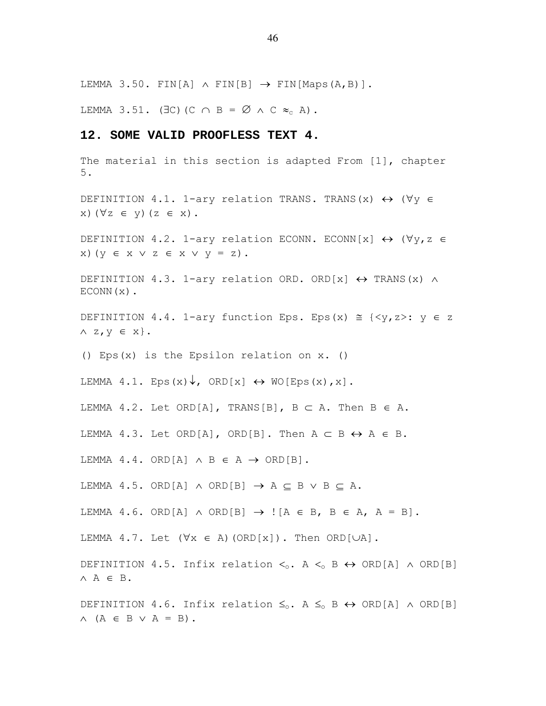LEMMA 3.50. FIN[A]  $\land$  FIN[B]  $\rightarrow$  FIN[Maps(A,B)].

LEMMA 3.51. ( $\exists C$ )(C ∩ B = Ø ∧ C ≈<sub>c</sub> A).

#### **12. SOME VALID PROOFLESS TEXT 4.**

The material in this section is adapted From [1], chapter 5. DEFINITION 4.1. 1-ary relation TRANS. TRANS(x)  $\leftrightarrow$  ( $\forall y \in$  $x)$  ( $\forall z \in y$ ) ( $z \in x$ ). DEFINITION 4.2. 1-ary relation ECONN. ECONN[x]  $\leftrightarrow$  ( $\forall y, z \in$ x)( $y \in X \vee Z \in X \vee y = Z$ ). DEFINITION 4.3. 1-ary relation ORD. ORD[x] ↔ TRANS(x) ∧ ECONN(x). DEFINITION 4.4. 1-ary function Eps. Eps(x)  $\cong$  {<y, z>:  $y \in z$  $\wedge$  z,  $y \in x$ . () Eps(x) is the Epsilon relation on x. () LEMMA 4.1. Eps $(x) \downarrow$ , ORD[x]  $\leftrightarrow$  WO[Eps(x), x]. LEMMA 4.2. Let ORD[A], TRANS[B],  $B \subset A$ . Then  $B \in A$ . LEMMA 4.3. Let ORD[A], ORD[B]. Then  $A \subset B \leftrightarrow A \in B$ . LEMMA 4.4. ORD[A]  $\land$  B  $\in$  A  $\rightarrow$  ORD[B]. LEMMA 4.5. ORD[A]  $\land$  ORD[B]  $\rightarrow$  A  $\subset$  B  $\lor$  B  $\subset$  A. LEMMA 4.6. ORD[A]  $\land$  ORD[B]  $\rightarrow$  ![A  $\in$  B, B  $\in$  A, A = B]. LEMMA 4.7. Let  $(\forall x \in A)$  (ORD[x]). Then ORD[∪A]. DEFINITION 4.5. Infix relation  $\lt_0$ . A  $\lt_0$  B  $\leftrightarrow$  ORD[A]  $\land$  ORD[B] ∧ A ∈ B. DEFINITION 4.6. Infix relation  $\leq_{\circ}$ . A  $\leq_{\circ}$  B  $\leftrightarrow$  ORD[A]  $\land$  ORD[B]  $\wedge$  ( $A \in B \vee A = B$ ).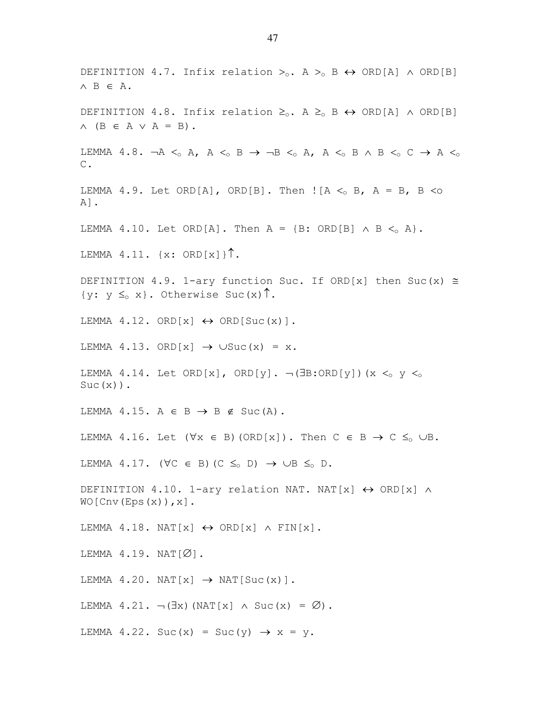DEFINITION 4.7. Infix relation  $>_{0}$ . A  $>_{0}$  B  $\leftrightarrow$  ORD[A]  $\land$  ORD[B] ∧ B ∈ A. DEFINITION 4.8. Infix relation  $\geq_o$ . A  $\geq_o$  B  $\leftrightarrow$  ORD[A]  $\land$  ORD[B]  $\wedge$  ( $B \in A \vee A = B$ ). LEMMA 4.8.  $\neg A \leq_{\circ} A$ ,  $A \leq_{\circ} B \rightarrow \neg B \leq_{\circ} A$ ,  $A \leq_{\circ} B \land B \leq_{\circ} C \rightarrow A \leq_{\circ} C$ C. LEMMA 4.9. Let  $ORD[A]$ ,  $ORD[B]$ . Then  $!(A \ltimes_{\mathbb{Q}} B, A = B, B \ltimes_{\mathbb{Q}} D)$ A]. LEMMA 4.10. Let ORD[A]. Then  $A = {B: ORD[B] \wedge B <_{o} A}.$ LEMMA  $4.11. \{x: ORD[x]\}$ <sup>↑</sup>. DEFINITION 4.9. 1-ary function Suc. If ORD[x] then Suc(x)  $\cong$  $\{y: y \leq_{0} x\}$ . Otherwise Suc $(x)$ <sup>T</sup>. LEMMA 4.12. ORD[ $x$ ]  $\leftrightarrow$  ORD[ $Suc(x)$ ]. LEMMA 4.13. ORD[x]  $\rightarrow$  ∪Suc(x) = x. LEMMA 4.14. Let  $ORD[x]$ ,  $ORD[y]$ .  $\neg(\exists B:ORD[y])$  (x  $\lt_{\circ}$  y  $\lt_{\circ}$  $Suc(x)$ ). LEMMA 4.15.  $A \in B \rightarrow B \notin Suc(A)$ . LEMMA 4.16. Let  $(\forall x \in B)$  (ORD[x]). Then  $C \in B \rightarrow C \leq_{\circ} \cup B$ . LEMMA 4.17. ( $\forall C \in B$ ) ( $C \leq_{\circ} D$ )  $\rightarrow \cup B \leq_{\circ} D$ . DEFINITION 4.10. 1-ary relation NAT. NAT[x]  $\leftrightarrow$  ORD[x]  $\land$  $WO[Conv(EDS(X)), X].$ LEMMA 4.18. NAT[x]  $\leftrightarrow$  ORD[x]  $\land$  FIN[x]. LEMMA  $4.19. NAT[\emptyset]$ . LEMMA 4.20. NAT[ $x$ ]  $\rightarrow$  NAT[ $Suc(x)$ ]. LEMMA 4.21.  $\neg$ ( $\exists$ x)(NAT[x]  $\land$  Suc(x) =  $\varnothing$ ). LEMMA 4.22. Suc(x) = Suc(y)  $\rightarrow$  x = y.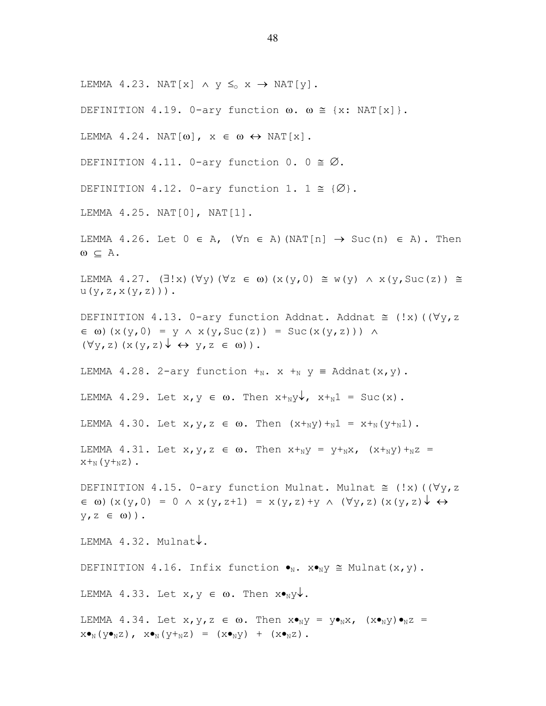LEMMA 4.23. NAT[x]  $\land$  y  $\leq_{\circ}$  x  $\rightarrow$  NAT[y]. DEFINITION 4.19. 0-ary function  $\omega$ .  $\omega \cong \{x: NAT[x]\}.$ LEMMA 4.24. NAT[ $\omega$ ],  $x \in \omega \leftrightarrow \text{NAT}[x]$ . DEFINITION 4.11. 0-ary function 0.  $0 \cong \emptyset$ . DEFINITION 4.12. 0-ary function 1. 1  $\cong$  { $\varnothing$ }. LEMMA 4.25. NAT[0], NAT[1]. LEMMA 4.26. Let  $0 \in A$ ,  $(\forall n \in A)$  (NAT[n]  $\rightarrow$  Suc(n)  $\in$  A). Then  $\omega \subseteq A$ . LEMMA 4.27.  $(\exists!x)(\forall y)(\forall z \in \omega)(x(y,0) \cong w(y) \land x(y,Suc(z)) \cong$  $u(y, z, x(y, z))$ . DEFINITION 4.13. 0-ary function Addnat. Addnat ≅ (!x)((∀y,z  $\in$  ω)(x(y, 0) = y  $\wedge$  x(y, Suc(z)) = Suc(x(y, z)))  $\wedge$  $(\forall y, z)$   $(x(y, z) \downarrow \leftrightarrow y, z \in \omega)$ ). LEMMA 4.28. 2-ary function  $+_N$ .  $x +_N y \equiv$  Addnat(x,y). LEMMA 4.29. Let  $x, y \in \omega$ . Then  $x+y\sqrt{2}$ ,  $x+y1 = Suc(x)$ . LEMMA 4.30. Let  $x, y, z \in \omega$ . Then  $(x+y)y + N1 = x+y(y+y1)$ . LEMMA 4.31. Let  $x, y, z \in \omega$ . Then  $x+y = y+y$ ,  $(x+y) + y = z$  $x+_{N}(y+_{N}z)$ . DEFINITION 4.15. 0-ary function Mulnat. Mulnat  $\cong$  (!x)(( $\forall y, z$ )  $\in$  ω)(x(y, 0) = 0  $\wedge$  x(y, z+1) = x(y, z)+y  $\wedge$  ( $\forall$ y, z)(x(y, z)  $\downarrow \leftrightarrow$  $y, z \in \omega)$ ). LEMMA 4.32. Mulnat↓. DEFINITION 4.16. Infix function  $\bullet_N$ .  $x \bullet_N y \cong Mulnat(x, y)$ . LEMMA 4.33. Let  $x, y \in \omega$ . Then  $x \bullet_{N} y \downarrow$ . LEMMA 4.34. Let  $x, y, z \in \omega$ . Then  $x \bullet_{N} y = y \bullet_{N} x$ ,  $(x \bullet_{N} y) \bullet_{N} z =$  $X\bullet_N(y\bullet_NZ)$ ,  $X\bullet_N(y+_NZ) = (X\bullet_NY) + (X\bullet_NZ)$ .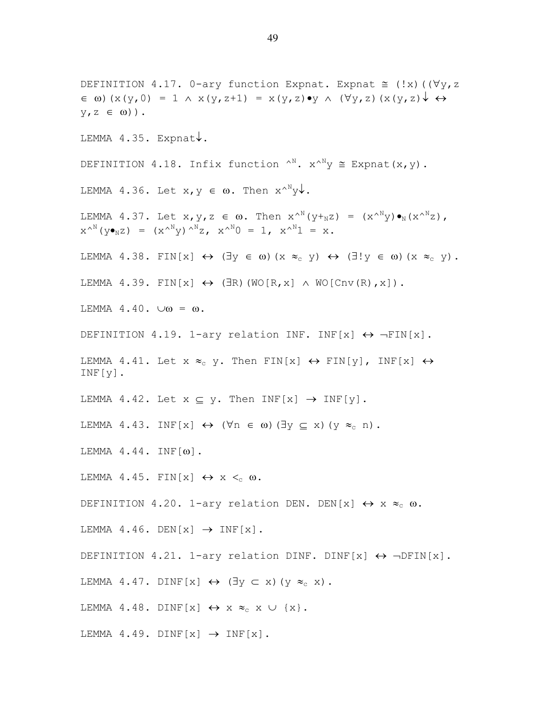DEFINITION 4.17. 0-ary function Expnat. Expnat  $\cong$  (!x)(( $\forall y$ , z  $\in$  ω)(x(y, 0) = 1 ∧ x(y, z+1) = x(y, z)•y ∧ (∀y, z)(x(y, z)↓ ↔  $y, z \in \omega)$ ). LEMMA 4.35. Expnat↓. DEFINITION 4.18. Infix function  $\wedge^N$ .  $x^{\wedge N}y \cong Exp$ nat $(x, y)$ . LEMMA 4.36. Let  $x, y \in \omega$ . Then  $x^{\wedge N}y\overline{\downarrow}$ . LEMMA 4.37. Let  $x, y, z \in \omega$ . Then  $x^{\wedge N}(y +_N z) = (x^{\wedge N}y) \bullet_N (x^{\wedge N}z)$ ,  $x^{\wedge N} (y \bullet_N z) = (x^{\wedge N} y)^{\wedge N} z$ ,  $x^{\wedge N} 0 = 1$ ,  $x^{\wedge N} 1 = x$ . LEMMA 4.38. FIN[x]  $\leftrightarrow$  ( $\exists y \in \omega$ )(x ≈<sub>c</sub> y)  $\leftrightarrow$  ( $\exists ! y \in \omega$ )(x ≈<sub>c</sub> y). LEMMA 4.39. FIN[x]  $\leftrightarrow$  ( $\exists$ R)(WO[R,x]  $\land$  WO[Cnv(R),x]). LEMMA  $4.40. \cup \omega = \omega$ . DEFINITION 4.19. 1-ary relation INF. INF[x]  $\leftrightarrow$   $\neg$ FIN[x]. LEMMA 4.41. Let  $x \approx_c y$ . Then FIN[x]  $\leftrightarrow$  FIN[y], INF[x]  $\leftrightarrow$ INF[y]. LEMMA 4.42. Let  $x \subseteq y$ . Then  $INF[x] \rightarrow INF[y]$ . LEMMA 4.43. INF[x]  $\leftrightarrow$  ( $\forall n \in \omega$ )( $\exists y \subseteq x$ )( $y \approx_c n$ ). LEMMA  $4.44.$  INF[ $\omega$ ]. LEMMA 4.45. FIN[x]  $\leftrightarrow$  x  $\lt_c$   $\omega$ . DEFINITION 4.20. 1-ary relation DEN. DEN[x]  $\leftrightarrow$  x  $\approx_c$  ω. LEMMA 4.46. DEN[ $x$ ]  $\rightarrow$  INF[ $x$ ]. DEFINITION 4.21. 1-ary relation DINF. DINF[x]  $\leftrightarrow$   $\neg$ DFIN[x]. LEMMA 4.47. DINF[x]  $\leftrightarrow$  ( $\exists y \subset x$ )( $y \approx_c x$ ). LEMMA 4.48. DINF[x]  $\leftrightarrow$  x  $\approx_c$  x  $\cup$  {x}. LEMMA 4.49. DINF[x]  $\rightarrow$  INF[x].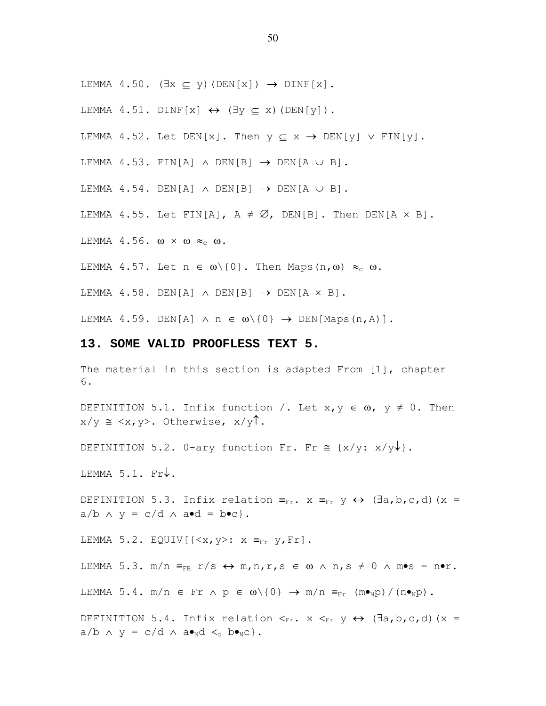LEMMA 4.50.  $(\exists x \subseteq y)$  (DEN[x])  $\rightarrow$  DINF[x].

LEMMA 4.51. DINF[x]  $\leftrightarrow$  ( $\exists y \subseteq x$ ) (DEN[y]).

LEMMA 4.52. Let DEN[x]. Then  $y \subseteq x \rightarrow$  DEN[y]  $\vee$  FIN[y].

LEMMA 4.53. FIN[A]  $\land$  DEN[B]  $\rightarrow$  DEN[A  $\cup$  B].

LEMMA 4.54. DEN[A]  $\land$  DEN[B]  $\rightarrow$  DEN[A  $\cup$  B].

LEMMA 4.55. Let FIN[A],  $A \neq \emptyset$ , DEN[B]. Then DEN[A  $\times$  B].

LEMMA 4.56.  $\omega \times \omega \approx_c \omega$ .

LEMMA 4.57. Let  $n \in \omega \setminus \{0\}$ . Then Maps(n,  $\omega$ )  $\approx_c \omega$ .

LEMMA 4.58. DEN[A]  $\land$  DEN[B]  $\rightarrow$  DEN[A  $\times$  B].

LEMMA 4.59. DEN[A]  $\land$  n  $\in$  0 $\setminus$ {0}  $\rightarrow$  DEN[Maps(n,A)].

#### **13. SOME VALID PROOFLESS TEXT 5.**

The material in this section is adapted From [1], chapter 6.

DEFINITION 5.1. Infix function /. Let  $x, y \in \omega$ ,  $y \neq 0$ . Then  $x/y \approx \langle x, y \rangle$ . Otherwise,  $x/y$ .

DEFINITION 5.2. 0-ary function Fr. Fr  $\cong$  {x/y: x/y $\downarrow$ }.

LEMMA 5.1. Fr↓.

DEFINITION 5.3. Infix relation  $\equiv_{\text{Fr}}$ .  $x \equiv_{\text{Fr}} y \leftrightarrow (\exists a, b, c, d)$  (x =  $a/b \wedge y = c/d \wedge a \cdot d = b \cdot c$ .

LEMMA 5.2. EQUIV $[\langle \langle x, y \rangle : x \equiv_{\text{Fr}} y, \text{Fr}]$ .

LEMMA 5.3. m/n  $\equiv_{FR} r/s \leftrightarrow m,n,r,s \in \omega \wedge n,s \neq 0 \wedge m \bullet s = n \bullet r$ .

LEMMA 5.4.  $m/n \in Fr \land p \in \omega \setminus \{0\} \rightarrow m/n \equiv_{Fr} (m \bullet_{N}p) / (n \bullet_{N}p)$ .

DEFINITION 5.4. Infix relation  $\lt_{\text{Fr}}$ . x  $\lt_{\text{Fr}}$  y  $\leftrightarrow$  ( $\exists$ a,b,c,d)(x =  $a/b \wedge y = c/d \wedge a \cdot_M d \leq b \cdot_M c$ .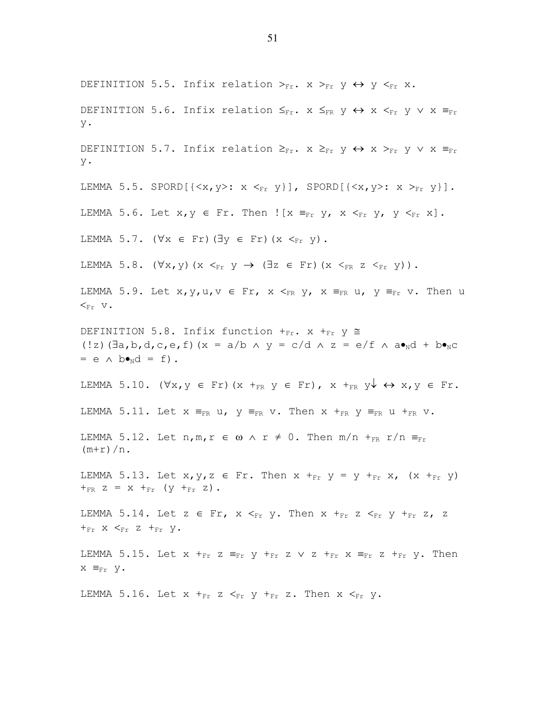DEFINITION 5.5. Infix relation  $>_{\text{Fr}}$ . x  $>_{\text{Fr}}$  y  $\leftrightarrow$  y  $<_{\text{Fr}}$  x. DEFINITION 5.6. Infix relation  $\leq_{\text{Fr}}$ .  $x \leq_{\text{FR}} y \leftrightarrow x \leq_{\text{Fr}} y \vee x \equiv_{\text{Fr}}$ y. DEFINITION 5.7. Infix relation  $\geq_{\text{Fr}}$ .  $x \geq_{\text{Fr}} y \leftrightarrow x \geq_{\text{Fr}} y \vee x \equiv_{\text{Fr}}$ y. LEMMA 5.5. SPORD $[\{:\ x <_{\text{Fr}} y\}]$ , SPORD $[\{:\ x >_{\text{Fr}} y\}]$ . LEMMA 5.6. Let  $x, y \in Fr$ . Then  $\{x \equiv_{Fr} y, x \leq_{Fr} y, y \leq_{Fr} x\}$ . LEMMA 5.7.  $(\forall x \in Fr)$  ( $\exists y \in Fr$ ) (x  $\leq_{Fr} y$ ). LEMMA 5.8.  $(\forall x, y)$  (x  $\lt_{F}$  y  $\rightarrow$  ( $\exists z \in Fr$ ) (x  $\lt_{FR}$  z  $\lt_{Fr}$  y)). LEMMA 5.9. Let  $x, y, u, v \in Fr$ ,  $x \leq_{FR} y$ ,  $x \equiv_{FR} u$ ,  $y \equiv_{Fr} v$ . Then u  $\leq_{\mathrm{Fr}}$  v. DEFINITION 5.8. Infix function +Fr. x +Fr  $y \approx$ (!z)(∃a,b,d,c,e,f)(x = a/b ∧ y = c/d ∧ z = e/f ∧ a•<sub>N</sub>d + b•<sub>N</sub>c  $= e \wedge b \bullet_{N} d = f$ . LEMMA 5.10.  $(\forall x, y \in \text{Fr}) (x +_{\text{FR}} y \in \text{Fr})$ ,  $x +_{\text{FR}} y \downarrow \leftrightarrow x, y \in \text{Fr}$ . LEMMA 5.11. Let  $x =_{FR} u$ ,  $y =_{FR} v$ . Then  $x +_{FR} y =_{FR} u +_{FR} v$ . LEMMA 5.12. Let  $n,m,r \in \omega \wedge r \neq 0$ . Then  $m/n$  +<sub>FR</sub>  $r/n \equiv_{Fr}$  $(m+r)/n$ . LEMMA 5.13. Let  $x, y, z \in Fr$ . Then  $x +_{Fr} y = y +_{Fr} x$ ,  $(x +_{Fr} y)$  $+_{FR}$  z = x  $+_{Fr}$  (y  $+_{Fr}$  z). LEMMA 5.14. Let  $z \in Fr$ ,  $x <_{Fr} y$ . Then  $x +_{Fr} z <_{Fr} y +_{Fr} z$ ,  $z$  $+_{\text{Fr}}$  x  $\lt_{\text{Fr}}$  z  $+_{\text{Fr}}$  y. LEMMA 5.15. Let  $x +_{Fr} z \equiv_{Fr} y +_{Fr} z \vee z +_{Fr} x \equiv_{Fr} z +_{Fr} y$ . Then  $x \equiv_{Fr} y$ . LEMMA 5.16. Let  $x +_{Fr} z <_{Fr} y +_{Fr} z$ . Then  $x <_{Fr} y$ .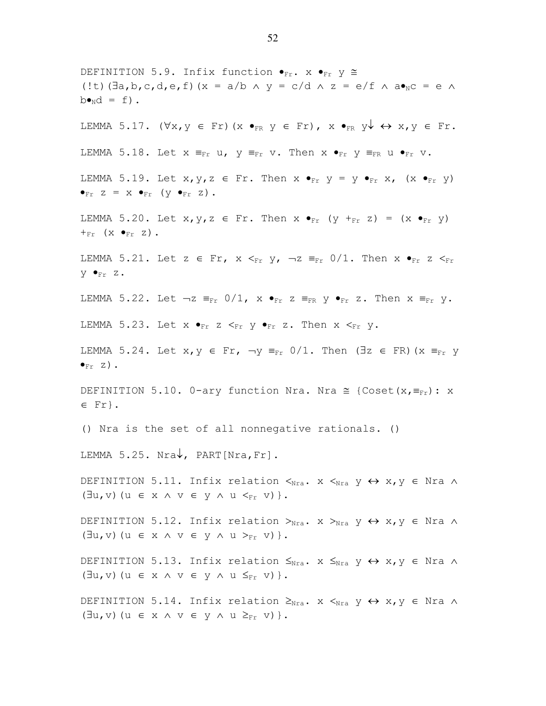DEFINITION 5.9. Infix function  $\bullet_{\text{Fr}}$ . x  $\bullet_{\text{Fr}}$  y  $\cong$ (!t)(∃a,b,c,d,e,f)(x = a/b ∧ y = c/d ∧ z = e/f ∧ a•<sub>N</sub>c = e ∧  $b \bullet_N d = f$ . LEMMA 5.17.  $(\forall x, y \in \mathbb{F}r)$   $(x \bullet_{\mathbb{F}R} y \in \mathbb{F}r)$ ,  $x \bullet_{\mathbb{F}R} y \downarrow \leftrightarrow x, y \in \mathbb{F}r$ . LEMMA 5.18. Let  $x \equiv_{Fr} u$ ,  $y \equiv_{Fr} v$ . Then  $x \bullet_{Fr} y \equiv_{FR} u \bullet_{Fr} v$ . LEMMA 5.19. Let  $x, y, z \in Fr$ . Then  $x \bullet_{Fr} y = y \bullet_{Fr} x$ ,  $(x \bullet_{Fr} y)$  $\bullet_{\text{Fr}}$  z = x  $\bullet_{\text{Fr}}$  (y  $\bullet_{\text{Fr}}$  z). LEMMA 5.20. Let  $x, y, z \in Fr$ . Then  $x \bullet_{Fr} (y +_{Fr} z) = (x \bullet_{Fr} y)$  $+_{\text{Fr}}$  (x  $\bullet_{\text{Fr}}$  z). LEMMA 5.21. Let  $z \in Fr$ ,  $x <_{Fr} y$ ,  $-z =_{Fr} 0/1$ . Then  $x \bullet_{Fr} z <_{Fr}$  $y \bullet_{Fr} z$ . LEMMA 5.22. Let  $-z \equiv_{\text{Fr}} 0/1$ , x  $\bullet_{\text{Fr}} z \equiv_{\text{FR}} y \bullet_{\text{Fr}} z$ . Then  $x \equiv_{\text{Fr}} y$ . LEMMA 5.23. Let x  $\bullet_{\text{Fr}}$  z  $\lt_{\text{Fr}}$  y  $\bullet_{\text{Fr}}$  z. Then x  $\lt_{\text{Fr}}$  y. LEMMA 5.24. Let  $x, y \in Fr$ ,  $\neg y = Fr$  0/1. Then ( $\exists z \in FR$ ) ( $x = Fr$  y  $\bullet_{\text{Fr}}$  z). DEFINITION 5.10. 0-ary function Nra. Nra ≅ {Coset(x,  $\equiv_{\text{Fr}}$ ): x  $\in$  Fr}. () Nra is the set of all nonnegative rationals. () LEMMA 5.25. Nra↓, PART[Nra,Fr]. DEFINITION 5.11. Infix relation  $\lt_{Nra}$ . x  $\lt_{Nra}$  y  $\leftrightarrow$  x, y  $\in$  Nra  $\land$  $(\exists u, v)$  ( $u \in X \land v \in Y \land u \leq_{Fr} v$ ) }. DEFINITION 5.12. Infix relation >Nra. x >Nra  $y \leftrightarrow x, y \in N$ ra  $\wedge$  $(\exists u, v)$  ( $u \in X \land v \in y \land u >_{Fr} v$ ) }. DEFINITION 5.13. Infix relation  $\leq_{Nra}$ .  $x \leq_{Nra} y \leftrightarrow x, y \in Nra \wedge$  $(\exists u, v)$  ( $u \in X \land v \in y \land u \leq_{Fr} v$ ) }. DEFINITION 5.14. Infix relation  $\geq_{Nra}$ .  $X \leq_{Nra} Y \leftrightarrow X, Y \in Nra \wedge N$  $(\exists u, v)$  ( $u \in X \land v \in y \land u \geq_{Fr} v$ ) }.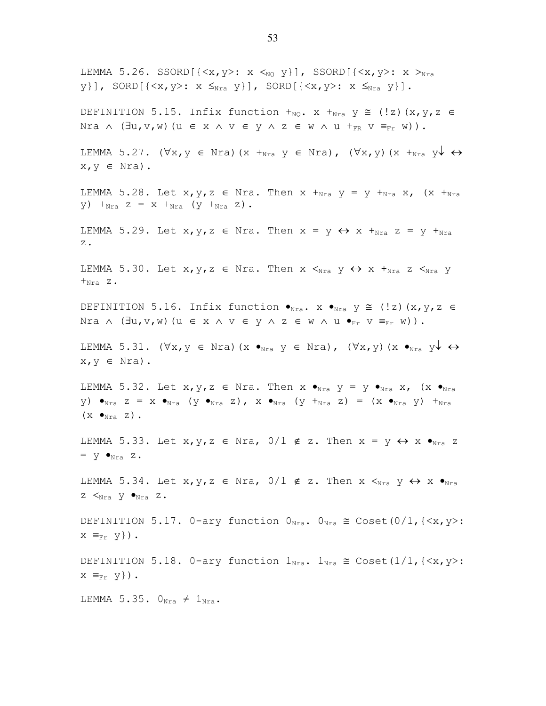LEMMA 5.26. SSORD[ $\{\langle x, y \rangle: x \prec_{NQ} y\}$ ], SSORD[ $\{\langle x, y \rangle: x >_{Nra}$ y}], SORD[ $\{ \langle x, y \rangle : x \leq_{Nra} y \}$ ], SORD[ $\{ \langle x, y \rangle : x \leq_{Nra} y \}$ ]. DEFINITION 5.15. Infix function +NQ. x +Nra  $y \cong$  (!z)(x,  $y$ , z  $\in$ Nra ∧  $(\exists u, v, w)$   $(u \in x \land v \in y \land z \in w \land u +_{FR} v \equiv_{Fr} w)$ ). LEMMA 5.27.  $(\forall x, y \in \text{Nra}) (x +_{\text{Nra}} y \in \text{Nra})$ ,  $(\forall x, y) (x +_{\text{Nra}} y \downarrow \leftrightarrow$  $x, y \in \text{Nra}$ . LEMMA 5.28. Let  $x, y, z \in Nra$ . Then  $x +_{Nra} y = y +_{Nra} x$ ,  $(x +_{Nra} x)$ y)  $+_{Nra} z = x +_{Nra} (y +_{Nra} z)$ . LEMMA 5.29. Let  $x, y, z \in N$ ra. Then  $x = y \leftrightarrow x +_{Nra} z = y +_{Nra} z$ z. LEMMA 5.30. Let  $x, y, z \in \mathbb{N}$ ra. Then  $x \leq_{Nra} y \leftrightarrow x +_{Nra} z \leq_{Nra} y$  $+_{Nra}$  z. DEFINITION 5.16. Infix function  $\bullet$ <sub>Nra</sub>. x  $\bullet$ <sub>Nra</sub> y  $\cong$  (!z)(x, y, z  $\in$ Nra ∧  $(\exists u, v, w)$   $(u \in X \land v \in y \land z \in w \land u \bullet_{Fr} v \equiv_{Fr} w)$ ). LEMMA 5.31. ( $\forall x, y \in \mathbb{N}$ ra)(x  $\bullet_{\mathbb{N}$ ra  $y \in \mathbb{N}$ ra), ( $\forall x, y$ )(x  $\bullet_{\mathbb{N}$ ra  $y \downarrow \leftrightarrow$  $x, y \in \text{Nra}$ . LEMMA 5.32. Let  $x, y, z \in N$ ra. Then  $x \bullet_{Nra} y = y \bullet_{Nra} x$ ,  $(x \bullet_{Nra}$ y)  $\bullet_{Nra}$  z = x  $\bullet_{Nra}$  (y  $\bullet_{Nra}$  z), x  $\bullet_{Nra}$  (y  $+_{Nra}$  z) = (x  $\bullet_{Nra}$  y)  $+_{Nra}$  $(X \bullet_{Nra} Z)$ . LEMMA 5.33. Let  $x, y, z \in \mathbb{N}$ ra,  $0/1 \notin z$ . Then  $x = y \leftrightarrow x \bullet_{\mathbb{N} r a} z$  $=$   $y \bullet_{Nra} z$ . LEMMA 5.34. Let  $x, y, z \in Nra$ ,  $0/1 \notin z$ . Then  $x \leq_{Nra} y \leftrightarrow x \bullet_{Nra}$  $z \leq_{Nra} y \bullet_{Nra} z$ . DEFINITION 5.17. 0-ary function  $0_{Nra}$ .  $0_{Nra} \cong$  Coset(0/1,{  $\langle x, y \rangle$ :  $X \equiv_{Fr} Y$ . DEFINITION 5.18. 0-ary function  $1_{Nra}$ .  $1_{Nra} \cong$  Coset(1/1,{  $\langle x, y \rangle$ :  $X \equiv_{Fr} Y$ ). LEMMA 5.35.  $0<sub>Nra</sub> \neq 1<sub>Nra</sub>$ .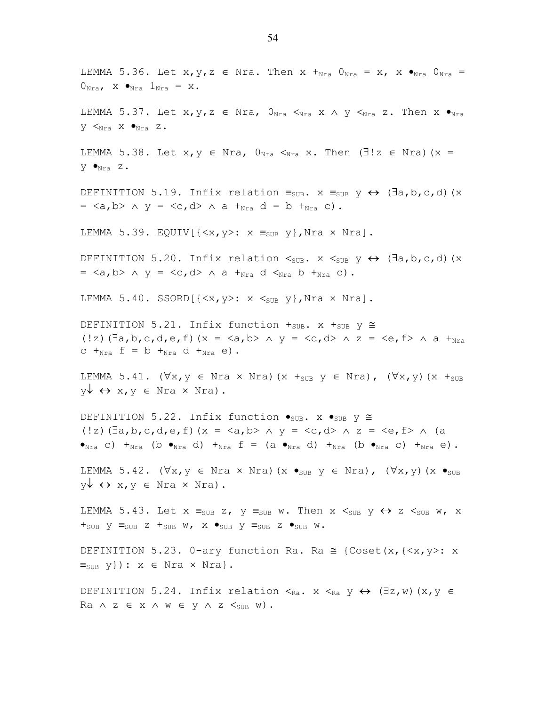LEMMA 5.36. Let  $x, y, z \in Nra$ . Then  $x +_{Nra} 0_{Nra} = x$ ,  $x \bullet_{Nra} 0_{Nra} = x$  $0<sub>Nra</sub>$ , x  $\bullet<sub>Nra</sub> 1<sub>Nra</sub> = x$ . LEMMA 5.37. Let  $x, y, z \in Nra$ ,  $0_{Nra} \leq_{Nra} x \wedge y \leq_{Nra} z$ . Then  $x \bullet_{Nra}$  $y \leq_{Nra} x \bullet_{Nra} z$ . LEMMA 5.38. Let  $x, y \in Nra$ ,  $0_{Nra} <_{Nra} x$ . Then ( $\exists ! z \in Nra$ ) ( $x =$  $y \bullet_{Nra} z$ . DEFINITION 5.19. Infix relation =  $_{SUB}$ . x =  $_{SUB}$  y  $\leftrightarrow$  ( $\exists a, b, c, d$ ) (x  $= \langle a, b \rangle \wedge y = \langle c, d \rangle \wedge a +_{Nra} d = b +_{Nra} c$ . LEMMA 5.39. EQUIV $[{:\ x =_{SUB} y}, Nra \times Nra].$ DEFINITION 5.20. Infix relation <sub. x <sub y  $\leftrightarrow$  ( $\exists$ a,b,c,d) (x =  $\langle a, b \rangle \wedge y = \langle c, d \rangle \wedge a +_{Nra} d \langle x_{Nra} b +_{Nra} c \rangle$ . LEMMA 5.40. SSORD $[\{:\ x<sub>SUB</sub> y\}$ , Nra  $\times$  Nra]. DEFINITION 5.21. Infix function  $+_{SUB}$ . x  $+_{SUB}$  y  $\cong$ (!z)(∃a,b,c,d,e,f)(x = <a,b>  $\land$  y = <c,d>  $\land$  z = <e,f>  $\land$  a +<sub>Nra</sub> c  $+_{Nra}$  f = b  $+_{Nra}$  d  $+_{Nra}$  e). LEMMA 5.41. ( $\forall x, y \in \mathbb{N}$ ra × Nra)(x +<sub>SUB</sub>  $y \in \mathbb{N}$ ra), ( $\forall x, y$ )(x +<sub>SUB</sub>  $y\downarrow \leftrightarrow x, y \in \mathbb{N}$ ra × Nra). DEFINITION 5.22. Infix function  $\bullet_{SUB}$ . x  $\bullet_{SUB}$  y  $\cong$ (!z)( $\exists a, b, c, d, e, f$ )(x =  $\langle a, b \rangle \wedge y$  =  $\langle c, d \rangle \wedge z$  =  $\langle e, f \rangle \wedge (a$  $\bullet_{Nra}$  c)  $+_{Nra}$  (b  $\bullet_{Nra}$  d)  $+_{Nra}$  f = (a  $\bullet_{Nra}$  d)  $+_{Nra}$  (b  $\bullet_{Nra}$  c)  $+_{Nra}$  e). LEMMA 5.42. ( $\forall x, y \in \mathbb{N}$ ra × Nra)(x  $\bullet_{\text{SUB }} y \in \mathbb{N}$ ra), ( $\forall x, y$ )(x  $\bullet_{\text{SUB }}$  $y \nightharpoonup \leftrightarrow x, y \in \mathbb{N}$ ra × Nra). LEMMA 5.43. Let  $x =_{SUB} z$ ,  $y =_{SUB} w$ . Then  $x <_{SUB} y \leftrightarrow z <_{SUB} w$ ,  $x$  $+_{SUB}$  y  $\equiv_{SUB}$  z  $+_{SUB}$  w, x  $\bullet_{SUB}$  y  $\equiv_{SUB}$  z  $\bullet_{SUB}$  w. DEFINITION 5.23. 0-ary function Ra. Ra  $\cong$  {Coset(x,{ $\langle x,y \rangle$ : x  $\equiv_{SUB}$  y}):  $x \in Nra \times Nra$ . DEFINITION 5.24. Infix relation  $\lt_{Ra}$ . x  $\lt_{Ra}$  y  $\leftrightarrow$  ( $\exists z,w$ ) (x, y  $\in$ Ra  $\land$  z  $\in$  x  $\land$  w  $\in$  y  $\land$  z  $\leq_{SUB}$  w).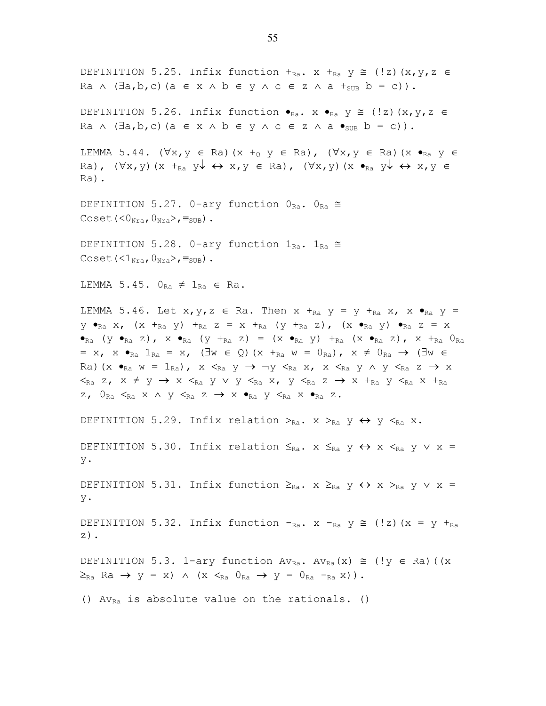DEFINITION 5.25. Infix function  $+_{Ra}$ .  $x +_{Ra} y \approx (2x)(x, y, z) \in$ Ra  $\land$  ( $\exists$ a,b,c)(a ∈ x  $\land$  b ∈ y  $\land$  c ∈ z  $\land$  a +<sub>SUB</sub> b = c)). DEFINITION 5.26. Infix function  $\bullet_{Ra}$ . x  $\bullet_{Ra}$  y  $\cong$  (!z)(x, y, z  $\in$ Ra  $\land$  ( $\exists$ a,b,c)(a ∈ x  $\land$  b ∈ y  $\land$  c ∈ z  $\land$  a  $\bullet$ <sub>SUB</sub> b = c)). LEMMA 5.44. ( $\forall x, y \in Ra$ ) (x +<sub>0</sub> y  $\in Ra$ ), ( $\forall x, y \in Ra$ ) (x  $\bullet_{Ra} y \in$ Ra),  $(\forall x, y)$  (x +<sub>Ra</sub>  $y \downarrow \leftrightarrow x, y \in Ra$ ),  $(\forall x, y)$  (x  $\bullet$ <sub>Ra</sub>  $y \downarrow \leftrightarrow x, y \in$ Ra). DEFINITION 5.27. 0-ary function  $0_{Ra}$ .  $0_{Ra} \approx$ Coset(< $0_{Nra}$ ,  $0_{Nra}$ ,  $\equiv_{SUB}$ ). DEFINITION 5.28. 0-ary function  $1_{Ra}$ .  $1_{Ra} \approx$ Coset( $\langle 1_{Nra}, 0_{Nra} \rangle$ ,  $\equiv_{SUB}$ ). LEMMA 5.45.  $0_{Ra} \neq 1_{Ra} \in Ra$ . LEMMA 5.46. Let  $x, y, z \in \mathbb{R}$ a. Then  $x +_{\mathbb{R}a} y = y +_{\mathbb{R}a} x$ ,  $x \bullet_{\mathbb{R}a} y =$  $y \bullet_{Ra} x$ ,  $(x +_{Ra} y) +_{Ra} z = x +_{Ra} (y +_{Ra} z)$ ,  $(x \bullet_{Ra} y) \bullet_{Ra} z = x$  $\bullet_{\text{Ra}}$  (y  $\bullet_{\text{Ra}}$  z), x  $\bullet_{\text{Ra}}$  (y  $+_{\text{Ra}}$  z) = (x  $\bullet_{\text{Ra}}$  y)  $+_{\text{Ra}}$  (x  $\bullet_{\text{Ra}}$  z), x  $+_{\text{Ra}}$  0<sub>Ra</sub>  $= x, x \bullet_{Ra} 1_{Ra} = x, (\exists w \in \mathbb{Q}) (x +_{Ra} w = 0_{Ra}), x \neq 0_{Ra} \rightarrow (\exists w \in \mathbb{Q})$ Ra)(x  $\bullet$ <sub>Ra</sub> w = 1<sub>Ra</sub>), x  $\lt_{Ra}$  y  $\rightarrow$   $\neg$ y  $\lt_{Ra}$  x, x  $\lt_{Ra}$  y  $\land$  y  $\lt_{Ra}$  z  $\rightarrow$  x  $\prec_{Ra} z$ ,  $x \neq y \rightarrow x \prec_{Ra} y \vee y \prec_{Ra} x$ ,  $y \prec_{Ra} z \rightarrow x +_{Ra} y \prec_{Ra} x +_{Ra}$ z,  $0_{Ra} \leq_{Ra} x \wedge y \leq_{Ra} z \rightarrow x \bullet_{Ra} y \leq_{Ra} x \bullet_{Ra} z$ . DEFINITION 5.29. Infix relation  $>_{Ra}$ . x  $>_{Ra}$  y  $\leftrightarrow$  y  $<_{Ra}$  x. DEFINITION 5.30. Infix relation  $\leq_{Ra}$ . x  $\leq_{Ra}$  y  $\leftrightarrow$  x  $\leq_{Ra}$  y  $\vee$  x = y. DEFINITION 5.31. Infix function  $\geq_{Ra}$ .  $x \geq_{Ra} y \leftrightarrow x >_{Ra} y \vee x =$ y. DEFINITION 5.32. Infix function  $-<sub>Ra</sub>$ . x  $-<sub>Ra</sub>$  y  $\cong$  (!z)(x = y  $+<sub>Ra</sub>$ z). DEFINITION 5.3. 1-ary function  $Av_{Ra}$ .  $Av_{Ra}(x) \cong (!y \in Ra)$  ((x  $\geq_{Ra}$  Ra  $\rightarrow$  y = x)  $\land$  (x  $\ltimes_{Ra}$   $0_{Ra}$   $\rightarrow$  y =  $0_{Ra}$   $-_{Ra}$  x)). ()  $Av_{Ra}$  is absolute value on the rationals. ()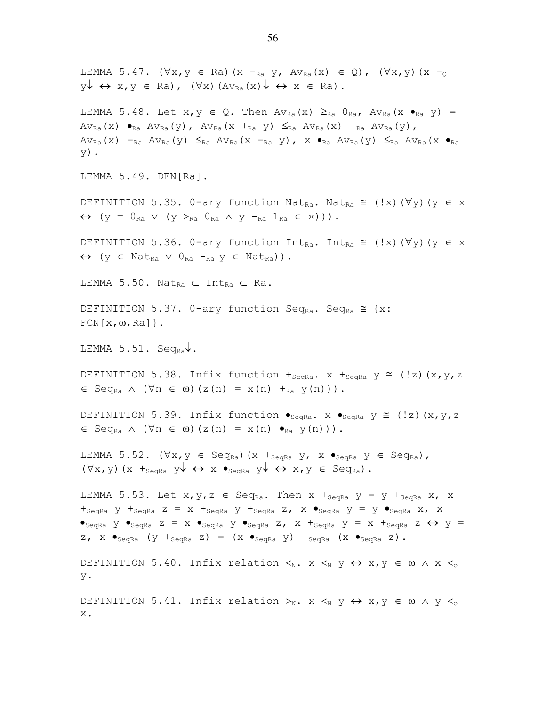LEMMA 5.47.  $(\forall x, y \in Ra)$   $(x -_{Ra} y, Av_{Ra}(x) \in Q)$ ,  $(\forall x, y)$   $(x -_{Q}$  $y\downarrow \leftrightarrow x, y \in Ra$ ,  $(\forall x)$  ( $Av_{Ra}(x)\downarrow \leftrightarrow x \in Ra$ ). LEMMA 5.48. Let  $x, y \in Q$ . Then  $Av_{Ra}(x) \geq_{Ra} O_{Ra}$ ,  $Av_{Ra}(x \bullet_{Ra} y)$  =  $\text{Av}_{\text{Ra}}(x) \bullet_{\text{Ra}} \text{Av}_{\text{Ra}}(y)$ ,  $\text{Av}_{\text{Ra}}(x +_{\text{Ra}} y) \leq_{\text{Ra}} \text{Av}_{\text{Ra}}(x) +_{\text{Ra}} \text{Av}_{\text{Ra}}(y)$ ,  $Av_{Ra}(x)$  -<sub>Ra</sub>  $Av_{Ra}(y)$   $\leq_{Ra} Av_{Ra}(x -_{Ra} y)$ ,  $x \bullet_{Ra} Av_{Ra}(y)$   $\leq_{Ra} Av_{Ra}(x \bullet_{Ra} y)$ y). LEMMA 5.49. DEN[Ra]. DEFINITION 5.35. 0-ary function Nat<sub>Ra</sub>. Nat<sub>Ra</sub>  $\cong$  (!x)( $\forall$ y)( $y \in x$  $\leftrightarrow$  (y = 0<sub>Ra</sub>  $\vee$  (y ><sub>Ra</sub> 0<sub>Ra</sub>  $\wedge$  y -<sub>Ra</sub> 1<sub>Ra</sub>  $\in$  x))). DEFINITION 5.36. 0-ary function Int<sub>Ra</sub>. Int<sub>Ra</sub>  $\cong$  (!x)( $\forall$ y)( $y \in x$  $\leftrightarrow$  (y  $\in$  Nat<sub>Ra</sub>  $\vee$  O<sub>Ra</sub>  $-$ <sub>Ra</sub>  $\vee$   $\in$  Nat<sub>Ra</sub>)). LEMMA 5.50. Nat<sub>Ra</sub>  $\subset$  Int<sub>Ra</sub>  $\subset$  Ra. DEFINITION 5.37. 0-ary function Seq<sub>Ra</sub>. Seq<sub>Ra</sub>  $\cong$  {x:  $FCN[x, \omega, Ra]$ . LEMMA 5.51.  $Seq_{Ra} \downarrow$ . DEFINITION 5.38. Infix function +SeqRa.  $x$  +SeqRa  $y \cong$  (!z)(x, y, z  $\in$  Seq<sub>Ra</sub>  $\wedge$  ( $\forall n \in \omega$ ) (z(n) = x(n) +<sub>Ra</sub> y(n))). DEFINITION 5.39. Infix function  $\bullet_{\text{SeqRa}}$ . x  $\bullet_{\text{SeqRa}}$   $y \cong$  (!z)(x, y, z  $\epsilon$  Seq<sub>Ra</sub>  $\wedge$  ( $\forall n \in \omega$ ) (z(n) = x(n)  $\bullet_{Ra}$  y(n))). LEMMA 5.52.  $(\forall x, y \in Seq_{Ra})$  (x +<sub>SeqRa</sub> y, x  $\bullet$ <sub>SeqRa</sub> y  $\in$  Seq<sub>Ra</sub>),  $(\forall x, y)$  (x +seqRa  $y \downarrow \leftrightarrow x \bullet_{\text{SeqRa}} y \downarrow \leftrightarrow x, y \in \text{SeqRa}$ ). LEMMA 5.53. Let  $x, y, z \in \text{Seq}_{Ra}$ . Then  $x +_{\text{SeqRa}} y = y +_{\text{SeqRa}} x$ , x  $+_{\texttt{SeqRa}}$  y  $+_{\texttt{SeqRa}}$  z = x  $+_{\texttt{SeqRa}}$  y  $+_{\texttt{SeqRa}}$  z, x  $\bullet_{\texttt{SeqRa}}$  y = y  $\bullet_{\texttt{SeqRa}}$  x, x •SeqRa Y •SeqRa  $z = x$  •SeqRa Y •SeqRa Z,  $x +$ SeqRa  $y = x +$ SeqRa  $z \leftrightarrow y =$  $z$ , x  $\bullet$ <sub>SeqRa</sub> (y +<sub>SeqRa</sub> z) = (x  $\bullet$ <sub>SeqRa</sub> y) +<sub>SeqRa</sub> (x  $\bullet$ <sub>SeqRa</sub> z). DEFINITION 5.40. Infix relation  $\lt_N$ .  $x \lt_N y \leftrightarrow x, y \in \omega \wedge x \lt_N$ y. DEFINITION 5.41. Infix relation >N. x <N y  $\leftrightarrow$  x, y  $\in$  0 ^ y <o x.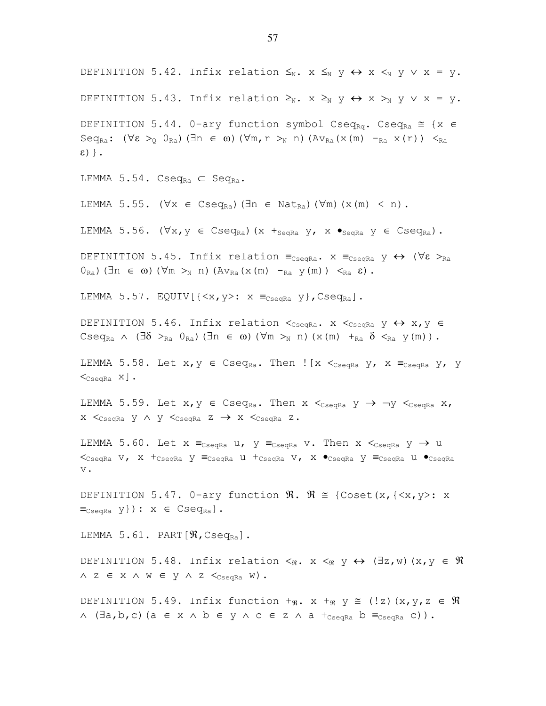DEFINITION 5.42. Infix relation  $\leq_N$ .  $x \leq_N y \leftrightarrow x \leq_N y \vee x = y$ . DEFINITION 5.43. Infix relation  $\geq_N$ .  $x \geq_N y \leftrightarrow x >_N y \vee x = y$ . DEFINITION 5.44. 0-ary function symbol Cseq<sub>Rq</sub>. Cseq<sub>Ra</sub>  $\cong$  {x  $\in$ Seq<sub>Ra</sub>:  $(\forall \varepsilon >_0 0_{\text{Ra}})$  (∃n ∈ ω) ( $\forall m, r >_N n$ ) (Av<sub>Ra</sub>(x(m) -<sub>Ra</sub> x(r)) <<sub>Ra</sub> ε)}. LEMMA 5.54. Cseq<sub>Ra</sub>  $\subset$  Seq<sub>Ra</sub>. LEMMA 5.55.  $(\forall x \in \text{Cseq}_{\text{Ra}})$  ( $\exists n \in \text{Nat}_{\text{Ra}}$ ) ( $\forall m$ ) (x(m) < n). LEMMA 5.56. ( $\forall x, y \in \text{Cseq}_{\text{Ra}}$ ) (x + $_{\text{SeqRa}}$  y, x  $\bullet_{\text{SeqRa}}$  y  $\in \text{Cseq}_{\text{Ra}}$ ). DEFINITION 5.45. Infix relation  $\equiv_{\text{CseqRa}}$ .  $x \equiv_{\text{CseqRa}} y \leftrightarrow (\forall \varepsilon >_{\text{Ra}})$  $0<sub>Ra</sub>$ )(∃n ∈ ω)(∀m ><sub>N</sub> n)(Av<sub>Ra</sub>(x(m) -<sub>Ra</sub> y(m)) <<sub>Ra</sub> ε). LEMMA 5.57. EQUIV $[:\ x =_{C \text{seqRa}} y$ ,  $C \text{seq}_{Ra}].$ DEFINITION 5.46. Infix relation < $_{CseqRa}$ . x < $_{CseqRa}$  y  $\leftrightarrow$  x, y  $\in$ Cseq<sub>Ra</sub>  $\wedge$  ( $\exists \delta >_{Ra} 0_{Ra}$ )( $\exists n \in \omega$ )( $\forall m >_{N} n$ )( $x(m) +_{Ra} \delta <_{Ra} y(m)$ ). LEMMA 5.58. Let  $x, y \in \text{Cseq}_{\text{Ra}}$ . Then  $\text{I}[x \prec_{\text{CseqRa}} y, x =_{\text{CseqRa}} y, y$  $\leq_{\text{CseqRa}} x$ . LEMMA 5.59. Let  $x, y \in \text{Cseq}_{\text{Ra}}$ . Then  $x \leq_{\text{CseqRa}} y \rightarrow \neg y \leq_{\text{CseqRa}} x$ , x <CseqRa y ∧ y <CseqRa z → x <CseqRa z. LEMMA 5.60. Let  $x \equiv_{C \text{seqRa}} u$ ,  $y \equiv_{C \text{seqRa}} v$ . Then  $x <_{C \text{seqRa}} y \rightarrow u$ <CseqRa v, x +CseqRa y ≡CseqRa u +CseqRa v, x •CseqRa y ≡CseqRa u •CseqRa v. DEFINITION 5.47. 0-ary function  $\Re$ .  $\Re \cong$  {Coset(x,{<x,y>: x  $\equiv_{\text{CseqRa}}$  y}):  $x \in \text{Cseq}_{\text{Ra}}$ . LEMMA 5.61. PART $[\Re, \text{Cseq}_{\text{Ra}}]$ . DEFINITION 5.48. Infix relation  $\langle \mathcal{R}, \mathbf{x} \rangle \langle \mathcal{R}, \mathbf{y} \rangle$   $\leftrightarrow$   $(\exists z, w)$   $(x, y \in \mathcal{R})$  $\wedge$  Z ∈ X  $\wedge$  W ∈ Y  $\wedge$  Z  $\leq_{\text{CseqRa}}$  W). DEFINITION 5.49. Infix function  $+_{\Re}$ . x  $+_{\Re}$  y  $\cong$  (!z)(x, y, z  $\in \Re$ ∧ (∃a, b, c) (a ∈ x ∧ b ∈ y ∧ c ∈ z ∧ a +<sub>CseqRa</sub> b ≡<sub>CseqRa</sub> c)).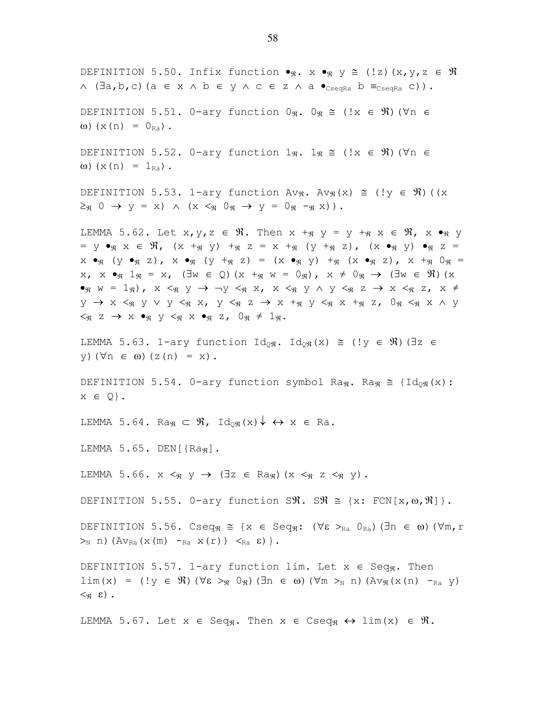DEFINITION 5.50. Infix function  $\bullet_{\Re}$ .  $x \bullet_{\Re} y \cong$  (!z)(x, y, z  $\in \Re$ ∧ (∃a,b,c)(a ∈ x ∧ b ∈ y ∧ c ∈ z ∧ a •CseqRa b ≡CseqRa c)). DEFINITION 5.51. 0-ary function  $0_{\Re}$ .  $0_{\Re} \cong$  (!x  $\in \Re$ ) ( $\forall$ n  $\in$  $\omega$ ) (x(n) =  $0_{\text{Ra}}$ ). DEFINITION 5.52. 0-ary function  $1_\Re$ .  $1_\Re \cong$  (!x  $\in \Re$ ) ( $\forall$ n  $\in$ ω) (x(n) =  $1_{Ra}$ ). DEFINITION 5.53. 1-ary function Av $_\mathfrak{R}$ . Av $_\mathfrak{R}$  (x)  $\cong$  (!y  $\in$   $\mathfrak{R}$ ) ((x  $\geq_{\Re} 0 \rightarrow y = x$ )  $\wedge (x \leq_{\Re} 0_{\Re} \rightarrow y = 0_{\Re} - y_{\Re} x)$ ). LEMMA 5.62. Let  $x, y, z \in \mathcal{R}$ . Then  $x +_{\mathcal{R}} y = y +_{\mathcal{R}} x \in \mathcal{R}$ ,  $x \bullet_{\mathcal{R}} y$  $=$  y  $\bullet$ <sub>N</sub>  $\times$   $\in$   $\mathfrak{R}$ ,  $(\times$   $+_{\mathfrak{R}}$  y)  $+_{\mathfrak{R}}$  z =  $\times$   $+_{\mathfrak{R}}$  (y  $+_{\mathfrak{R}}$  z),  $(\times$   $\bullet$ <sub>N</sub> y)  $\bullet$ <sub>N</sub> z =  $x \bullet_{\Re} (y \bullet_{\Re} z)$ ,  $x \bullet_{\Re} (y \to_{\Re} z) = (x \bullet_{\Re} y) +_{\Re} (x \bullet_{\Re} z)$ ,  $x \to_{\Re} 0_{\Re} =$  $x, x \bullet_{\Re} 1_{\Re} = x, (\exists w \in \mathbb{Q}) (x +_{\Re} w = 0_{\Re}), x \neq 0_{\Re} \rightarrow (\exists w \in \Re) (x$  $\bullet$ <sub>N</sub> w = 1<sub>N</sub>),  $x \leq_N y \rightarrow \neg y \leq_N x$ ,  $x \leq_N y \land y \leq_N z \rightarrow x \leq_N z$ ,  $x \neq$  $y \rightarrow x \leq_{\Re} y \vee y \leq_{\Re} x$ ,  $y \leq_{\Re} z \rightarrow x +_{\Re} y \leq_{\Re} x +_{\Re} z$ ,  $0_{\Re} \leq_{\Re} x \wedge y$  $\langle \mathcal{R} \times \mathcal{R} \times \mathcal{R} \times \mathcal{R} \times \mathcal{R} \times \mathcal{R} \times \mathcal{R} \times \mathcal{R} \times \mathcal{R} \times \mathcal{R} \times \mathcal{R} \times \mathcal{R} \times \mathcal{R} \times \mathcal{R} \times \mathcal{R} \times \mathcal{R} \times \mathcal{R} \times \mathcal{R} \times \mathcal{R} \times \mathcal{R} \times \mathcal{R} \times \mathcal{R} \times \mathcal{R} \times \mathcal{R} \times \mathcal{R} \times \mathcal{R} \times \mathcal{R} \times \math$ LEMMA 5.63. 1-ary function Id<sub>on</sub>. Id<sub>on</sub>(x) ≅ (!y ∈  $\mathfrak{R}$ )( $\exists z \in$ y)  $(\forall n \in \omega)$   $(z(n) = x)$ . DEFINITION 5.54. 0-ary function symbol Ra $_{\mathfrak{R}}$ . Ra $_{\mathfrak{R}} \cong$  {Id<sub>O</sub> $_{\mathfrak{R}}$ (x):  $x \in Q$ . LEMMA 5.64. Ra $_{\Re} \subset \Re$ , Id<sub>o</sub> $_{\Re}$ (x) $\downarrow \leftrightarrow$  x  $\in$  Ra. LEMMA  $5.65.$  DEN $[{Ra_{\Re}}]$ . LEMMA 5.66.  $x \leq_{\Re} y \rightarrow (\exists z \in \text{Ray}) (x \leq_{\Re} z \leq_{\Re} y)$ . DEFINITION 5.55. 0-ary function SR. SR  $\cong$  {x: FCN[x,  $\omega$ ,  $\Re$ ]}. DEFINITION 5.56. Cseq $\mathfrak{g} \cong \{x \in \text{Seq}_{\mathfrak{R}}: (\forall \varepsilon >_{\text{Ra}} 0_{\text{Ra}}) (\exists n \in \omega) (\forall m, r \in \mathfrak{R} \}$  $>_{\mathbb{N}}$  n) (Av<sub>Ra</sub> (x (m)  $-_{\mathbb{R}a}$  x (r))  $<_{\mathbb{R}a}$  ε) }. DEFINITION 5.57. 1-ary function lim. Let  $x \in \text{Seq}_{\Re}$ . Then lim(x) = (! $y \in \Re$ )( $\forall \varepsilon >_{\Re} 0_{\Re}$ )( $\exists n \in \omega$ )( $\forall m >_{N} n$ )( $Av_{\Re}(x(n) -_{Ra} y)$  $\langle \Re \xi \rangle$ . LEMMA 5.67. Let  $x \in \text{Seq}_{\mathfrak{N}}$ . Then  $x \in \text{Cseq}_{\mathfrak{N}} \leftrightarrow \text{lim}(x) \in \mathfrak{R}$ .